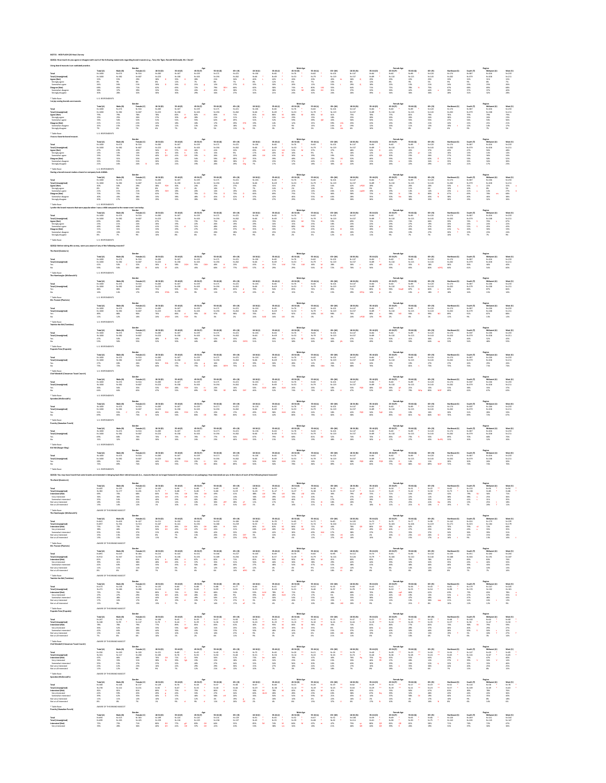**QS2Q1: How much do you agree or disagree with each of the following statements regarding brand mascots (e.g., Tony the Tiger, Ronald McDonald, Mr. Clean)?**

\* Table Base: U.S. RESPONDENTS

| Using brand mascots is an outdated practice.                                                                                                                              |                                                                                                           |                                                                              |                                                                                                |                                                                                |                                                                               |                                                                                      |                                                                               |                                                                             |                                                                             |                                                                              |                                                                                                  |                                                                            |                                                                               |                                                                                      |                                                                              |                                                                                                   |                                                                              |                                                                               |                                                                                        |                                                                               |                                                                                           |                                                                              |
|---------------------------------------------------------------------------------------------------------------------------------------------------------------------------|-----------------------------------------------------------------------------------------------------------|------------------------------------------------------------------------------|------------------------------------------------------------------------------------------------|--------------------------------------------------------------------------------|-------------------------------------------------------------------------------|--------------------------------------------------------------------------------------|-------------------------------------------------------------------------------|-----------------------------------------------------------------------------|-----------------------------------------------------------------------------|------------------------------------------------------------------------------|--------------------------------------------------------------------------------------------------|----------------------------------------------------------------------------|-------------------------------------------------------------------------------|--------------------------------------------------------------------------------------|------------------------------------------------------------------------------|---------------------------------------------------------------------------------------------------|------------------------------------------------------------------------------|-------------------------------------------------------------------------------|----------------------------------------------------------------------------------------|-------------------------------------------------------------------------------|-------------------------------------------------------------------------------------------|------------------------------------------------------------------------------|
| Total<br><b>Total (Unweighted)</b><br>Agree (Net)<br>Strongly agree<br>Somewhat agree<br><b>Disagree (Net)</b><br>Somewhat disagree<br>Strongly disagree<br>* Table Base: | Total (A)<br>$N = 1000$<br>$N = 1000$<br>32%<br>8%<br>24%<br>68%<br>38%<br>30%<br><b>U.S. RESPONDENTS</b> | Male (B)<br>$N = 474$<br>$N = 382$<br>35%<br>9%<br>26%<br>65%<br>37%<br>28%  | Gender<br>Female (C<br>$N = 516$<br>$N = 607$<br>29%<br>8%<br>21%<br>71%<br>39%<br>32%         | $18-34(D)$<br>$N = 283$<br>$N = 223$<br>38%<br>8%<br>30%<br>62%<br>32%<br>30%  | 35-44 (E)<br>$N = 167$<br>$N = 158$<br>35%<br>12%<br>24%<br>65%<br>35%<br>30% | Age<br>45-54 (F)<br>$N = 159$<br>$N = 163$<br>28%<br>7%<br>21%<br>72%<br>43%<br>29%  | 55-64 (G)<br>$N = 171$<br>$N = 194$<br>21%<br>8%<br>12%<br>79%<br>45%<br>34%  | 65+ (H)<br>$N = 221$<br>$N = 262$<br>34%<br>7%<br>27%<br>66%<br>38%<br>27%  | $18-34$ (I)<br>$N = 136$<br>$N=66$<br>40%<br>8%<br>32%<br>60%<br>27%<br>34% | $35-44$ (J)<br>$N=82$<br>N=69<br>42%<br>12%<br>30%<br>58%<br>38%<br>21%      | <b>Male Age</b><br>45-54 (K)<br>$N=76$<br>$N=53$<br>26%<br><b>b%</b><br>20%<br>74%<br>50%<br>24% | 55-64 (L)<br>$N = 82$<br>$N=79$<br>20%<br>- 7%<br>12%<br>80%<br>48%<br>32% | 65+ (M)<br>$N = 101$<br>$N = 119$<br>45%<br>10%<br>35%<br>55%<br>24%          | 18-34 (N)<br>$N = 147$<br>$N = 157$<br>36%<br>8%<br>29%<br>64%<br>37%<br>26%         | 35-44 (O)<br>$N = 84$<br>$N = 89$<br>29%<br>12%<br>18%<br>71%<br>32%<br>39%  | <b>Female Age</b><br>45-54 (P)<br>$N = 82$<br>$N = 110$<br>29%<br>8%<br>22%<br>71%<br>36%<br>34%  | 55-64 (Q)<br>$N = 89$<br>$N = 115$<br>22%<br>9%<br>13%<br>78%<br>42%<br>36%  | 65+ (R)<br>$N = 120$<br>$N = 143$<br>25%<br>5%<br>21%<br>75%<br>44%<br>30%    | <b>Northeast (S</b><br>$N = 174$<br>$N = 202$<br>33%<br>9%<br>24%<br>67%<br>39%<br>28% | South (T)<br>$N = 387$<br>$N = 379$<br>32%<br>9%<br>23%<br>68%<br>37%<br>31%  | Region<br>Midwest (U<br>$N = 206$<br>$N = 208$<br>31%<br>8%<br>23%<br>69%<br>37%<br>32%   | West (V)<br>$N = 233$<br>$N = 211$<br>32%<br>7%<br>26%<br>68%<br>40%<br>28%  |
| I enjoy seeing brands use mascots.                                                                                                                                        |                                                                                                           |                                                                              |                                                                                                |                                                                                |                                                                               |                                                                                      |                                                                               |                                                                             |                                                                             |                                                                              |                                                                                                  |                                                                            |                                                                               |                                                                                      |                                                                              |                                                                                                   |                                                                              |                                                                               |                                                                                        |                                                                               |                                                                                           |                                                                              |
| Total<br><b>Total (Unweighted</b><br>Agree (Net)<br>Strongly agree<br>Somewhat agree<br><b>Disagree (Net)</b><br>Somewhat disagree<br>Strongly disagree                   | Total (A)<br>$N = 1000$<br>$N = 1000$<br>79%<br>25%<br>53%<br>21%<br>15%<br>7%                            | Male (B)<br>$N = 474$<br>$N = 382$<br>79%<br>25%<br>54%<br>21%<br>15%<br>6%  | Gender<br>Female (C<br>$N = 516$<br>$N = 607$<br>78%<br>26%<br>52%<br>22%<br>15%<br>7%         | 18-34 (D)<br>$N = 283$<br>$N = 223$<br>78%<br>27%<br>51%<br>22%<br>16%<br>6%   | 35-44 (E)<br>$N = 167$<br>$N = 158$<br>82%<br>30%<br>51%<br>18%<br>11%<br>7%  | Age<br>45-54 (F)<br>$N = 159$<br>$N = 163$<br>82%<br>28%<br>55%<br>18%<br>13%<br>5%  | 55-64 (G)<br>$N = 171$<br>$N = 194$<br>83%<br>21%<br>62%<br>17%<br>12%<br>5%  | 65+ (H)<br>$N = 221$<br>$N = 262$<br>71%<br>21%<br>49%<br>29%<br>18%<br>11% | 18-34 (I)<br>$N = 136$<br>$N=66$<br>81%<br>30%<br>52%<br>19%<br>5%          | $35-44$ (J)<br>$N = 82$<br>$N = 69$<br>86%<br>33%<br>52%<br>14%<br>11%<br>3% | <b>Male Age</b><br>45-54 (K)<br>$N=76$<br>$N = 53$<br>88%<br>29%<br>59%<br>12%<br>9%<br>3%       | 55-64 (L)<br>$N=82$<br>$N=79$<br>85%<br>15%<br>69%<br>15%<br>13%<br>2%     | 65+ (M)<br>$N = 101$<br>$N = 119$<br>61%<br>18%<br>43%<br>39%<br>24%<br>15%   | 18-34 (N)<br>$N = 147$<br>$N = 157$<br>75%<br>25%<br>50%<br>25%<br>19%<br>6%         | $35-44(0)$<br>$N = 84$<br>$N = 89$<br>78%<br>28%<br>50%<br>22%<br>12%<br>10% | <b>Female Age</b><br>45-54 (P)<br>$N=82$<br>$N = 110$<br>77%<br>26%<br>51%<br>23%<br>16%<br>7%    | 55-64 (Q)<br>$N = 89$<br>$N = 115$<br>81%<br>26%<br>55%<br>19%<br>11%<br>8%  | 65+ (R)<br>$N = 120$<br>$N = 143$<br>79%<br>24%<br>55%<br>21%<br>13%<br>8%    | Northeast (S)<br>N=174<br>$N = 202$<br>76%<br>28%<br>47%<br>24%<br>19%<br>6%           | South (T)<br>$N = 387$<br>$N = 379$<br>79%<br>25%<br>54%<br>21%<br>12%<br>9%  | Region<br>Midwest (U)<br>$N = 206$<br>$N = 208$<br>79%<br>26%<br>53%<br>21%<br>14%<br>7%  | West (V)<br>$N = 233$<br>$N = 211$<br>79%<br>23%<br>56%<br>21%<br>17%<br>5%  |
| * Table Base:<br>I have a favorite brand mascot                                                                                                                           | <b>U.S. RESPONDENTS</b>                                                                                   |                                                                              |                                                                                                |                                                                                |                                                                               |                                                                                      |                                                                               |                                                                             |                                                                             |                                                                              |                                                                                                  |                                                                            |                                                                               |                                                                                      |                                                                              |                                                                                                   |                                                                              |                                                                               |                                                                                        |                                                                               |                                                                                           |                                                                              |
| Total<br>Total (Unweighted)<br>Agree (Net)<br>Strongly agree<br>Somewhat agree<br><b>Disagree (Net)</b><br>Somewhat disagree<br>Strongly disagree                         | Total (A)<br>$N = 1000$<br>$N = 1000$<br>47%<br>14%<br>33%<br>53%<br>32%<br>21%                           | Male (B)<br>$N = 474$<br>$N = 382$<br>49%<br>13%<br>35%<br>51%<br>35%<br>16% | Gender<br><b>Female (C</b><br>$N = 516$<br>$N = 607$<br>45%<br>14%<br>31%<br>55%<br>31%<br>24% | 18-34 (D)<br>$N = 283$<br>$N = 223$<br>56%<br>16%<br>40%<br>44%<br>30%<br>14%  | 35-44 (E)<br>$N = 167$<br>$N = 158$<br>57%<br>16%<br>41%<br>43%<br>22%<br>21% | Age<br>45-54 (F)<br>$N = 159$<br>$N = 163$<br>46%<br>13%<br>33%<br>54%<br>35%<br>19% | 55-64 (G)<br>$N = 171$<br>$N = 194$<br>41%<br>15%<br>269<br>59%<br>38%<br>20% | 65+ (H)<br>$N=221$<br>$N = 262$<br>32%<br>9%<br>23%<br>68%<br>38%<br>29%    | 18-34 (I)<br>$N = 136$<br>$N=66$<br>65%<br>48%<br>35%<br>29%<br>7%          | $35-44$ (J)<br>N=82<br>N=69<br>61%<br>20%<br>41%<br>39%<br>23%<br>17%        | <b>Male Age</b><br>45-54 (K)<br>$N=76$<br>$N=53$<br>52%<br>16%<br>36%<br>48%<br>37%<br>12%       | 55-64 (L)<br>$N = 82$<br>$N=79$<br>37%<br>9%<br>29%<br>63%<br>44%<br>18%   | 65+ (M)<br>$N = 101$<br>$N = 119$<br>27%<br>19%<br>73%<br>43%<br>30%          | 18-34 (N)<br>$N = 147$<br>$N = 157$<br>48%<br>16%<br>32%<br>52%<br>30%<br>22%        | 35-44 (O)<br>$N = 84$<br>$N = 89$<br>54%<br>12%<br>42%<br>46%<br>21%<br>26%  | <b>Female Age</b><br>45-54 (P)<br>$N = 82$<br>$N = 110$<br>41%<br>11%<br>30%<br>59%<br>33%<br>26% | 55-64 (Q)<br>N=89<br>$N = 115$<br>45%<br>22%<br>23%<br>55%<br>33%<br>22%     | $65+ (R)$<br>$N = 120$<br>$N = 143$<br>37%<br>11%<br>26%<br>63%<br>34%<br>29% | Northeast (S)<br>$N = 174$<br>$N = 202$<br>43%<br>16%<br>27%<br>57%<br>35%<br>22%      | South (T)<br>$N = 387$<br>$N = 379$<br>47%<br>13%<br>33%<br>53%<br>32%<br>21% | Region<br>Midwest (U)<br>$N = 206$<br>$N = 208$<br>50%<br>14%<br>36%<br>50%<br>34%<br>17% | West (V)<br>$N = 233$<br>$N = 211$<br>48%<br>14%<br>34%<br>52%<br>30%<br>23% |
| * Table Base:<br>Having a brand mascot makes a brand or company look childish                                                                                             | <b>U.S. RESPONDENTS</b>                                                                                   |                                                                              |                                                                                                |                                                                                |                                                                               |                                                                                      |                                                                               |                                                                             |                                                                             |                                                                              |                                                                                                  |                                                                            |                                                                               |                                                                                      |                                                                              |                                                                                                   |                                                                              |                                                                               |                                                                                        |                                                                               |                                                                                           |                                                                              |
| Total<br><b>Total (Unweighted)</b><br>Agree (Net)<br>Strongly agree<br>Somewhat agree<br><b>Disagree (Net)</b><br>Somewhat disagree<br>Strongly disagree                  | Total (A)<br>$N = 1000$<br>$N = 1000$<br>30%<br>8%<br>21%<br>70%<br>40%<br>30%                            | Male (B)<br>$N = 474$<br>$N = 382$<br>30%<br>9%<br>21%<br>70%<br>43%<br>27%  | Gender<br><b>Female (C</b><br>$N = 516$<br>$N = 607$<br>29%<br>8%<br>21%<br>71%<br>38%<br>33%  | $18-34(D)$<br>$N = 283$<br>$N = 223$<br>38%<br>8%<br>29%<br>62%<br>33%<br>29%  | 35-44 (E)<br>$N = 167$<br>$N = 158$<br>30%<br>12%<br>18%<br>70%<br>38%<br>32% | Age<br>45-54 (F)<br>$N = 159$<br>$N = 163$<br>24%<br>4%<br>20%<br>76%<br>48%<br>28%  | 55-64 (G)<br>$N = 171$<br>$N = 194$<br>25%<br>10%<br>14%<br>75%<br>45%<br>30% | 65+ (H)<br>$N = 221$<br>$N = 262$<br>27%<br>7%<br>19%<br>73%<br>42%<br>31%  | $18-34(1)$<br>$N = 136$<br>$N=66$<br>34%<br>7%<br>26%<br>66%<br>37%<br>29%  | $35-44($ J)<br>$N = 82$<br>$N=69$<br>31%<br>14%<br>17%<br>69%<br>42%<br>27%  | <b>Male Age</b><br>45-54 (K)<br>$N=76$<br>$N=53$<br>25%<br>2%<br>22%<br>75%<br>46%<br>29%        | 55-64 (L)<br>$N = 82$<br>$N=79$<br>23%<br>10%<br>14%<br>77%<br>55%<br>22%  | $65+ (M)$<br>$N = 101$<br>$N = 119$<br>34%<br>9%<br>26%<br>66%<br>40%<br>26%  | 18-34 (N)<br>$N = 147$<br>$N = 157$<br>42%<br>10%<br>32%<br>Oqc<br>58%<br>28%<br>30% | $35-44(0)$<br>$N = 84$<br>$N = 89$<br>28%<br>9%<br>19%<br>72%<br>35%<br>36%  | <b>Female Age</b><br>45-54 (P)<br>$N=82$<br>$N = 110$<br>24%<br>5%<br>19%<br>76%<br>50%<br>26%    | 55-64 (Q)<br>$N = 89$<br>$N = 115$<br>26%<br>11%<br>14%<br>74%<br>36%<br>38% | 65+ (R)<br>$N = 120$<br>$N = 143$<br>20%<br>6%<br>14%<br>80%<br>45%<br>35%    | Northeast (S)<br>$N = 174$<br>$N = 202$<br>33%<br>10%<br>23%<br>67%<br>38%<br>30%      | South (T)<br>$N = 387$<br>$N = 379$<br>31%<br>10%<br>21%<br>69%<br>40%<br>29% | Region<br>Midwest (U)<br>$N = 206$<br>$N = 208$<br>22%<br>8%<br>14%<br>78%<br>46%<br>32%  | West (V)<br>$N = 233$<br>$N = 211$<br>32%<br>5%<br>27%<br>68%<br>38%<br>30%  |
| * Table Base:                                                                                                                                                             | <b>U.S. RESPONDENTS</b>                                                                                   |                                                                              |                                                                                                |                                                                                |                                                                               |                                                                                      |                                                                               |                                                                             |                                                                             |                                                                              |                                                                                                  |                                                                            |                                                                               |                                                                                      |                                                                              |                                                                                                   |                                                                              |                                                                               |                                                                                        |                                                                               |                                                                                           |                                                                              |
| I prefer the brand mascots that were popular when I was a child compared to the newer ones I see today.                                                                   |                                                                                                           |                                                                              | Gender                                                                                         |                                                                                |                                                                               | Age                                                                                  |                                                                               |                                                                             |                                                                             |                                                                              | <b>Male Age</b>                                                                                  |                                                                            |                                                                               |                                                                                      |                                                                              | <b>Female Age</b>                                                                                 |                                                                              |                                                                               |                                                                                        |                                                                               | Region                                                                                    |                                                                              |
| Total<br><b>Total (Unweighted)</b><br><b>Agree (Net)</b><br>Strongly agree<br>Somewhat agree<br><b>Disagree (Net)</b><br>Somewhat disagree<br>Strongly disagree           | Total (A)<br>$N = 1000$<br>$N = 1000$<br>69%<br>23%<br>46%<br>31%<br>23%<br>8%                            | Male (B)<br>$N = 474$<br>$N = 382$<br>69%<br>21%<br>48%<br>31%<br>24%<br>7%  | <b>Female (C</b><br>$N = 516$<br>$N = 607$<br>69%<br>24%<br>45%<br>31%<br>22%<br>9%            | $18-34(D)$<br>$N = 283$<br>$N = 223$<br>67%<br>26%<br>41%<br>33%<br>23%<br>10% | 35-44 (E)<br>$N = 167$<br>$N = 158$<br>71%<br>19%<br>52%<br>29%<br>21%<br>8%  | 45-54 (F)<br>$N = 159$<br>$N = 163$<br>73%<br>22%<br>51%<br>27%<br>21%<br>6%         | 55-64 (G)<br>$N = 171$<br>$N = 194$<br>75%<br>26%<br>48%<br>25%<br>20%<br>5%  | 65+ (H)<br>$N = 221$<br>$N = 262$<br>63%<br>19%<br>44%<br>37%<br>28%<br>9%  | $18-34(1)$<br>$N = 136$<br>$N=66$<br>65%<br>29%<br>35%<br>35%<br>26%<br>9%  | $35-44(1)$<br>N=82<br>$N=69$<br>70%<br>16%<br>53%<br>30%<br>25%<br>6%        | 45-54 (K)<br>$N=76$<br>$N=53$<br>83%<br>15%<br>68%<br><b>IIM</b><br>17%<br>15%<br>2%             | 55-64 (L)<br>$N=82$<br>$N=79$<br>75%<br>25%<br>50%<br>25%<br>21%<br>3%     | $65+ (M)$<br>$N = 101$<br>$N = 119$<br>59%<br>18%<br>41%<br>41%<br>29%<br>12% | 18-34 (N)<br>$N = 147$<br>$N = 157$<br>69%<br>23%<br>46%<br>31%<br>20%<br>11%        | 35-44 (O)<br>$N = 84$<br>$N = 89$<br>72%<br>22%<br>50%<br>28%<br>17%<br>11%  | 45-54 (P)<br>$N = 82$<br>$N = 110$<br>65%<br>29%<br>36%<br>35%<br>26%<br>9%                       | 55-64 (Q)<br>$N = 89$<br>$N = 115$<br>74%<br>27%<br>47%<br>26%<br>19%<br>7%  | 65+ (R)<br>$N = 120$<br>$N = 143$<br>66%<br>19%<br>47%<br>34%<br>27%<br>7%    | Northeast (S)<br>$N = 174$<br>$N = 202$<br>59%<br>20%<br>39%<br>41%<br>30%<br>10%      | South (T)<br>$N = 387$<br>$N = 379$<br>74%<br>24%<br>51%<br>26%<br>19%<br>7%  | Midwest (U)<br>$N = 206$<br>$N = 208$<br>70%<br>24%<br>45%<br>30%<br>23%<br>7%            | West (V)<br>$N = 233$<br>$N = 211$<br>67%<br>22%<br>45%<br>33%<br>24%<br>9%  |
| * Table Base:                                                                                                                                                             | U.S. RESPONDENTS                                                                                          |                                                                              |                                                                                                |                                                                                |                                                                               |                                                                                      |                                                                               |                                                                             |                                                                             |                                                                              |                                                                                                  |                                                                            |                                                                               |                                                                                      |                                                                              |                                                                                                   |                                                                              |                                                                               |                                                                                        |                                                                               |                                                                                           |                                                                              |
| QS2Q2: Before taking this survey, were you aware of any of the following mascots?                                                                                         |                                                                                                           |                                                                              |                                                                                                |                                                                                |                                                                               |                                                                                      |                                                                               |                                                                             |                                                                             |                                                                              |                                                                                                  |                                                                            |                                                                               |                                                                                      |                                                                              |                                                                                                   |                                                                              |                                                                               |                                                                                        |                                                                               |                                                                                           |                                                                              |
| The Noid (Domino's)                                                                                                                                                       |                                                                                                           |                                                                              |                                                                                                |                                                                                |                                                                               |                                                                                      |                                                                               |                                                                             |                                                                             |                                                                              |                                                                                                  |                                                                            |                                                                               |                                                                                      |                                                                              |                                                                                                   |                                                                              |                                                                               |                                                                                        |                                                                               |                                                                                           |                                                                              |
| <b>Total</b><br><b>Total (Unweighted</b><br>Yes<br>No                                                                                                                     | Total (A)<br>$N = 1000$<br>$N = 1000$<br>41%<br>59%                                                       | Male (B)<br>$N = 474$<br>$N = 382$<br>50%<br>50%                             | Gender<br>Female (C<br>$N = 516$<br>$N = 607$<br>32%<br>68%                                    | 18-34 (D)<br>$N = 283$<br>$N = 223$<br>36%<br>64%                              | 35-44 (E)<br>$N = 167$<br>$N = 158$<br>58%<br>DGH<br>42%                      | Age<br>45-54 (F)<br>$N = 159$<br>$N = 163$<br>55%<br><b>DG</b><br>45%                | 55-64 (G)<br>$N = 171$<br>$N = 194$<br>40%<br>-60%                            | 65+ (H)<br>$N = 221$<br>$N = 262$<br>23%<br>77%                             | 18-34 (I)<br>$N = 136$<br>$N=66$<br>43%<br>57%                              | $35-44$ (J)<br>N=82<br>$N = 69$<br>71%<br>29%                                | <b>Male Age</b><br>45-54 (K)<br>$N=76$<br>$N=53$<br>71%<br>29%                                   | 55-64 (L)<br>$N = 82$<br>$N=79$<br>46%<br>54%                              | 65+ (M)<br>$N = 101$<br>$N = 119$<br>28%<br>72%                               | 18-34 (N)<br>$N = 147$<br>$N = 157$<br>30%<br>70%                                    | 35-44 (O)<br>$N = 84$<br>$N = 89$<br>44%<br>56%                              | <b>Female Age</b><br>45-54 (P)<br>$N = 82$<br>$N = 110$<br>41%<br>59%                             | 55-64 (Q)<br>N=89<br>$N = 115$<br>35%<br>65%                                 | 65+ (R)<br>$N = 120$<br>$N = 143$<br>18%<br>82%                               | <b>Northeast (S</b><br>$N = 174$<br>$N = 202$<br>36%<br>64%                            | South (T)<br>$N = 387$<br>$N = 379$<br>39%<br>61%                             | Region<br>Midwest (U<br>$N = 206$<br>$N = 208$<br>46%<br>54%                              | West (V)<br>$N = 233$<br>$N = 211$<br>40%<br>60%                             |
| * Table Base:<br>The Hamburglar (McDonald's                                                                                                                               | U.S. RESPONDENTS                                                                                          |                                                                              |                                                                                                |                                                                                |                                                                               |                                                                                      |                                                                               |                                                                             |                                                                             |                                                                              |                                                                                                  |                                                                            |                                                                               |                                                                                      |                                                                              |                                                                                                   |                                                                              |                                                                               |                                                                                        |                                                                               |                                                                                           |                                                                              |
| <b>Total</b><br><b>Total (Unweighted</b><br>Yes<br>No                                                                                                                     | Total (A)<br>$N = 1000$<br>$N = 1000$<br>84%<br>16%                                                       | Male (B)<br>$N = 474$<br>$N = 382$<br>86%<br>14%                             | Gender<br>Female (C<br>$N = 516$<br>$N = 607$<br>83%<br>17%                                    | 18-34 (D)<br>$N = 283$<br>$N = 223$<br>75%<br>25%                              | 35-44 (E)<br>$N = 167$<br>$N = 158$<br>90%<br>10%                             | Age<br>45-54 (F)<br>$N = 159$<br>$N = 163$<br>91%<br>9%                              | 55-64 (G)<br>$N = 171$<br>$N = 194$<br>89%<br>11%                             | 65+ (H)<br>$N = 221$<br>$N = 262$<br>83%<br>17%                             | 18-34 (I)<br>$N = 136$<br>$N=66$<br>78%<br>22%                              | $35-44(1)$<br>$N=82$<br>N=69<br>94%<br>6%                                    | <b>Male Age</b><br>45-54 (K)<br>$N=76$<br>$N=53$<br>85%<br>15%                                   | 55-64 (L)<br>$N = 82$<br>$N = 79$<br>91%<br>9%                             | $65+ (M)$<br>$N = 101$<br>$N = 119$<br>85%<br>15%                             | 18-34 (N)<br>$N = 147$<br>$N = 157$<br>71%<br>29%                                    | 35-44 (O)<br>$N = 84$<br>$N = 89$<br>86%<br>14%                              | <b>Female Age</b><br>45-54 (P)<br>$N=82$<br>$N = 110$<br>96%<br>4%                                | 55-64 (Q)<br>N=89<br>$N = 115$<br>87%<br>13%                                 | 65+ (R)<br>$N = 120$<br>$N = 143$<br>82%<br>18%                               | Northeast (S)<br>$N = 174$<br>$N = 202$<br>82%<br>18%                                  | South (T)<br>$N = 387$<br>$N = 379$<br>84%<br>16%                             | Region<br>Midwest (U)<br>$N = 206$<br>$N = 208$<br>87%<br>13%                             | West (V)<br>$N = 233$<br>$N = 211$<br>84%<br>16%                             |
| * Table Base:<br><b>Mr. Peanut (Planters)</b>                                                                                                                             | U.S. RESPONDENTS                                                                                          |                                                                              |                                                                                                |                                                                                |                                                                               |                                                                                      |                                                                               |                                                                             |                                                                             |                                                                              |                                                                                                  |                                                                            |                                                                               |                                                                                      |                                                                              |                                                                                                   |                                                                              |                                                                               |                                                                                        |                                                                               |                                                                                           |                                                                              |
| Total<br>Total (Unweighted)<br>Yes<br>No                                                                                                                                  | Total (A)<br>$N = 1000$<br>$N = 1000$<br>89%<br>11%                                                       | Male (B)<br>$N = 474$<br>$N = 382$<br>88%<br>12%                             | Gender<br>Female (C<br>$N = 516$<br>$N = 607$<br>90%<br>10%                                    | 18-34 (D)<br>$N = 283$<br>$N = 223$<br>76%<br>24%<br><b>PFGH</b>               | 35-44 (E)<br>$N = 167$<br>$N = 158$<br>86%<br>14%<br>FGH                      | Age<br>45-54 (F)<br>$N = 159$<br>$N = 163$<br>95%<br>5%                              | 55-64 (G)<br>$N = 171$<br>$N = 194$<br>97%<br>3%                              | 65+ (H)<br>$N = 221$<br>$N = 262$<br>98%<br>2%                              | 18-34 (I)<br>$N = 136$<br>$N=66$<br>76%<br>24%                              | $35-44$ (J)<br>$N = 82$<br>$N=69$<br>84%<br>16%<br><b>LM</b>                 | <b>Male Age</b><br>45-54 (K)<br>$N=76$<br>$N=53$<br>92%<br>8%                                    | 55-64 (L)<br>$N = 82$<br>$N = 79$<br>100%<br>0%                            | 65+ (M)<br>$N = 101$<br>$N = 119$<br>98%<br>2%                                | 18-34 (N)<br>$N = 147$<br>$N = 157$<br>76%<br>24%<br><b>PQ</b>                       | 35-44 (O)<br>$N = 84$<br>$N = 89$<br>88%<br>12%                              | <b>Female Age</b><br>45-54 (P)<br>$N=82$<br>$N = 110$<br>98%<br>2%                                | 55-64 (Q)<br>N=89<br>$N = 115$<br>94%<br>6%                                  | 65+ (R)<br>$N = 120$<br>$N = 143$<br>99%                                      | Northeast (S)<br>$N = 174$<br>$N = 202$<br>89%<br>11%                                  | South (T)<br>$N = 387$<br>$N = 379$<br>91%<br>9%                              | Region<br>Midwest (U<br>$N = 206$<br>$N = 208$<br>87%<br>13%                              | West (V)<br>$N = 233$<br>$N = 211$<br>88%<br>12%                             |
| * Table Base:<br><b>Twinkie the Kid (Twinkies)</b>                                                                                                                        | U.S. RESPONDENTS                                                                                          |                                                                              |                                                                                                |                                                                                |                                                                               |                                                                                      |                                                                               |                                                                             |                                                                             |                                                                              |                                                                                                  |                                                                            |                                                                               |                                                                                      |                                                                              |                                                                                                   |                                                                              |                                                                               |                                                                                        |                                                                               |                                                                                           |                                                                              |
| <b>Total</b><br><b>Total (Unweighted)</b><br>Yes<br>No                                                                                                                    | Total (A)<br>$N = 1000$<br>$N = 1000$<br>47%<br>53%                                                       | Male (B)<br>$N = 474$<br>$N = 382$<br>50%<br>50%                             | Gender<br>Female (<br>$N = 516$<br>$N = 607$<br>45%<br>55%                                     | 18-34 (D)<br>$N = 283$<br>$N = 223$<br>48%<br>52%                              | 35-44 (E)<br>$N = 167$<br>$N = 158$<br>50%<br>50%                             | Age<br>45-54 (F)<br>$N = 159$<br>$N = 163$<br>56%<br>44%                             | 55-64 (G)<br>$N = 171$<br>$N = 194$<br>52%<br>48%                             | 65+ (H)<br>$N=221$<br>$N = 262$<br>35%<br>65%<br>DEFG                       | 18-34 (I)<br>$N = 136$<br>$N=66$<br>49%<br>51%                              | $35-44$ (J)<br>$N = 82$<br>$N = 69$<br>49%<br>51%                            | <b>Male Age</b><br>45-54 (K)<br>$N = 76$<br>$N=53$<br>62%<br>38%                                 | 55-64 (L)<br>$N = 82$<br>$N = 79$<br>64%<br>36%                            | 65+ (M)<br>$N = 101$<br>$N = 119$<br>34%<br>66%                               | 18-34 (N)<br>$N = 147$<br>$N = 157$<br>47%<br>53%                                    | 35-44 (O)<br>$N = 84$<br>N=89<br>51%<br>49%                                  | <b>Female Age</b><br>45-54 (P)<br>$N=82$<br>$N = 110$<br>50%<br>50%                               | 55-64 (Q)<br>N=89<br>$N = 115$<br>41%<br>59%                                 | 65+ (R)<br>$N = 120$<br>$N = 143$<br>36%<br>64%                               | Northeast (<br>$N = 174$<br>$N = 202$<br>47%<br>53%                                    | South (T)<br>$N = 387$<br>$N = 379$<br>46%<br>54%                             | Region<br><b>Midwest</b><br>$N = 206$<br>$N = 208$<br>52%<br>48%                          | West (V)<br>$N = 233$<br>$N = 211$<br>45%<br>55%                             |
| * Table Base:<br><b>Popsicle Pete (Popsicle)</b>                                                                                                                          | <b>U.S. RESPONDENTS</b>                                                                                   |                                                                              |                                                                                                |                                                                                |                                                                               |                                                                                      |                                                                               |                                                                             |                                                                             |                                                                              |                                                                                                  |                                                                            |                                                                               |                                                                                      |                                                                              |                                                                                                   |                                                                              |                                                                               |                                                                                        |                                                                               |                                                                                           |                                                                              |
| <b>Total</b><br><b>Total (Unweighted)</b><br>Yes<br>No                                                                                                                    | Total (A)<br>$N = 1000$<br>$N = 1000$<br>27%<br>73%                                                       | Male (B)<br>$N = 474$<br>$N = 382$<br>28%<br>72%                             | Gender<br><b>Female (C</b><br>$N = 516$<br>$N = 607$<br>26%<br>74%                             | 18-34 (D)<br>$N = 283$<br>$N = 223$<br>36%<br>64%                              | 35-44 (E)<br>$N = 167$<br>$N = 158$<br>27%<br>73%                             | Age<br>45-54 (F)<br>$N = 159$<br>$N = 163$<br>25%<br>75%                             | 55-64 (G)<br>$N = 171$<br>$N = 194$<br>16%<br>84%                             | 65+ (H)<br>$N = 221$<br>$N = 262$<br>25%<br>75%                             | 18-34 (I)<br>$N = 136$<br>$N=66$<br>39%<br>61%                              | $35-44$ (J)<br>$N=82$<br>N=69<br>30%<br>70%                                  | <b>Male Age</b><br>45-54 (K)<br>$N = 76$<br>$N=53$<br>28%<br>72%                                 | 55-64 (L)<br>$N=82$<br>$N=79$<br>12%<br>88%                                | $65+ (M)$<br>$N = 101$<br>$N = 119$<br>24%<br>76%                             | 18-34 (N)<br>$N = 147$<br>$N = 157$<br>32%<br>68%                                    | 35-44 (O)<br>$N = 84$<br>$N = 89$<br>24%<br>76%                              | <b>Female Age</b><br>45-54 (P)<br>$N=82$<br>$N = 110$<br>21%<br>79%                               | 55-64 (Q)<br>$N = 89$<br>$N = 115$<br>19%<br>81%                             | 65+ (R)<br>$N = 120$<br>$N = 143$<br>27%<br>73%                               | Northeast (S)<br>$N = 174$<br>$N = 202$<br>27%<br>73%                                  | South (T)<br>$N = 387$<br>$N = 379$<br>26%<br>74%                             | Region<br>Midwest (U)<br>$N = 206$<br>$N = 208$<br>29%<br>71%                             | West (V)<br>$N = 233$<br>$N = 211$<br>26%<br>74%                             |

**Chef Wendell (Cinnamon Toast Crunch) Total (A) Male (B) Female (C) 18-34 (D) 35-44 (E) 45-54 (F) 55-64 (G) 65+ (H) 18-34 (I) 35-44 (J) 45-54 (K) 55-64 (L) 65+ (M) 18-34 (N) 35-44 (O) 45-54 (P) 55-64 (Q) 65+ (R) Northeast (S) South (T) Midwest (U) West (V) Total** N=1000 N=474 N=516 N=283 N=167 N=159 N=171 N=221 N=136 N=82 \* N=76 \* N=82 \* N=101 N=147 N=84 \* N=82 \* N=89 \* N=120 N=174 N=387 N=206 N=233 N=1000 N=382 N=607 N=1000 N=382 N=607 N=223 N=163 N=158 N=158 N=157 N=119 N=157 N=110 N=115 N=115 N=143 N=202 N=208 N=211 N=211 Yes 36% 36% 35% 53% FGH 48% FGH 31% H 24% 16% 54% KLM 48% KLM 26% 26% 18% 53% PQR 48% QR 36% qR 21% 15% 31% 38% 33% 37% No 64% 64% 65% 47% 52% 69% DE 76% DE 84% DEF 46% 52% 74% IJ 74% IJ 82% IJ 47% 52% 64% N 79% NOp 85% NOP 69% 62% 67% 63% **Gender Female Age<br>45-54 (P) Male Age**<br> **Male Age**<br>
N=221 <br>
N=262 <br>
N=66 \* N=69 \* N=53 \*<br>
16% 54% DEF 46% 52% 74% IJ **Age**<br> **Age**<br> **Age**<br> **Age**<br> **Age**<br> **Age**<br> **Age**<br> **Age**<br> **Age**<br> **Be**<br> **Age**<br> **Be**<br> **Age**<br> **Be**<br> **Be**<br> **Be**<br> **Age**<br> **Be**<br> **Be**<br> **Be**<br> **Agee**<br> **Agee**<br> **Agee**<br> **Agee III**<br> **Agee IIII**<br> **Agee IIII**<br> **Agee IIII**<br> **Agee IIII**<br> **A Region**

| * Table Base:<br><b>Speedee (McDonald's)</b>                                                                                                                                                                                   | <b>U.S. RESPONDENTS</b>                                                                              |                                                                       | Gender                                                                            |                                                                       |                                                                      |                                                                              |                                                                         |                                                                              |                                                                       |                                                                   | <b>Male Age</b>                                                                        |                                                                       |                                                                     |                                                                        |                                                                  | <b>Female Age</b>                                                                       |                                                                      |                                                                        |                                                                          |                                                                        |                                                                                       |                                                                       |
|--------------------------------------------------------------------------------------------------------------------------------------------------------------------------------------------------------------------------------|------------------------------------------------------------------------------------------------------|-----------------------------------------------------------------------|-----------------------------------------------------------------------------------|-----------------------------------------------------------------------|----------------------------------------------------------------------|------------------------------------------------------------------------------|-------------------------------------------------------------------------|------------------------------------------------------------------------------|-----------------------------------------------------------------------|-------------------------------------------------------------------|----------------------------------------------------------------------------------------|-----------------------------------------------------------------------|---------------------------------------------------------------------|------------------------------------------------------------------------|------------------------------------------------------------------|-----------------------------------------------------------------------------------------|----------------------------------------------------------------------|------------------------------------------------------------------------|--------------------------------------------------------------------------|------------------------------------------------------------------------|---------------------------------------------------------------------------------------|-----------------------------------------------------------------------|
| <b>Total</b><br><b>Total (Unweighted</b><br>Yes<br>No                                                                                                                                                                          | Total (A)<br>$N = 1000$<br>$N = 1000$<br>31%<br>69%                                                  | Male (B)<br>$N = 474$<br>$N = 382$<br>35%<br>65%                      | Female (C)<br>$N = 516$<br>$N = 607$<br>27%<br>73%                                | 18-34 (D)<br>$N = 283$<br>$N = 223$<br>46%<br>54%                     | 35-44 (E)<br>$N = 167$<br>$N = 158$<br>46%<br>54%                    | Age<br>45-54 (F)<br>$N = 159$<br>$N = 163$<br>17%<br>83%                     | 55-64 (G)<br>$N = 171$<br>$N = 194$<br>22%<br>78%                       | 65+ (H)<br>$N = 221$<br>$N = 262$<br>17%<br>83%                              | $18-34$ (I)<br>$N = 136$<br>$N=66$<br>49%<br>51%                      | 35-44 (J)<br>$N=82$<br>$N=69$<br>58%<br>KLM<br>42%                | 45-54 (K)<br>$N=76$<br>N=53<br>20%<br>80%                                              | 55-64 (L)<br>$N = 82$<br>$N=79$<br>24%<br>76%                         | 65+ (M)<br>$N = 101$<br>$N = 119$<br>18%<br>82%                     | 18-34 (N)<br>$N = 147$<br>$N = 157$<br>42%<br><b>PQR</b><br>58%        | 35-44 (O)<br>$N = 84$<br>$N = 89$<br>34%<br>66%                  | 45-54 (P)<br>$N = 82$<br>$N = 110$<br>15%<br>85%<br>NO.                                 | 55-64 (Q)<br>$N = 89$<br>$N = 115$<br>19%<br>81%<br>- No             | 65+ (R)<br>$N = 120$<br>$N = 143$<br>16%<br>84%                        | <b>Northeast (S</b><br>$N = 174$<br>$N = 202$<br>30%<br>70%              | South (T)<br>$N = 387$<br>$N = 379$<br>31%<br>69%                      | Region<br>Midwest (U)<br>$N = 206$<br>$N = 208$<br>28%<br>72%                         | West (V)<br>$N = 233$<br>$N = 211$<br>33%<br>67%                      |
| * Table Base:<br><b>Punchy (Hawaiian Punch)</b>                                                                                                                                                                                | U.S. RESPONDENTS                                                                                     |                                                                       |                                                                                   |                                                                       |                                                                      |                                                                              |                                                                         |                                                                              |                                                                       |                                                                   |                                                                                        |                                                                       |                                                                     |                                                                        |                                                                  |                                                                                         |                                                                      |                                                                        |                                                                          |                                                                        |                                                                                       |                                                                       |
| Total<br><b>Total (Unweighted</b><br>Yes<br>No                                                                                                                                                                                 | Total (A)<br>$N = 1000$<br>$N = 1000$<br>69%<br>31%                                                  | Male (B)<br>$N = 474$<br>$N = 382$<br>68%<br>32%                      | Gender<br>Female (C)<br>$N = 516$<br>$N = 607$<br>70%<br>30%                      | 18-34 (D)<br>$N = 283$<br>$N = 223$<br>70%<br>30%                     | 35-44 (E)<br>$N = 167$<br>$N = 158$<br>74%<br>26%                    | Age<br>45-54 (F)<br>$N = 159$<br>$N = 163$<br>76%<br>24%                     | 55-64 (G)<br>$N = 171$<br>$N = 194$<br>77%<br>23%                       | 65+ (H)<br>$N = 221$<br>$N = 262$<br>54%<br>46%                              | 18-34 (I)<br>$N = 136$<br>$N=66$<br>67%<br>33%                        | 35-44 (J)<br>$N=82$<br>$N=69$<br>79%<br>21%                       | <b>Male Age</b><br>45-54 (K)<br>$N=76$<br>$N=53$<br>68%<br>32%                         | 55-64 (L)<br>$N = 82$<br>$N=79$<br>81%<br>19%                         | 65+ (M)<br>$N = 101$<br>$N = 119$<br>52%<br>48%                     | 18-34 (N)<br>$N = 147$<br>$N = 157$<br>74%<br>26%                      | 35-44 (O)<br>$N = 84$<br>$N=89$<br>70%<br>30%                    | <b>Female Age</b><br>45-54 (P)<br>$N=82$<br>$N = 110$<br>83%<br>17%                     | 55-64 (Q)<br>$N=89$<br>$N = 115$<br>73%<br>27%                       | 65+ (R)<br>$N = 120$<br>$N = 143$<br>55%<br>45%<br>JoPQ                | <b>Northeast (S</b><br>$N = 174$<br>$N = 202$<br>69%<br>31%              | South (T)<br>$N = 387$<br>$N = 379$<br>70%<br>30%                      | Region<br>Midwest (<br>$N = 206$<br>$N = 208$<br>68%<br>32%                           | West (V)<br>$N = 233$<br>$N = 211$<br>70%<br>30%                      |
| * Table Base:<br><b>Kid Vid (Burger King)</b>                                                                                                                                                                                  | U.S. RESPONDENTS                                                                                     |                                                                       | Gender                                                                            |                                                                       |                                                                      | Age                                                                          |                                                                         |                                                                              |                                                                       |                                                                   | <b>Male Age</b>                                                                        |                                                                       |                                                                     |                                                                        |                                                                  | <b>Female Age</b>                                                                       |                                                                      |                                                                        |                                                                          |                                                                        | Region                                                                                |                                                                       |
| <b>Total</b><br><b>Total (Unweighted</b><br>Yes<br>No                                                                                                                                                                          | Total (A)<br>$N = 1000$<br>$N = 1000$<br>28%<br>72%                                                  | Male (B)<br>$N = 474$<br>$N = 382$<br>31%<br>69%                      | Female (C)<br>$N = 516$<br>$N = 607$<br>26%<br>74%                                | 18-34 (D)<br>$N = 283$<br>$N = 223$<br>44%<br>56%                     | 35-44 (E)<br>$N = 167$<br>$N = 158$<br>45%<br>55%                    | 45-54 (F)<br>$N = 159$<br>$N = 163$<br>23%<br>77%                            | 55-64 (G)<br>$N = 171$<br>$N = 194$<br>15%<br>85%                       | 65+ (H)<br>$N = 221$<br>$N = 262$<br>11%<br>89%                              | 18-34 (I)<br>$N = 136$<br>$N=66$<br>50%<br>50%                        | 35-44 (J)<br>$N=82$<br>$N=69$<br>50%<br>50%                       | 45-54 (K)<br>$N=76$<br>$N = 53$<br>22%<br>78%                                          | 55-64 (L)<br>$N=82$<br>$N=79$<br>16%<br>84%                           | 65+ (M)<br>$N = 101$<br>$N = 119$<br>11%<br>89%                     | 18-34 (N)<br>$N = 147$<br>$N = 157$<br>38%<br>PQR<br>62%               | 35-44 (O)<br>$N = 84$<br>$N = 89$<br>40%<br>PQR<br>60%           | 45-54 (P)<br>$N=82$<br>$N = 110$<br>23%<br>77%<br>NO.                                   | 55-64 (Q)<br>$N=89$<br>$N = 115$<br>14%<br>86%<br>- NO               | 65+ (R)<br>$N = 120$<br>$N = 143$<br>11%<br>89%                        | Northeast (<br>$N = 174$<br>$N = 202$<br>28%<br>72%                      | South (T)<br>$N = 387$<br>$N = 379$<br>30%<br>70%                      | Midwest (I<br>$N = 206$<br>$N = 208$<br>26%<br>74%                                    | West (V)<br>$N = 233$<br>$N = 211$<br>30%<br>70%                      |
| * Table Base:                                                                                                                                                                                                                  | <b>U.S. RESPONDENTS</b>                                                                              |                                                                       |                                                                                   |                                                                       |                                                                      |                                                                              |                                                                         |                                                                              |                                                                       |                                                                   |                                                                                        |                                                                       |                                                                     |                                                                        |                                                                  |                                                                                         |                                                                      |                                                                        |                                                                          |                                                                        |                                                                                       |                                                                       |
| QS2Q3: You may have heard that some brands are interested in bringing back their retired mascots (i.e., mascots that are no longer featured in advertisements or on packaging). How interested are you in the return of each o |                                                                                                      |                                                                       |                                                                                   |                                                                       |                                                                      |                                                                              |                                                                         |                                                                              |                                                                       |                                                                   |                                                                                        |                                                                       |                                                                     |                                                                        |                                                                  |                                                                                         |                                                                      |                                                                        |                                                                          |                                                                        |                                                                                       |                                                                       |
| The Noid (Domino's)<br>Total<br><b>Total (Unweighted</b><br><b>Interested (Net)</b><br>Very interested<br>Somewhat interested<br>Not very interested<br>Not at all interested                                                  | Total (A)<br>$N = 405$<br>$N = 382$<br>69%<br>34%<br>35%<br>18%<br>13%                               | Male (B)<br>$N = 235$<br>$N = 177$<br>70%<br>36%<br>34%<br>16%<br>14% | Gender<br>Female (C)<br>$N = 167$<br>$N = 201$<br>68%<br>33%<br>35%<br>21%<br>12% | 18-34 (D)<br>$N = 103$<br>$N=75$<br>84%<br>44%<br>40%<br>15%<br>1%    | 35-44 (E)<br>$N=96$<br>$N = 88$<br>76%<br>47%<br>29%<br>14%<br>10%   | Age<br>45-54 (F)<br>$N = 88$<br>$N = 80$<br>76%<br>33%<br>42%<br>10%<br>15%  | 55-64 (G)<br>$N=69$<br>$N=80$<br>49%<br>21%<br>28%<br>30%<br>dEF<br>21% | 65+ (H)<br>$N = 50$<br>$N = 59$<br>41%<br>10%<br>31%<br>28%<br>31%           | $18-34(1)$<br>$N = 58$<br>$N=28$<br>88%<br>50%<br>38%<br>11%<br>1%    | 35-44 (J)<br>$N = 59$<br>$N=47$<br>79%<br>49%<br>30%<br>17%<br>4% | <b>Male Age</b><br>45-54 (K)<br>N=54<br>$N=37$<br>78%<br>32%<br>46%<br>5%<br>16%       | 55-64 (L)<br>$N=38$<br>$N = 38$<br>45%<br>20%<br>25%<br>35%<br>21%    | 65+ (M)<br>$N=28$<br>$N=29$<br>36%<br>9%<br>27%<br>18%<br>45%       | 18-34 (N)<br>$N = 44$<br>$N=47$<br>79%<br>37%<br>42%<br>20%<br>1%      | 35-44 (O)<br>$N=37$<br>$N=41$<br>73%<br>44%<br>28%<br>9%<br>18%  | <b>Female Age</b><br>45-54 (P)<br>$N=34$<br>$N=43$<br>71%<br>36%<br>36%<br>17%<br>11%   | 55-64 (Q)<br>$N=31$<br>$N=42$<br>54%<br>22%<br>32%<br>25%<br>21%     | 65+ (R)<br>$N=22$<br>$N=30$<br>46%<br>11%<br>35%<br>41%<br>13%         | Northeast (<br>$N=63$<br>$N=73$<br>62%<br>38%<br>24%<br>19%<br>19%       | South (T)<br>$N = 153$<br>$N = 138$<br>79%<br>38%<br>41%<br>13%<br>7%  | Region<br>Midwest (<br>$N=96$<br>$N = 85$<br>56%<br>25%<br>31%<br>25%<br>20%          | West (V)<br>$N = 94$<br>$N=86$<br>71%<br>36%<br>35%<br>18%<br>11%     |
| * Table Base:<br>The Hamburglar (McDonald's)                                                                                                                                                                                   | AWARE OF THIS BRAND MASCOT                                                                           |                                                                       |                                                                                   |                                                                       |                                                                      |                                                                              |                                                                         |                                                                              |                                                                       |                                                                   |                                                                                        |                                                                       |                                                                     |                                                                        |                                                                  |                                                                                         |                                                                      |                                                                        |                                                                          |                                                                        |                                                                                       |                                                                       |
| Total<br><b>Total (Unweighted</b><br><b>Interested (Net)</b><br>Very interested<br>Somewhat interested<br>Not very interested<br>Not at all interested<br>* Table Base:                                                        | Total (A)<br>$N = 841$<br>$N = 857$<br>73%<br>38%<br>35%<br>15%<br>13%<br>AWARE OF THIS BRAND MASCOT | Male (B)<br>$N = 406$<br>$N = 334$<br>73%<br>40%<br>33%<br>13%<br>13% | Gender<br>Female (C)<br>$N = 427$<br>$N = 513$<br>73%<br>36%<br>37%<br>15%<br>12% | 18-34 (D)<br>$N = 211$<br>$N = 167$<br>81%<br>50%<br>31%<br>8%<br>11% | 35-44 (E)<br>$N = 150$<br>$N = 141$<br>84%<br>45%<br>40%<br>7%<br>9% | Age<br>45-54 (F)<br>$N = 144$<br>$N = 150$<br>81%<br>47%<br>33%<br>13%<br>6% | 55-64 (G)<br>$N = 152$<br>$N = 180$<br>66%<br>24%<br>42%<br>20%<br>14%  | 65+ (H)<br>$N = 184$<br>$N = 219$<br>54%<br>21%<br>32%<br>25%<br>22%         | 18-34 (I<br>$N = 106$<br>$N=53$<br>84%<br>60%<br>24%<br>3%<br>13%     | 35-44 (J)<br>$N=78$<br>$N=64$<br>82%<br>40%<br>42%<br>10%<br>8%   | <b>Male Age</b><br>45-54 (K)<br>$N = 65$<br>N=47<br>86%<br>56%<br>30%<br>10%<br>4%     | 55-64 (L)<br>$N=75$<br>$N = 74$<br>71%<br>22%<br>49%<br>17%<br>12%    | 65+ (M)<br>N=85<br>$N = 100$<br>44%<br>17%<br>27%<br>30%<br>27%     | 18-34 (N)<br>$N = 105$<br>$N = 114$<br>78%<br>40%<br>38%<br>12%<br>10% | 35-44 (O)<br>$N=73$<br>$N=77$<br>86%<br>49%<br>37%<br>4%<br>10%  | <b>Female Age</b><br>45-54 (P)<br>$N=79$<br>$N = 103$<br>76%<br>40%<br>37%<br>16%<br>8% | 55-64 (Q)<br>$N=77$<br>$N = 106$<br>62%<br>27%<br>35%<br>23%<br>15%  | 65+ (R)<br>$N = 98$<br>$N = 119$<br>62%<br>25%<br>37%<br>20%<br>17%    | Northeast (<br>$N = 142$<br>$N = 171$<br>70%<br>36%<br>34%<br>14%<br>16% | South (T)<br>$N = 324$<br>$N = 323$<br>79%<br>43%<br>36%<br>12%<br>9%  | Region<br>Midwest (<br>$N = 179$<br>$N = 184$<br>72%<br>33%<br>39%<br>15%<br>13%      | West (V)<br>$N = 195$<br>$N = 179$<br>66%<br>35%<br>31%<br>18%<br>16% |
| <b>Mr. Peanut (Planters)</b>                                                                                                                                                                                                   |                                                                                                      |                                                                       | Gender                                                                            |                                                                       |                                                                      | Age                                                                          |                                                                         |                                                                              |                                                                       |                                                                   | <b>Male Age</b>                                                                        |                                                                       |                                                                     |                                                                        |                                                                  | <b>Female Age</b>                                                                       |                                                                      |                                                                        |                                                                          |                                                                        | Region                                                                                |                                                                       |
| Total<br><b>Total (Unweighted</b><br><b>Interested (Net)</b><br>Very interested<br>Somewhat interested<br>Not very interested<br>Not at all interested                                                                         | Total (A)<br>N=891<br>$N = 912$<br>81%<br>39%<br>42%<br>11%<br>8%                                    | Male (B)<br>$N = 419$<br>$N = 347$<br>81%<br>41%<br>40%<br>11%<br>8%  | Female (C)<br>$N = 464$<br>$N = 555$<br>81%<br>38%<br>44%<br>11%<br>8%            | 18-34 (D)<br>$N = 215$<br>$N = 176$<br>81%<br>48%<br>33%<br>12%<br>7% | 35-44 (E)<br>$N = 143$<br>$N = 136$<br>89%<br>45%<br>45%<br>6%<br>5% | 45-54 (F)<br>$N = 151$<br>$N = 155$<br>87%<br>37%<br>50%<br>6%<br>6%         | 55-64 (G)<br>$N = 166$<br>$N = 189$<br>82%<br>35%<br>48%<br>12%<br>6%   | 65+ (H)<br>$N = 217$<br>$N = 256$<br>71%<br>31%<br>40%<br>16%<br>14%<br>dEfG | $18-34(1)$<br>$N = 103$<br>$N = 50$<br>82%<br>56%<br>27%<br>12%<br>6% | 35-44 (J)<br>$N=69$<br>$N=57$<br>94%<br>46%<br>48%<br>4%<br>2%    | 45-54 (K)<br>N=70<br>$N = 49$<br>90%<br>36%<br>54%<br><b>IM</b><br>4%<br>6%            | 55-64 (L)<br>$N=82$<br>$N=79$<br>85%<br>38%<br>47%<br>9%<br>6%        | 65+ (M)<br>$N = 98$<br>$N = 116$<br>61%<br>29%<br>32%<br>21%<br>18% | 18-34 (N)<br>$N = 112$<br>$N = 126$<br>80%<br>42%<br>38%<br>12%<br>8%  | 35-44 (O)<br>$N=74$<br>$N=79$<br>85%<br>44%<br>41%<br>7%<br>8%   | 45-54 (P)<br>$N = 81$<br>$N = 106$<br>85%<br>39%<br>46%<br>8%<br>7%                     | 55-64 (Q)<br>$N = 83$<br>$N = 110$<br>79%<br>32%<br>48%<br>14%<br>6% | 65+ (R)<br>$N = 118$<br>$N = 140$<br>78%<br>32%<br>46%<br>12%<br>10%   | Northeast (<br>$N = 155$<br>$N = 188$<br>81%<br>35%<br>46%<br>11%<br>8%  | South (T)<br>$N = 351$<br>$N = 346$<br>83%<br>43%<br>39%<br>10%        | Midwest (L<br>$N = 180$<br>$N = 191$<br>83%<br>40%<br>43%<br>10%<br>7%                | West (V)<br>$N = 204$<br>$N = 187$<br>76%<br>33%<br>43%<br>13%<br>10% |
| * Table Base:<br><b>Twinkie the Kid (Twinkies)</b>                                                                                                                                                                             | AWARE OF THIS BRAND MASCOT                                                                           |                                                                       |                                                                                   |                                                                       |                                                                      |                                                                              |                                                                         |                                                                              |                                                                       |                                                                   |                                                                                        |                                                                       |                                                                     |                                                                        |                                                                  |                                                                                         |                                                                      |                                                                        |                                                                          |                                                                        |                                                                                       |                                                                       |
| Total<br><b>Total (Unweighted</b><br>Interested (Net)<br>Very interested<br>Somewhat interested<br>Not very interested<br>Not at all interested                                                                                | Total (A)<br>$N = 473$<br>$N = 471$<br>72%<br>27%<br>45%<br>17%<br>11%                               | Male (B)<br>$N = 238$<br>$N = 186$<br>75%<br>27%<br>48%<br>16%<br>9%  | Gender<br>Female (C)<br>$N = 231$<br>$N = 280$<br>70%<br>29%<br>41%<br>17%<br>13% | 18-34 (D)<br>$N = 135$<br>$N = 113$<br>80%<br>36%<br>44%<br>8%<br>13% | 35-44 (E)<br>$N = 84$<br>$N = 85$<br>74%<br>40%<br>34%<br>19%<br>7%  | Age<br>45-54 (F)<br>$N = 88$<br>$N = 83$<br>78%<br>28%<br>49%<br>19%<br>3%   | 55-64 (G)<br>$N = 88$<br>$N=99$<br>68%<br>18%<br>50%<br>17%<br>14%      | 65+ (H)<br>$N=77$<br>$N = 91$<br>56%<br>9%<br>47%<br>279                     | 18-34 (I<br>N=66<br>N=35<br>92%<br>39%<br>53%<br>3%<br>5%             | 35-44 (J)<br>$N=41$<br>$N=40$<br>78%<br>48%<br>30%<br>18%<br>4%   | <b>Male Age</b><br>45-54 (K)<br>$N=47$<br>$N = 31$<br>71%<br>17%<br>54%<br>26%<br>4%   | 55-64 (L)<br>$N=52$<br>$N = 46$<br>70%<br>17%<br>53%<br>21%<br>10%    | 65+ (M)<br>$N = 34$<br>$N=37$<br>49%<br>5%<br>44%<br>23%<br>28%     | $18-34(N)$<br>$N=68$<br>$N=78$<br>68%<br>33%<br>35%<br>12%<br>20%      | 35-44 (O)<br>$N = 43$<br>$N=45$<br>70%<br>32%<br>38%             | <b>Female Age</b><br>45-54 (P)<br>$N=41$<br>$N = 52$<br>86%<br>42%<br>44%<br>12%<br>2%  | 55-64 (Q<br>$N=36$<br>$N = 53$<br>66%<br>19%<br>47%<br>13%<br>21%    | $65+ (R)$<br>$N = 43$<br>$N = 54$<br>62%<br>13%<br>49%<br>30%<br>8%    | Northeast (<br>$N = 81$<br>$N=98$<br>69%<br>31%<br>38%<br>21%<br>10%     | South (T)<br>$N = 179$<br>$N = 170$<br>75%<br>27%<br>47%<br>14%<br>12% | Region<br><b>Midwest</b><br>$N = 107$<br>$N = 102$<br>65%<br>17%<br>48%<br>24%<br>12% | West (V)<br>$N = 105$<br>$N = 101$<br>78%<br>35%<br>44%<br>13%<br>9%  |
| * Table Base:<br><b>Popsicle Pete (Popsicle)</b>                                                                                                                                                                               | AWARE OF THIS BRAND MASCOT                                                                           |                                                                       |                                                                                   |                                                                       |                                                                      |                                                                              |                                                                         |                                                                              |                                                                       |                                                                   |                                                                                        |                                                                       |                                                                     |                                                                        |                                                                  |                                                                                         |                                                                      |                                                                        |                                                                          |                                                                        |                                                                                       |                                                                       |
| Total<br><b>Total (Unweighted</b><br><b>Interested (Net)</b><br>Very interested<br>Somewhat interested<br>Not very interested<br>Not at all interested                                                                         | Total (A)<br>$N = 267$<br>$N = 248$<br>78%<br>36%<br>42%<br>15%<br>7%                                | Male (B)<br>$N = 132$<br>$N = 99$<br>78%<br>32%<br>46%<br>14%<br>8%   | Gender<br>Female (C)<br>$N = 134$<br>$N = 147$<br>79%<br>40%<br>39%<br>15%<br>6%  | $18-34(D)$<br>$N = 100$<br>$N=70$<br>77%<br>33%<br>44%<br>13%<br>10%  | 35-44 (E)<br>$N=45$<br>$N = 44$<br>89%<br>53%<br>36%<br>10%<br>1%    | Age<br>45-54 (F)<br>$N = 39$<br>$N = 39$<br>85%<br>42%<br>43%<br>13%<br>2%   | 55-64 (G)<br>$N=27$<br>$N=36$<br>84%<br>31%<br>53%<br>10%<br>6%         | 65+ (H)<br>$N=56$<br>$N = 59$<br>62%<br>25%<br>37%<br>27%<br>11%             | 18-34 (I<br>N=54<br>N=26<br>82%<br>32%<br>50%<br>9%<br>9%             | 35-44 (J)<br>$N=24$<br>$N=25$<br>95%<br>47%<br>48%<br>2%<br>3%    | <b>Male Age</b><br>45-54 (K)<br>$N = 21$<br>$N = 15$<br>84%<br>39%<br>45%<br>14%<br>2% | 55-64 $(L)$<br>$N=10$<br>$N=10$<br>94%<br>35%<br>59%<br>6%<br>0%      | 65+ (M)<br>$N=24$<br>$N=24$<br>33%<br>-8%<br>25%<br>46%<br>21%      | $18-34(N)$<br>$N=47$<br>$N = 44$<br>72%<br>34%<br>37%<br>18%<br>11%    | 35-44 (O)<br>$N=21$<br>$N=19$<br>81%<br>60%<br>22%<br>19%<br>0%  | <b>Female Age</b><br>45-54 (P)<br>N=18<br>$N = 24$<br>86%<br>46%<br>40%<br>12%<br>2%    | 55-64 (Q)<br>$N = 17$<br>$N=26$<br>77%<br>28%<br>50%<br>13%<br>10%   | $65+ (R)$<br>$N=32$<br>$N = 35$<br>83%<br>37%<br>46%<br>13%<br>4%      | Northeast (<br>$N = 48$<br>$N=57$<br>74%<br>46%<br>28%<br>19%<br>7%      | South (T)<br>$N = 100$<br>$N = 94$<br>90%<br>40%<br>50%<br>5%<br>6%    | Region<br>Midwest (<br>$N=60$<br>$N=47$<br>79%<br>29%<br>50%<br>18%<br>3%             | West (V)<br>$N=60$<br>$N = 50$<br>59%<br>27%<br>32%<br>27%<br>14%     |
| * Table Base:<br><b>Chef Wendell (Cinnamon Toast Crunch)</b>                                                                                                                                                                   | AWARE OF THIS BRAND MASCOT                                                                           |                                                                       | Gender                                                                            |                                                                       |                                                                      |                                                                              |                                                                         |                                                                              |                                                                       |                                                                   | <b>Male Age</b>                                                                        |                                                                       |                                                                     |                                                                        |                                                                  | <b>Female Age</b>                                                                       |                                                                      |                                                                        |                                                                          |                                                                        |                                                                                       |                                                                       |
| Total<br><b>Total (Unweighted</b><br><b>Interested (Net</b><br>Very interested<br>Somewhat interested<br>Not very interested<br>Not at all interested                                                                          | Total (A)<br>$N = 356$<br>$N = 321$<br>67%<br>32%<br>35%<br>23%<br>11%                               | Male (B)<br>$N = 169$<br>$N = 117$<br>66%<br>33%<br>33%<br>22%<br>12% | Female (C)<br>$N = 183$<br>$N = 200$<br>68%<br>31%<br>37%<br>23%<br>9%            | 18-34 (D)<br>$N = 151$<br>$N = 105$<br>76%<br>38%<br>37%<br>16%<br>9% | 35-44 (E)<br>$N = 80$<br>$N=76$<br>71%<br>39%<br>32%<br>22%<br>7%    | Age<br>45-54 (F)<br>$N=49$<br>$N = 50$<br>59%<br>19%<br>40%<br>29%<br>12%    | 55-64 (G)<br>$N=40$<br>$N=50$<br>50%<br>22%<br>27%<br>29%<br>21%        | 65+ (H)<br>$N=36$<br>$N=40$<br>52%<br>18%<br>34%<br>36%<br>12%               | 18-34 (I<br>N=73<br>$N = 31$<br>75%<br>44%<br>31%<br>15%<br>10%       | 35-44 (J)<br>$N=40$<br>$N=36$<br>66%<br>32%<br>34%<br>27%<br>7%   | 45-54 (K)<br>$N=20$<br>$N = 14$<br>79%<br>23%<br>56%<br>18%<br>3%                      | 55-64 (L)<br>$N=21$<br>$N=22$<br>47%<br>16%<br>30%<br>24%<br>29%      | 65+ (M)<br>$N = 18$<br>$N=16$<br>40%<br>23%<br>16%<br>42%<br>18%    | $18-34(N)$<br>N=78<br>$N=74$<br>76%<br>33%<br>43%<br>17%<br>7%         | 35-44 (O)<br>$N=40$<br>$N=40$<br>75%<br>40/0<br>30%<br>16%<br>8% | 45-54 (P)<br>$N=29$<br>$N = 36$<br>45%<br>17%<br>29%<br>36%<br>18%                      | 55-64 (Q)<br>$N=19$<br>$N = 28$<br>53%<br>28%<br>24%<br>35%<br>12%   | 65+ (R)<br>$N=18$<br>$N = 24$<br>64%<br>12%<br>52%<br>30%<br>6%        | Northeast (<br>$N=54$<br>$N=65$<br>69%<br>37%<br>32%<br>24%<br>7%        | South (T<br>$N = 147$<br>$N = 124$<br>70%<br>39%<br>31%<br>20%<br>11%  | Region<br>Midwest (<br>$N=69$<br>$N=67$<br>67%<br>34%<br>33%<br>25%<br>8%             | West (V)<br>$N = 85$<br>$N=65$<br>60%<br>14%<br>46%<br>25%<br>15%     |
| * Table Base:<br><b>Speedee (McDonald's)</b>                                                                                                                                                                                   | AWARE OF THIS BRAND MASCOT                                                                           |                                                                       | Gender                                                                            |                                                                       |                                                                      | Age                                                                          |                                                                         |                                                                              |                                                                       |                                                                   | <b>Male Age</b>                                                                        |                                                                       |                                                                     |                                                                        |                                                                  | <b>Female Age</b>                                                                       |                                                                      |                                                                        |                                                                          |                                                                        | Region                                                                                |                                                                       |
| <b>Total</b><br>Total (Unweighted'<br><b>Interested (Net)</b><br>Very interested<br>Somewhat interested<br>Not very interested<br>Not at all interested                                                                        | Total (A)<br>$N = 308$<br>$N = 278$<br>81%<br>42%<br>39%<br>11%<br>8%                                | Male (B)<br>$N = 168$<br>$N = 122$<br>81%<br>39%<br>42%<br>11%<br>8%  | Female (C)<br>$N = 137$<br>$N = 151$<br>81%<br>45%<br>35%<br>12%<br>7%            | 18-34 (D)<br>$N = 129$<br>$N=92$<br>89%<br>49%<br>40%<br>10%<br>1%    | 35-44 (E)<br>$N=76$<br>$N=67$<br>79%<br>43%<br>37%<br>12%<br>9%      | 45-54 (F)<br>$N=28$<br>$N=33$<br>79%<br>33%<br>46%<br>12%<br>9%              | 55-64 (G)<br>$N=37$<br>$N=40$<br>86%<br>27%<br>58%<br>4%<br>11%         | 65+ (H)<br>$N=38$<br>$N=46$<br>55%<br>34%<br>20%<br>19%<br>26%<br><b>DE</b>  | $18-34$ (I)<br>$N=67$<br>$N=29$<br>94%<br>60%<br>34%<br>4%<br>2%      | 35-44 (J)<br>$N = 48$<br>$N=38$<br>78%<br>28%<br>50%<br>18%<br>4% | 45-54 (K)<br>$N = 15$<br>$N = 14$<br>82%<br>28%<br>54%<br>10%<br>8%                    | 55-64 (L)<br>$N=20$<br>**<br>$N=19$<br>82%<br>23%<br>59%<br>4%<br>15% | 65+ (M)<br>$N=19$<br>$N=23$<br>41%<br>20%<br>21%<br>22%<br>37%      | $18-34(N)$<br>$N=62$<br>$N=63$<br>83%<br>38%<br>45%<br>16%<br>0%       | 35-44 (O)<br>$N=29$<br>$N=29$<br>81%<br>67%<br>14%<br>2%<br>17%  | 45-54 (P)<br>$N=13$<br>$N=19$<br>76%<br>39%<br>37%<br>14%<br>10%                        | 55-64 (Q)<br>$N=17$<br>$N=21$<br>90%<br>32%<br>58%<br>4%<br>6%       | 65+ (R)<br>$N=19$<br>$**$<br>$N=23$<br>67%<br>48%<br>19%<br>17%<br>16% | Northeast (<br>$N=52$<br>$N=57$<br>83%<br>43%<br>40%<br>10%<br>8%        | South (T)<br>$N = 120$<br>$N = 109$<br>85%<br>44%<br>41%<br>9%<br>6%   | Midwest (<br>$N = 58$<br>$N=49$<br>78%<br>43%<br>35%<br>8%<br>14%                     | West (V)<br>$N = 78$<br>$N = 63$<br>76%<br>36%<br>40%<br>18%<br>6%    |
| * Table Base:<br><b>Punchy (Hawaiian Punch)</b>                                                                                                                                                                                | AWARE OF THIS BRAND MASCOT                                                                           |                                                                       |                                                                                   |                                                                       |                                                                      |                                                                              |                                                                         |                                                                              |                                                                       |                                                                   |                                                                                        |                                                                       |                                                                     |                                                                        |                                                                  |                                                                                         |                                                                      |                                                                        |                                                                          |                                                                        |                                                                                       |                                                                       |
| Total<br><b>Total (Unweighted)</b><br><b>Interested (Net)</b><br>Very interested                                                                                                                                               | Total (A)<br>N=694<br>$N = 699$<br>72%<br>33%                                                        | Male (B)<br>$N = 323$<br>$N = 265$<br>73%<br>28%                      | Gender<br>Female (C)<br>$N = 363$<br>$N = 425$<br>71%<br>36%                      | 18-34 (D)<br>$N = 199$<br>$N = 159$<br>80%<br>40%                     | 35-44 (E)<br>$N = 124$<br>$N = 116$<br>77%<br>41%                    | Age<br>45-54 (F)<br>$N = 120$<br>$N = 129$<br>83%<br>37%                     | 55-64 (G)<br>$N = 131$<br>$N = 158$<br>64%<br>22%                       | 65+ (H)<br>$N = 119$<br>$N = 137$<br>53%<br>20%                              | $18-34(1)$<br>$N=91$<br>$N = 45$<br>85%<br>33%                        | 35-44 (J)<br>$N=65$<br>$N=55$<br>74%<br>38%                       | <b>Male Age</b><br>45-54 (K)<br>$N = 52$<br>$N = 39$<br>84%<br>34%                     | 55-64 (L)<br>$N=67$<br>$N=68$<br>67%<br>18%                           | 65+ (M)<br>$N=52$<br>$N=62$<br>47%<br>21%                           | 18-34 (N)<br>$N = 108$<br>$N = 114$<br>75%<br>46%                      | 35-44 (O)<br>$N=59$<br>$N=61$<br>80%<br>44%                      | <b>Female Age</b><br>45-54 (P)<br>$N=69$<br>N=90<br>81%<br>39%                          | 55-64 (Q)<br>$N=65$<br>$N=90$<br>61%<br>26%                          | 65+ (R)<br>$N=66$<br>$N=75$<br>58%<br>19%                              | Northeast (<br>$N = 120$<br>$N = 142$<br>71%<br>31%                      | South (T)<br>$N = 269$<br>$N = 265$<br>76%<br>37%                      | Region<br>Midwest (l<br>$N = 141$<br>$N = 145$<br>72%<br>30%                          | West (V)<br>$N = 164$<br>$N = 147$<br>67%<br>30%                      |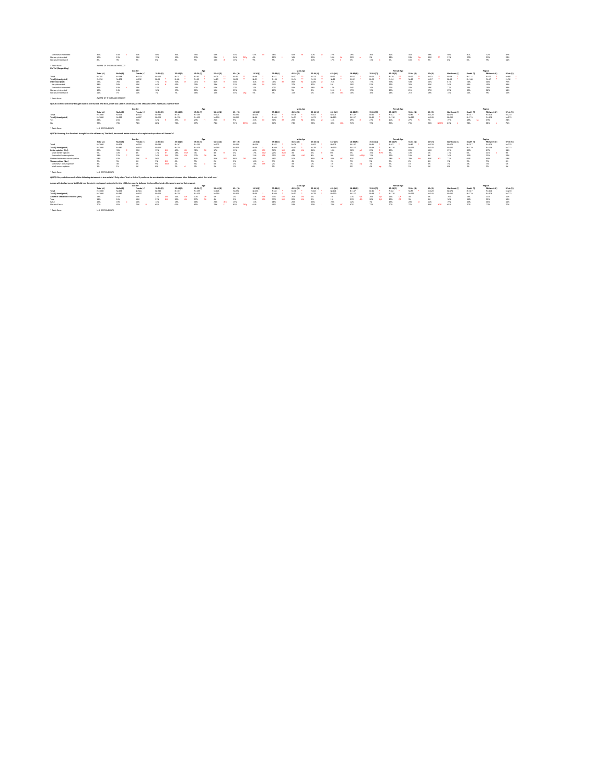| Somewhat interested                                                                                                                           | 39%                     | 44%                        | 35%        | 40%       | 36%       | 45%       | 43%               | 33%                | 52%         | 36%               | 50%             | 50%       | 27%       | 29%         | 36%       | 42%               | 35%       | 39%       | 40%           | 40%       | 42%         | 37%       |
|-----------------------------------------------------------------------------------------------------------------------------------------------|-------------------------|----------------------------|------------|-----------|-----------|-----------|-------------------|--------------------|-------------|-------------------|-----------------|-----------|-----------|-------------|-----------|-------------------|-----------|-----------|---------------|-----------|-------------|-----------|
| Not very interested                                                                                                                           | 19%                     | 19%                        | 20%        | 15%       | 15%       | 13%       | 23%               | 34%                | 6%          | 21%               | 14%             | 23%       | 36%       | 22%         | 9%        | 12%               | 24%       | 33%       | 21%           | 17%       | 19%         | 22%       |
| Not at all interested                                                                                                                         | 8%                      | 9%                         | 9%         | 6%        | 8%        | 5%        | 13%               | 13%                | 9%          | 5%                | 2%              | 10%       | 17%       | 3%          | 11%       | 7%                | 16%       | 9%        | 8%            | 6%        | 9%          | 11%       |
| * Table Base:                                                                                                                                 |                         | AWARE OF THIS BRAND MASCOT |            |           |           |           |                   |                    |             |                   |                 |           |           |             |           |                   |           |           |               |           |             |           |
| <b>Kid Vid (Burger King)</b>                                                                                                                  |                         |                            |            |           |           |           |                   |                    |             |                   |                 |           |           |             |           |                   |           |           |               |           |             |           |
|                                                                                                                                               |                         |                            | Gender     |           |           | Age       |                   |                    |             |                   | <b>Male Age</b> |           |           |             |           | <b>Female Age</b> |           |           |               |           | Region      |           |
|                                                                                                                                               | Total (A)               | Male (B)                   | Female (C) | 18-34 (D) | 35-44 (E) | 45-54 (F) | 55-64 (G)         | 65+ (H)            | 18-34 (I)   | $35-44$ (J)       | 45-54 (K)       | 55-64 (L) | $65+ (M)$ | 18-34 (N)   | 35-44 (O) | 45-54 (P)         | 55-64 (Q) | $65+ (R)$ | Northeast (S) | South (T) | Midwest (I  | West (V)  |
| Total                                                                                                                                         | $N = 285$               | $N = 148$                  | $N = 132$  | $N = 124$ | $N=75$    | $N = 36$  | $N=25$            | $N=25$             | $N=68$      | $N = 41$          | $N=17$          | $N=13$    | $N=11$    | $N = 56$    | $N=34$    | $N=19$            | $N=12$    | $N=13$    | $N = 49$      | $N = 114$ | $N=53$      | $N=69$    |
| Total (Unweighted)                                                                                                                            | $N = 256$               | $N = 101$                  | $N = 152$  | $N=93$    | $N=68$    | $N = 38$  | $N = 29$          | $N=28$             | $N=31$      | $N=36$            | $N = 14$        | $N = 11$  | $N=11$    | $N=62$      | $N=32$    | $N=24$            | $N=18$    | $N=17$    | $N=53$        | $N = 100$ | $N=47$      | $N=56$    |
| <b>Interested (Net)</b>                                                                                                                       | 73%                     | 78%                        | 68%        | 77%       | 76%       | 71%       | 80%               | 38%                | 81%         | 76%               | 85%             | 100%      | 21%       | 72%         | 77%       | 59%               | 58%       | 53%       | 61%           | 76%       | 80%         | 72%       |
| Very interested                                                                                                                               | 38%                     | 38%                        | 40%        | 44%       | 42%       | 30%       | 29%               | 21%                | 48%         | 34%               | 27%             | 32%       | 5%        | 39%         | 52%       | 32%               | 26%       | 35%       | 34%           | 43%       | 40%         | 33%       |
| Somewhat interested                                                                                                                           | 35%                     | 40%                        | 28%        | 33%       | 34%       | 42%       | 50%               | 17%                | 32%         | 42%               | 58%             | 68%       | 17%       | 34%         | 24%       | 27%               | 32%       | 18%       | 27%           | 33%       | 39%         | 38%       |
| Not very interested                                                                                                                           | 16%                     | 14%                        | 18%        | 16%       | 17%       | 11%       | 10%               | 29%                | 15%         | 20%               | 5%              | 0%        | 31%       | 17%         | 13%       | 17%               | 21%       | 27%       | 25%           | 13%       | 12%         | 18%       |
| Not at all interested                                                                                                                         | 11%                     | 7%                         | 14%        | 7%        | 7%        | 18%       | 10%               | 33%                | 5%          | 4%                | 11%             | 0%        | 48%       | 10%         | 10%       | 24%               | 21%       | 19%       | 14%           | 11%       | 9%          | 10%       |
| * Table Base:                                                                                                                                 |                         | AWARE OF THIS BRAND MASCOT |            |           |           |           |                   |                    |             |                   |                 |           |           |             |           |                   |           |           |               |           |             |           |
| QS2Q5: Domino's recently brought back its old mascot, The Noid, which was used in advertising in the 1980s and 1990s. Were you aware of this? |                         |                            |            |           |           |           |                   |                    |             |                   |                 |           |           |             |           |                   |           |           |               |           |             |           |
|                                                                                                                                               |                         |                            |            |           |           |           |                   |                    |             |                   |                 |           |           |             |           |                   |           |           |               |           |             |           |
|                                                                                                                                               |                         |                            | Gender     |           |           | Age       |                   |                    |             |                   | <b>Male Age</b> |           |           |             |           | <b>Female Age</b> |           |           |               |           | Region      |           |
|                                                                                                                                               | Total (A)               | Male (B)                   | Female (C) | 18-34 (D) | 35-44 (E) | 45-54 (F) | 55-64 (G)         | 65+ (H)            | $18-34$ (I) | $35-44$ (J)       | 45-54 (K)       | 55-64 (L) | $65+ (M)$ | 18-34 (N)   | 35-44 (O) | 45-54 (P)         | 55-64 (Q) | 65+ (R)   | Northeast (S) | South (T) | Midwest (U) | West (V)  |
| Total                                                                                                                                         | $N = 1000$              | $N = 474$                  | $N = 516$  | $N = 283$ | $N = 167$ | $N = 159$ | $N = 171$         | $N = 221$          | $N = 136$   | $N = 82$          | $N=76$          | $N=82$    | $N = 101$ | $N = 147$   | $N = 84$  | $N=82$            | $N = 89$  | $N = 120$ | $N = 174$     | $N = 387$ | $N = 206$   | $N = 233$ |
| <b>Total (Unweighted)</b>                                                                                                                     | $N = 1000$              | $N = 382$                  | $N = 607$  | $N = 223$ | $N = 158$ | $N = 163$ | $N = 194$         | $N = 262$          | $N=66$      | $N = 69$          | $N=53$          | $N=79$    | $N = 119$ | $N = 157$   | $N=89$    | $N = 110$         | $N = 115$ | $N = 143$ | $N = 202$     | $N = 379$ | $N = 208$   | $N = 211$ |
| Yes                                                                                                                                           | 24%                     | 26%                        | 22%        | 32%       | 29%       | 23%       | 26%               | 9%                 | 35%         | 30%               | 26%             | 26%       | 11%       | 29%         | 27%       | 20%               | 27%       | 7%        | 19%           | 28%       | 19%         | 24%       |
| No                                                                                                                                            | 76%                     | 74%                        | 78%        | 68%       | 71%       | 77%       | 74%               | 91%<br><b>DEFG</b> | 65%         | 70%               | 74%             | 74%       | 89%       | 71%         | 73%       | 80%               | 73%       | 93%       | 81%           | 72%       | 81%         | 76%       |
| * Table Base:                                                                                                                                 | <b>U.S. RESPONDENTS</b> |                            |            |           |           |           |                   |                    |             |                   |                 |           |           |             |           |                   |           |           |               |           |             |           |
| QS2Q6: Knowing that Domino's brought back its old mascot, The Noid, how much better or worse of an opinion do you have of Domino's?           |                         |                            |            |           |           |           |                   |                    |             |                   |                 |           |           |             |           |                   |           |           |               |           |             |           |
|                                                                                                                                               |                         |                            | Gender     |           |           | Age       |                   |                    |             |                   | <b>Male Age</b> |           |           |             |           | <b>Female Age</b> |           |           |               |           | Region      |           |
|                                                                                                                                               | Total (A)               | Male (B)                   | Female (C) | 18-34 (D) | 35-44 (E) | 45-54 (F) | 55-64 (G)         | 65+ (H)            | 18-34 (I)   | $35-44$ (J)       | 45-54 (K)       | 55-64 (L) | $65+ (M)$ | 18-34 (N)   | 35-44 (O) | 45-54 (P)         | 55-64 (Q) | 65+ (R)   | Northeast (S) | South (T) | Midwest (U) | West (V)  |
| Total                                                                                                                                         | $N = 1000$              | $N = 474$                  | $N = 516$  | $N = 283$ | $N = 167$ | $N = 159$ | $N = 171$         | $N = 221$          | $N = 136$   | N=82              | $N=76$          | $N = 82$  | $N = 101$ | $N = 147$   | $N = 84$  | N=82              | $N = 89$  | $N = 120$ | $N = 174$     | $N = 387$ | $N = 206$   | $N = 233$ |
| <b>Total (Unweighted)</b>                                                                                                                     | $N = 1000$              | $N = 382$                  | $N = 607$  | $N = 223$ | $N = 158$ | $N = 163$ | $N = 194$         | $N = 262$          | $N=66$      | N=69              | $N=53$          | $N=79$    | $N = 119$ | $N = 157$   | $N = 89$  | $N = 110$         | $N = 115$ | $N = 143$ | $N = 202$     | $N = 379$ | $N = 208$   | $N = 211$ |
| <b>Better opinion (Net)</b>                                                                                                                   | 27%                     | 33%                        | 22%        | 35%       | 40%       | 31%       | 17%               | 11%                | 40%         | 52%               | 46%             | 14%       | 10%       | 30%         | 29%       | 17%               | 20%       | 13%       | 25%           | 26%       | 27%         | 31%       |
| Much better opinion                                                                                                                           | 9%                      | 10%                        | 8%         | 11%       | 18%       | 4%        | 8%                | 3%                 | 17%         | 20%<br><b>KLM</b> |                 | 6%        | <b>0%</b> | 5%          | 15%       | 5%                | 10%       | 5%        | 11%           | 6%        | 11%         | 9%        |
| Somewhat better opinion                                                                                                                       | 18%                     | 22%                        | 15%        | 24%       | 22%       | 27%       | 9%                | 9%                 | 23%         | 31%               | 43%<br>-il M    | 8%        | 9%        | 25%<br>oPQR | 13%       | 12%               | 10%       | 8%        | 14%           | 199       | 15%         | 22%       |
| Neither better nor worse opinion                                                                                                              | 68%                     | 62%                        | 73%        | 56%       | 56%       | 64%       | <b>DEF</b><br>81% | 86%                | 49%         | 46%               | 50%             | 83%       | 88%       | 63%         | 66%       | 78%               | 79%       | 84%       | 72%           | 69%       | 69%         | 63%       |
| <b>Worse opinion (Net)</b>                                                                                                                    | 5%                      | 5%                         | 5%         | 9%        | 4%        | 5%        | 2%                | 3%                 | 10%         | 3%                | 4%              | 3%        |           | 7%          | 5%        | 5%                | 2%        | 4%        |               | 5%        | 5%          | 6%        |
| Somewhat worse opinion                                                                                                                        | 4%                      | 4%                         | 4%         | 9%        | 2%        | 5%        | 0%                | 2%                 | 10%         | 2%                | 4%              | 0%        | 1%        | 7%          | 1%        | 5%                | 1%        | 3%        | 3%            | 4%        | 3%          | 5%        |
| Much worse opinion                                                                                                                            | 1%                      |                            | 1%         | 0%        |           | 0%        | <b>2%</b>         | 1%                 | 0%          | 1%                | 0%              | 3%        |           | 0%          | 4%        | 0%                | 1%        |           | 0%            |           | 1%          | 1%        |
|                                                                                                                                               |                         |                            |            |           |           |           |                   |                    |             |                   |                 |           |           |             |           |                   |           |           |               |           |             |           |

\* Table Base: U.S. RESPONDENTS

**QS2Q7: Do you believe each of the following statements is true or false? Only select 'True' or 'False' if you know for sure that the statement is true or false. Otherwise, select 'Not at all sure.'**

#### **A man with the last name Noid held two Domino's employees hostage in the late 1980s because he believed the brand had stolen his name to use for their mascot. Total (A) Male (B) Female (C) 18-34 (D) 35-44 (E) 45-54 (F) 55-64 (G) 65+ (H) 18-34 (I) 35-44 (J) 45-54 (K) 55-64 (L) 65+ (M) 18-34 (N) 35-44 (O) 45-54 (P) 55-64 (Q) 65+ (R) Northeast (S) South (T) Midwest (U) West (V) Total** N=1000 N=474 N=516 N=283 N=167 N=159 N=171 N=221 N=136 N=82 \* N=76 \* N=82 \* N=101 N=147 N=84 \* N=82 \* N=89 \* N=120 N=174 N=387 N=206 N=233 N=1000 N=382 N=607 N=1000 N=382 N=607 N=223 N=163 N=158 N=158 N=158 N=158 N=159 \* N=110 N=115 N=115 N=143 N=202 N=208 N=211 N=211 Age<br>45-54 (F) **Male Age**<br>45-54 (K) **Female Age Gender Region**

|                         |                  | 16% 13% 13% GH 26% GH 17% GH 4% 2% 1.00% LM 33% LM 5% 21% QR 3% 21% 21% 3% 3% 16% 14% 11% 16% 16% 16% 16% 16% |  |  |  |  |  |  |  |  |  |  |  |  |  |  |  |  |  |  |
|-------------------------|------------------|---------------------------------------------------------------------------------------------------------------|--|--|--|--|--|--|--|--|--|--|--|--|--|--|--|--|--|--|
| False <b>Example 19</b> |                  |                                                                                                               |  |  |  |  |  |  |  |  |  |  |  |  |  |  |  |  |  |  |
| Not at all sure         |                  |                                                                                                               |  |  |  |  |  |  |  |  |  |  |  |  |  |  |  |  |  |  |
| * Table Base:           | U.S. RESPONDENTS |                                                                                                               |  |  |  |  |  |  |  |  |  |  |  |  |  |  |  |  |  |  |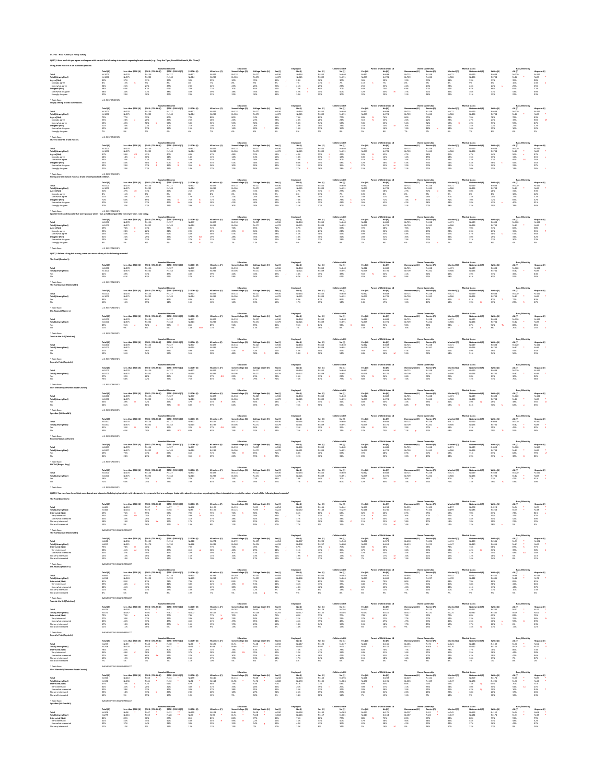**QS2Q1: How much do you agree or disagree with each of the following statements regarding brand mascots (e.g., Tony the Tiger, Ronald McDonald, Mr. Clean)?**

## **Having a brand mascot makes a brand or company look childish.**

\* Table Base: U.S. RESPONDENTS **I prefer the brand mascots that were popular when I was a child compared to the newer ones I see today.**

\* Table Base: U.S. RESPONDENTS

# **QS2Q2: Before taking this survey, were you aware of any of the following mascots?**

|  | The Noid (Domino's) |  |
|--|---------------------|--|
|--|---------------------|--|

\* Table Base: U.S. RESPONDENTS **The Hamburglar (McDonald's)**

\* Table Base: U.S. RESPONDENTS **Mr. Peanut (Planters)**

\* Table Base: U.S. RESPONDENTS

| * Table Base:                   | <b>U.S. RESPONDENTS</b> |
|---------------------------------|-------------------------|
| <b>Popsicle Pete (Popsicle)</b> |                         |

\* Table Base: U.S. RESPONDENTS **Chef Wendell (Cinnamon Toast Crunch)**

| Using brand mascots is an outdated practice. |                         |                     |                     |                         |              |                       |                  |                   |           |           |           |                |           |                                 |               |                       |             |                        |                 |                |              |
|----------------------------------------------|-------------------------|---------------------|---------------------|-------------------------|--------------|-----------------------|------------------|-------------------|-----------|-----------|-----------|----------------|-----------|---------------------------------|---------------|-----------------------|-------------|------------------------|-----------------|----------------|--------------|
|                                              |                         |                     |                     | <b>Household Income</b> |              |                       | <b>Education</b> |                   |           | Employed  |           | Children in HH |           | <b>Parent of Child Under 18</b> |               | <b>Home Ownership</b> |             | <b>Marital Status</b>  |                 | Race/Ethnicity |              |
|                                              | Total (A)               | Less than \$50K (B) | \$50K - \$74.9K (C) | \$75K - \$99.9K (D)     | $$100K+$ (E) | <b>HS or Less (F)</b> | Some College (G) | College Grad+ (H) | Yes (I)   | No (J)    | Yes (K)   | No (L)         | Yes (M)   | No (N)                          | Homeowner (O) | Renter (P)            | Married (Q) | <b>Not married (R)</b> | White (S)       | AA (T)         | Hispanic (U) |
| <b>Total</b>                                 | $N = 1000$              | $N = 278$           | $N = 156$           | $N = 127$               | $N = 377$    | $N = 327$             | $N = 318$        | $N = 227$         | $N = 536$ | $N = 464$ | $N = 360$ | $N = 640$      | $N = 312$ | $N = 688$                       | $N = 725$     | $N = 248$             | $N = 471$   | $N = 529$              | $N = 608$       | $N = 120$      | $N = 160$    |
| <b>Total (Unweighted)</b>                    | $N = 1000$              | $N = 375$           | $N = 202$           | $N = 148$               | $N = 214$    | $N = 289$             | $N = 306$        | $N = 271$         | $N = 479$ | $N = 521$ | $N = 309$ | $N = 691$      | $N = 279$ | $N = 721$                       | $N = 709$     | $N = 262$             | $N=506$     | $N = 494$              | $N = 734$       | $N=82$         | $N=85$       |
| Agree (Net)                                  | 32%                     | 37%                 | 33%                 | 33%                     | 30%          | 29%                   | 30%              | 35%               | 35%       | 28%       | 36%       | 30%            | 36%       | 30%                             | 32%           | 33%                   | 31%         | 33%                    | 31%             | 35%            | 28%          |
| Strongly agree                               | 8%                      | 12%                 | 5%                  | 8%                      | 8%           | 7%                    | 8%               | 9%                | 9%        | 7%        | 11%       | 7%             | 11%       | 7%                              | 8%            | 9%                    | 8%          | 9%                     | 6%              | 10%            | 14%          |
| Somewhat agree                               | 24%                     | 25%                 | 27%                 | 25%                     | 23%          | 22%                   | 23%              | 26%               | 26%       | 21%       | 25%       | 23%            | 25%       | 23%                             | 24%           | 24%                   | 23%         | 24%                    | 24%             | 25%            | 15%          |
| Disagree (Net)                               | 68%                     | 63%                 | 67%                 | 67%                     | 70%          | 71%                   | 70%              | 65%               | 65%       | 72%       | 64%       | 70%            | 64%       | 70%                             | 68%           | 67%                   | 69%         | 67%                    | 69%             | 65%            | 72%          |
| Somewhat disagree                            | 38%                     | 34%                 | 37%                 | 38%                     | 40%          | 39%                   | 38%              | 35%               | 34%       | 42%       | 34%       | 40%            | 32%       | 40%                             | 37%           | 41%                   | 39%         | 36%                    | 37%             | 43%            | 39%          |
| Strongly disagree                            | 30%                     | 29%                 | 30%                 | 29%                     | 29%          | 32%                   | 32%              | 30%               | 31%       | 30%       | 29%       | 30%            | 32%       | 29%                             | 31%           | 26%                   | 29%         | 31%                    | 32%             | 22%            | 33%          |
| * Table Base:                                | <b>U.S. RESPONDENTS</b> |                     |                     |                         |              |                       |                  |                   |           |           |           |                |           |                                 |               |                       |             |                        |                 |                |              |
| I enjoy seeing brands use mascots.           |                         |                     |                     |                         |              |                       |                  |                   |           |           |           |                |           |                                 |               |                       |             |                        |                 |                |              |
|                                              |                         |                     |                     | <b>Household Income</b> |              |                       | <b>Education</b> |                   |           | Employed  |           | Children in HH |           | <b>Parent of Child Under 18</b> |               | <b>Home Ownership</b> |             | <b>Marital Status</b>  |                 | Race/Ethnicity |              |
|                                              | Total (A)               | Less than \$50K (B) | \$50K - \$74.9K (C) | \$75K - \$99.9K (D)     | \$100K+(E)   | <b>HS or Less (F)</b> | Some College (   | College Grad+ (H) | Yes (I)   | No (J)    | Yes (K)   | No (L)         | Yes (M)   | No (N)                          | Homeowner (O  | Renter (P             | Married (Q) | <b>Not married (R)</b> | White (S)       | AA (T)         | Hispanic (U  |
| <b>Total</b>                                 | $N = 1000$              | $N = 278$           | $N = 156$           | $N = 127$               | $N = 377$    | $N = 327$             | $N = 318$        | $N = 227$         | $N = 536$ | $N = 464$ | $N = 360$ | $N = 640$      | $N = 312$ | N=688                           | $N = 725$     | N=248                 | $N = 471$   | $N = 529$              | $N = 608$       | $N = 120$      | $N = 160$    |
| <b>Total (Unweighted)</b>                    | $N = 1000$              | $N = 375$           | $N = 202$           | $N = 148$               | $N = 214$    | $N = 289$             | $N = 306$        | $N = 271$         | $N = 479$ | $N = 521$ | $N = 309$ | $N = 691$      | $N = 279$ | $N = 721$                       | $N = 709$     | $N = 262$             | $N = 506$   | $N = 494$              | $N = 734$       | $N=82$         | $N = 85$     |
| Agree (Net)                                  | 79%                     | 77%                 | 79%                 | 80%                     | 79%          | 80%                   | 80%              | 74%               | 81%       | 76%       | 82%       | 77%            | 84%       | 76%                             | 80%           | 75%                   | 81%         | 76%                    | 78%             | 78%            | 83%          |
| Strongly agree                               | 25%                     | 28%                 | 20%                 | 26%                     | 26%          | 28%                   | 24%              | 23%               | 28%       | 23%       | 28%       | 24%            | 31%       | 23%                             | 26%           | 22%                   | 23%         | 27%                    | 24%             | 19%            | 36%          |
| Somewhat agree                               | 53%                     | 49%                 | 58%                 | 54%                     | 53%          | 52%                   | 55%              | 50%               | 53%       | 53%       | 54%       | 53%            | 53%       | 53%                             | 54%           | 52%                   | 58%         | 49%                    | 53%             | 59%            | 47%          |
| Disagree (Net)                               | 21%                     | 23%                 | 21%                 | 20%                     | 21%          | 20%                   | 20%              | 26%               | 19%       | 24%       | 18%       | 23%            | 16%       | 24%                             | 20%           | 25%                   | 19%         | 24%                    | 22%             | 22%            | 17%          |
| Somewhat disagree                            | 15%                     | 14%                 | 17%                 | 14%                     | 15%          | 13%                   | 14%              | 20%               | 14%       | 16%       | 13%       | 15%            | 11%       | 16%                             | 13%           | 18%                   | 13%         |                        | 15%             | 16%            | 12%          |
| Strongly disagree                            |                         | 9%                  | 5%                  | 6%                      | 6%           | 7%                    | 6%               | 6%                | 6%        |           | 5%        | 8%             | 5%        | 8%                              | 7%            | 7%                    | 6%          |                        | 8%              | 6%             | 5%           |
| * Table Base:                                | <b>U.S. RESPONDENTS</b> |                     |                     |                         |              |                       |                  |                   |           |           |           |                |           |                                 |               |                       |             |                        |                 |                |              |
| I have a favorite brand mascot               |                         |                     |                     | <b>Household Income</b> |              |                       | <b>Education</b> |                   |           | Employed  |           | Children in HH |           | <b>Parent of Child Under 18</b> |               | <b>Home Ownership</b> |             | <b>Marital Status</b>  |                 | Race/Ethnicity |              |
|                                              | Total (A)               | Less than \$50K (B) | \$50K - \$74.9K (C) | \$75K - \$99.9K (D)     | $$100K+$ (E) | <b>HS or Less (F)</b> | Some College (G) | College Grad+ (H) | Yes (I)   | No (J)    | Yes (K)   | No (L)         | Yes (M)   | No (N)                          | Homeowner (O) | Renter (P)            | Married (Q) | Not married (R)        | <b>White (S</b> | AA (T)         | Hispanic (U) |
| Total                                        | $N = 1000$              | $N = 278$           | $N = 156$           | $N = 127$               | $N = 377$    | $N = 327$             | $N = 318$        | $N = 227$         | $N = 536$ | $N = 464$ | $N = 360$ | N=640          | $N = 312$ | N=688                           | $N = 725$     | $N = 248$             | $N = 471$   | $N = 529$              | $N = 608$       | $N = 120$      | $N = 160$    |
| <b>Total (Unweighted)</b>                    | $N = 1000$              | $N = 375$           | $N = 202$           | $N = 148$               | $N = 214$    | $N = 289$             | $N = 306$        | $N = 271$         | $N = 479$ | $N = 521$ | $N = 309$ | $N = 691$      | $N = 279$ | $N = 721$                       | $N = 709$     | $N = 262$             | $N=506$     | $N = 494$              | $N = 734$       | $N=82$         | $N = 85$     |
|                                              | 47%                     | 54%                 | 42%                 | 40%                     | 48%          | 47%                   | 48%              | 52%               | 53%       | 40%       | 55%       | 42%            | 58%       | 42%                             | 47%           | 46%                   | 46%         | 47%                    | 44%             | 56%            | 47%          |
| Agree (Net)                                  | 14%                     | 18%                 | 10%                 | 11%                     | 14%          | 14%                   | 14%              | 14%               | 15%       | 13%       | 17%       |                | 18%       | 12%                             | 14%           | 15%                   | 13%         | 15%                    | 13%             | 11%            | 21%          |
| Strongly agree                               |                         |                     |                     |                         |              |                       |                  |                   |           |           |           | 12%            |           |                                 |               |                       |             |                        |                 |                |              |
| Somewhat agree                               | 33%                     | 36%                 | 32%                 | 29%                     | 34%          | 33%                   | 34%              | 38%               | 38%       | 28%       | 38%       | 30%            | 41%       | 29%                             | 34%           | 31%                   | 33%         | 33%                    | 31%             | 46%            | 26%          |
| Disagree (Net)                               | 53%                     | 46%                 | 58%                 | 60%                     | 52%          | 53%                   | 52%              | 48%               | 47%       | 60%       | 45%       | 58%            | 42%       | 58%                             | 53%           | 54%                   | 54%         | 53%                    | 56%             | 44%            | 53%          |
| Somewhat disagree                            | 32%                     | 23%                 | 37%                 | 36%                     | 35%          | 36%                   | 30%              | 30%               | 32%       | 33%       | 29%       | 35%            | 27%       | 35%                             | 32%           | 33%                   | 33%         | 32%                    | 34%             | 31%            | 27%          |
| Strongly disagree                            | 21%                     | 23%                 | 21%                 | 24%                     | 18%          | 17%                   | 22%              | 18%               | 15%       | 27%       | 16%       | 23%            | 15%       | 23%                             | 21%           | 21%                   | 21%         | 20%                    | 22%             | 13%            | 26%          |
| * Table Base:                                | <b>U.S. RESPONDENTS</b> |                     |                     |                         |              |                       |                  |                   |           |           |           |                |           |                                 |               |                       |             |                        |                 |                |              |

|                |             |                     |                    | <b>Household Income</b> |            |                | Education       |           |           |           |           | ːhildren in H |           | Under 1.  |       | <b>Home Ownership</b> |                   | <b>Marital Status</b> |           | Race/Ethnici |             |
|----------------|-------------|---------------------|--------------------|-------------------------|------------|----------------|-----------------|-----------|-----------|-----------|-----------|---------------|-----------|-----------|-------|-----------------------|-------------------|-----------------------|-----------|--------------|-------------|
|                | Total (A)   | Less than \$50K (B) | S50K - \$74.9K (C) | \$75K - \$99.9K (D      | \$100K+(E) | HS or Less (F) | Some College (G |           | Yes (     |           | Yes (K)   | No (L         | Yes (M)   | No (N)    |       | Renter ('             | <b>Married</b> (Q | <b>Not married (R</b> | White (S) | AA (T)       | Hispanic (U |
| Total          |             |                     |                    | N=127                   | $N = 377$  | $N = 327$      | $N = 318$       | $N = 227$ | $N = 536$ | N=464     | N=360     | $N = 640$     | $N = 312$ | $N = 688$ | N=725 | $N = 248$             | $N = 471$         | $N = 529$             | N=608     | $N = 120$    | N=16∩       |
|                | $N = 1000$  | N=375               |                    | $N = 148$               | $N = 214$  | $N = 289$      | $N = 306$       | $N = 271$ | $N = 479$ | $N = 521$ | $N = 309$ | $N = 691$     | $N = 279$ | N=721     | N=709 | $N = 262$             | $N=506$           | $N = 494$             | $N = 734$ | N=82         |             |
| Agree (Net)    | 30%         |                     |                    |                         |            | 29%            | 28%             |           | 32%       | 27%       | 34%       |               |           | 28%       |       | — 7%،                 |                   | 30%                   | 28%       |              |             |
| Strongly agree |             |                     |                    |                         |            |                | 6%              | 11%       | 9%        |           |           |               |           | 8%        |       |                       |                   |                       | 8%        |              |             |
| Somewhat agre  | <b>4170</b> |                     |                    |                         | 17%        |                |                 |           | 23%       | 19%       | -24%      |               |           | 21%       |       | 29%                   | 20%               |                       | 20%       |              |             |
| Disagree (Net) |             |                     | 69%                |                         |            |                |                 |           | 68%       |           | ხხ%       |               |           |           |       |                       |                   |                       | 72%       |              |             |
|                |             |                     |                    |                         |            |                |                 |           | 39%       |           |           |               |           |           |       |                       |                   | 38%                   | 42%       | 40%          |             |
| ongly disagree |             |                     |                    |                         | 29%        |                |                 |           | 29%       |           |           |               |           |           |       |                       | 28%               | 32%                   | 30%       | 28%          |             |

|                    |            |                     |                     | <b>Household Income</b> |           |                      | Educatior        |           |           | <b>Employed</b> |           | Children in HH |           | <b>Parent of Child Under 18</b> |           | <b>Home Ownership</b> |             | <b>Marital Status</b> |           |           |                 |
|--------------------|------------|---------------------|---------------------|-------------------------|-----------|----------------------|------------------|-----------|-----------|-----------------|-----------|----------------|-----------|---------------------------------|-----------|-----------------------|-------------|-----------------------|-----------|-----------|-----------------|
|                    | Total (A)  | Less than \$50K (B) | \$50K - \$74.9K (C) |                         | $$100K+$  | <b>HS or Less (F</b> | some College (C) |           |           |                 | Yes (K)   | <b>No (L)</b>  | Yes (M)   | No (N)                          |           | Renter (P)            | Married (Q) |                       | White (S) | AA (T)    | <b>Hispanic</b> |
| Total              | $N = 1000$ | N=278               | N=156               | N=127                   |           | N=327                |                  | N=227     | N=536     | $N = 464$       | N=360     | $N = 640$      | N=312     | N=688                           | N=725     | N=248                 | $N = 47$    | N=529                 | $N = 608$ | $N = 120$ | $N = 160$       |
| Total (Unweighted) | $N = 1000$ | $N = 375$           |                     | $N = 148$               | $N = 214$ | N=289                |                  | $N = 271$ | $N = 479$ |                 | $N = 309$ | N=691          | $N = 279$ | N=721                           | $N = 709$ | $N = 262$             | $N = 506$   |                       | $N-72A$   | $N = 82$  |                 |
| Agree (Net)        |            |                     |                     |                         |           |                      |                  |           |           |                 |           | 69%            |           | 68%                             | 70%       |                       | 68%         |                       |           |           |                 |
| Strongly agree     |            |                     |                     |                         |           |                      |                  |           |           |                 |           |                |           | 22%                             |           |                       | 22%         |                       |           | 15%       |                 |
| Somewhat agree     |            | 46%                 | 499                 |                         |           |                      |                  |           |           |                 | 48%       | 45%            | 49%       | 45%                             | 48%       | 44%                   | 46%         | 47%                   | 48%       | 51%       | 36%             |
| Disagree (Net)     |            |                     |                     |                         |           |                      |                  |           | 29%       |                 |           |                |           | 32%                             | 30%       | 33%                   | 32%         |                       | 29%       |           |                 |
| Somewhat disagre   |            |                     |                     |                         |           |                      |                  |           |           |                 |           |                |           | 24%                             | 23%       |                       | 25%         |                       |           |           |                 |
|                    |            |                     |                     | 4%                      |           |                      |                  |           |           |                 |           |                |           |                                 |           |                       |             |                       | 8%        | 4%        |                 |
|                    |            |                     |                     |                         |           |                      |                  |           |           |                 |           |                |           |                                 |           |                       |             |                       |           |           |                 |

|                           |           | <b>Household Income</b><br>Less than \$50K (B) \$50K - \$74.9K (C) |           |                     |                    | Education             |                  |                           |       |        | <b>Children in HH</b> |           | <b>Parent of Child Under 18</b> |        | <b>Home Ownership</b> |            | <b>Marital Status</b> |                 | <b>Race/Ethnicity</b> |               |              |
|---------------------------|-----------|--------------------------------------------------------------------|-----------|---------------------|--------------------|-----------------------|------------------|---------------------------|-------|--------|-----------------------|-----------|---------------------------------|--------|-----------------------|------------|-----------------------|-----------------|-----------------------|---------------|--------------|
|                           | Total (A) |                                                                    |           | \$75K - \$99.9K (D) | <b>\$100K+ (E)</b> | <b>HS or Less (F)</b> | Some College (G) | College Grad+ (H) Yes (I) |       | No (J) | Yes (K)               | No (L)    | Yes (M)                         | No (N) | Homeowner (O)         | Renter (P) | Married (Q)           | Not married (R) | White (S)             | <b>AA (T)</b> | Hispanic (U) |
| <b>Total</b>              | N=1000    | N=278                                                              | N=156     | $N = 127$           | N=377              | $N = 327$             | $N = 318$        | $N = 227$                 | N=536 | N=464  | N=360                 | $N = 640$ | $N = 312$                       | N=688  | N=725                 | $N = 248$  | N=471                 | N=529           | N=608                 | $N = 120$     | $N = 160$    |
| <b>Total (Unweighted)</b> | N=1000    | N=375                                                              | $N = 202$ | N=148               | $N = 214$          | N=289                 | $N = 306$        | $N = 271$                 | N=479 | N=521  | $N = 309$             | $N = 691$ | N=279                           | N=721  | N=709                 | $N = 262$  | N=506                 | N=494           | $N = 734$             | N=82 * N=85 * |              |
| Yes                       |           | 39%                                                                | 37%       | 45%                 | 43%                | 39%                   | 42%              | 44%                       | 47%   | 33%    | 45%                   | 38%       | 55% N 34%                       |        | 41%                   | 40%        | 42%                   | 39%             | 37%                   | 45%           | 44%          |
|                           | 59%       | 61%                                                                | 63%       | 55%                 |                    | 61%                   | 58%              | 56%                       | 53%   | 67%    | 55%                   | 62%       | 45%                             | 66%    | <b>M</b> 59%          | 60%        | 58%                   | 61%             | 63%                   | 55%           | 56%          |

|                           |           | Household Income<br>Less than \$50K (B) |                     |                     |                    |                       |                  |                           |       |        |           | Children in HH |           | <b>Parent of Child Under 18</b> |               | <b>Home Ownership</b> |                    | <b>Marital Status</b>  |           | <b>Race/Ethnicity</b> |              |
|---------------------------|-----------|-----------------------------------------|---------------------|---------------------|--------------------|-----------------------|------------------|---------------------------|-------|--------|-----------|----------------|-----------|---------------------------------|---------------|-----------------------|--------------------|------------------------|-----------|-----------------------|--------------|
|                           | Total (A) |                                         | \$50K - \$74.9K (C) | \$75K - \$99.9K (D) | <b>\$100K+ (E)</b> | <b>HS or Less (F)</b> | Some College (G) | College Grad+ (H) Yes (I) |       | No (J) | Yes (K)   | No (L)         | Yes (M)   | No (N)                          | Homeowner (O) | Renter (P)            | <b>Married (Q)</b> | <b>Not married (R)</b> | White (S) | AA (T)                | Hispanic (U) |
| Total                     | N=1000    | N=278                                   | N=156               | N=127               | $N = 377$          | $N = 327$             | $N = 318$        | $N = 227$                 | N=536 | N=464  | $N = 360$ | $N = 640$      | $N = 312$ | N=688                           | N=725         | $N = 248$             | N=471              | N=529                  | N=608     | N=120                 | N=160        |
| <b>Total (Unweighted)</b> | N=1000    | N=375                                   | N=202               | N=148               | N=214              | N=289                 | N=306            | N=271                     | N=479 | N=521  | N=309     | N=691          | N=279     | N=721                           | N=709         | N=262                 | N=506              | N=494                  | N=734     | N=82 * N=85 *         |              |
| Yes                       | 84%       |                                         | 85%                 | 89%                 | 84%                | 84%                   | 86%              | 87%                       | 85%   | 83%    | 81%       | 86%            | 86%       | 83%                             | 85%           | 83%                   | 87%                | 81%                    | 87%       | 77%                   | 83%          |
|                           | 16%       |                                         | 15%                 |                     | 16%                | 16%                   | 14%              | 13%                       | 15%   |        | 19%       | 14%            | 14%       | 17%                             | 15%           | 17%                   | 13%                | 19%                    | 13%       | 23%                   |              |

|                           |           |                                                            |         | Household Income    |                    |                | Education |  | Employed           |           | Children in HH                                                                                                    |           | <b>Parent of Child Under 18</b>                                                            |                          | <b>Home Ownership</b> | <b>Marital Status</b>                 | <b>Race/Ethnicity</b> |              |
|---------------------------|-----------|------------------------------------------------------------|---------|---------------------|--------------------|----------------|-----------|--|--------------------|-----------|-------------------------------------------------------------------------------------------------------------------|-----------|--------------------------------------------------------------------------------------------|--------------------------|-----------------------|---------------------------------------|-----------------------|--------------|
|                           | Total (A) |                                                            |         | \$75K - \$99.9K (D) | <b>\$100K+ (E)</b> | HS or Less (F) |           |  | $N_{\rm O}(\rm J)$ | Yes (K)   | $\mathsf{N}\mathsf{o}\left(\mathsf{L}\right)$                                                                     | Yes (M)   | No(N)                                                                                      | Homeowner (O) Renter (P) |                       | Married (Q) Mot married (R) White (S) | AA (T)                | Hispanic (U) |
| Total                     | N=1000    | N=278                                                      | $N=156$ | $N = 127$           |                    |                |           |  | $N = 464$          | $N = 360$ | $N = 640$                                                                                                         | $N = 312$ | $N = 688$                                                                                  | $N=725$ $N=248$ $N=471$  |                       | $N = 529$ $N = 608$                   | $N=120$ $N=160$       |              |
| <b>Total (Unweighted)</b> | N=1000    | $N = 375$                                                  | $N=202$ | $N = 148$           | $N = 214$          |                |           |  |                    |           |                                                                                                                   |           | N=721       N=709       N=262       N=506      N=494       N=734      N=82   *    N=85   * |                          |                       |                                       |                       |              |
| Yes                       |           | 89%        91%   e    92%   e    94%   E    86%        89% |         |                     |                    |                |           |  |                    |           | 91%      89%      86%      93%      84%      92%  K   86%      90%       88%      92%  r   87%      92%  TU   80% |           |                                                                                            |                          |                       |                                       |                       | 85%          |
| No.                       | 11%       |                                                            | $8\%$   |                     |                    |                |           |  |                    |           | J    7%       16%  L   8%       14%  n   9%       10%       12%       8%      13%  q   8%       20%  S    15%  S  |           |                                                                                            |                          |                       |                                       |                       |              |

\* Table Base: AWARE OF THIS BRAND MASCOT

| Twinkie the Kid (Twinkies) |            |                     |                     |                         |            |                |                  |                   |           |                 |           |                |           |                                 |               |                        |             |                       |           |                |              |
|----------------------------|------------|---------------------|---------------------|-------------------------|------------|----------------|------------------|-------------------|-----------|-----------------|-----------|----------------|-----------|---------------------------------|---------------|------------------------|-------------|-----------------------|-----------|----------------|--------------|
|                            |            |                     |                     | <b>Household Income</b> |            |                | Educatior        |                   |           | <b>Employed</b> |           | Children in HH |           | <b>Parent of Child Under 18</b> |               | <b>Home Ownership</b>  |             | <b>Marital Status</b> |           | Race/Ethnicity |              |
|                            | Total (A)  | Less than \$50K (B) | \$50K - \$74.9K (C) | \$75K - \$99.9K (D)     | \$100K+(E) | HS or Less (F) | Some College (G) | College Grad+ (H) | Yes (I)   | No (J)          | Yes (K)   | No (L)         | Yes (M)   | No (N)                          | Homeowner (O) | Renter (P <sub>)</sub> | Married (Q) | Not married (R)       | White (S) | AA (T)         | Hispanic (U) |
| Total                      | $N = 1000$ | N=278               | $N = 156$           | N=127                   | $N = 377$  | $N = 327$      | $N = 318$        | $N = 227$         | $N = 536$ | $N = 464$       | N=360     | $N = 640$      | $N = 312$ | $N = 688$                       | $N = 725$     | $N = 248$              | N=471       | $N = 529$             |           | $N = 120$      | N=160        |
| <b>Total (Unweighted)</b>  | $N = 1000$ | N=375               | $N = 202$           | N=148                   | $N = 214$  | $N = 289$      | $N = 306$        | $N = 271$         | $N = 479$ | $N = 521$       | $N = 309$ | $N = 691$      | $N = 279$ | $N = 721$                       | $N = 709$     | $N = 262$              | N=506       | $N = 494$             | $N = 734$ | $N = 82$       | $N = 85$ *   |
| Yes                        | 47%        | 49%                 | 46%                 | 44%                     | 49%        | 50%            | 52%              | 42%               | 52%       | 42%             | 50%       | 46%            | 56%       | 44%                             |               | 50%                    |             | 49%                   |           | 44%            | 45%          |
|                            | 53%        | 51%                 | 54%                 |                         |            | 50%            | 48%              | 58%               | 48%       | 58%             | 50%       | 54%            | 44%       | 56%                             |               | 50%                    | 54%         |                       |           |                |              |

|                           |                                                                                                     |       |                                         | <b>Household Income</b> |                    |                  |       |              |        |           |         | Children in HH      |           | <b>Parent of Child Under 18</b> |                          | <b>Home Ownership</b> |             | <b>Marital Status</b>  |           | <b>Race/Ethnicity</b> |              |
|---------------------------|-----------------------------------------------------------------------------------------------------|-------|-----------------------------------------|-------------------------|--------------------|------------------|-------|--------------|--------|-----------|---------|---------------------|-----------|---------------------------------|--------------------------|-----------------------|-------------|------------------------|-----------|-----------------------|--------------|
|                           | Total (A)                                                                                           |       | Less than \$50K (B) \$50K - \$74.9K (C) | \$75K - \$99.9K (D)     | <b>\$100K+ (E)</b> | HS or Less (F)   |       |              |        | No (J)    | Yes (K) | No (L)              | Yes (M)   | No (N)                          | Homeowner (O) Renter (P) |                       | Married (Q) | <b>Not married (R)</b> | White (S) | AA (T)                | Hispanic (U) |
| <b>Total</b>              | N=1000 N=1000 N=1000 N=2000 N=2000 N=2000 N=2000 N=2000 N=2000 N=2000 N=2000 N=2000 N=2000 N=2000 N | N=278 | $N = 156$                               | $N = 127$               | N=377              | N=327            | N=318 | $N = 227$    | N=536  | N=464     | N=360   | $N = 640$           | $N = 312$ | N=688                           | N=725                    | N=248                 | $N = 471$   | N=529                  | N=608     | N=120 N=160           |              |
| <b>Total (Unweighted)</b> | N=1000                                                                                              | N=375 | N=202                                   | N=148                   | N=214              | N=289            | N=306 | $N = 271$    | N=479  | $N = 521$ | N=309   | N=691               | N=279     | $N = 721$                       | N=709                    | $N = 262$             | N=506       | N=494                  | N=734     | N=82 * N=85 *         |              |
| Yes                       |                                                                                                     |       |                                         |                         |                    | 37%    GH    23% |       | 21%          | 28%    | 25%       |         | 33% L 23% 32% N 24% |           |                                 | 26%                      | 30%                   | 26%         | 28%                    | 23%       | 30%                   | 32%          |
| No l                      | 73%                                                                                                 | 68%   |                                         |                         |                    | 63%              | 77% F | <b>79%</b> F | $72\%$ | 75%       | $67\%$  | 77% K 68%           |           | 76% M 74%                       |                          | 70%                   | 74%         | 72%                    | 77%       | 70%                   | 68%          |
|                           |                                                                                                     |       |                                         |                         |                    |                  |       |              |        |           |         |                     |           |                                 |                          |                       |             |                        |           |                       |              |

|                                                                                                                                                                                                                                |                         |                            |                     | <b>Household Income</b> |              |                       | Education        |                   |           | Employed  |           | <b>Children in HH</b> |           | Parent of Child Under 18        |               | <b>Home Ownershi</b>  |             | <b>Marital Status</b> |           | Race/Ethnicity |              |
|--------------------------------------------------------------------------------------------------------------------------------------------------------------------------------------------------------------------------------|-------------------------|----------------------------|---------------------|-------------------------|--------------|-----------------------|------------------|-------------------|-----------|-----------|-----------|-----------------------|-----------|---------------------------------|---------------|-----------------------|-------------|-----------------------|-----------|----------------|--------------|
|                                                                                                                                                                                                                                | Total (A)               | Less than \$50K (B)        | \$50K - \$74.9K (C) | \$75K - \$99.9K (D)     | $$100K+$ (E) | HS or Less (F)        | Some College (G) | College Grad+ (H) | Yes (l)   | No (J)    | Yes (K)   | No(L)                 | Yes (M)   | No (N)                          | Homeowner (O) | Renter (P)            | Married (Q) | <b>Not married (R</b> | White (S) | <b>AA (T)</b>  | Hispanic (U) |
| Total                                                                                                                                                                                                                          | $N = 1000$              | $N = 278$                  | $N=156$             | $N = 127$               | $N = 377$    | $N = 327$             | $N = 318$        | $N = 227$         | $N = 536$ | $N = 464$ | $N = 360$ | $N = 640$             | $N = 312$ | $N = 688$                       | $N = 725$     | $N = 248$             | $N = 471$   | N=529                 | $N = 608$ | $N = 120$      | $N = 160$    |
| <b>Total (Unweighted)</b>                                                                                                                                                                                                      | $N = 1000$              | $N = 375$                  | $N = 202$           | $N = 148$               | $N = 214$    | $N = 289$             | $N = 306$        | $N = 271$         | $N = 479$ | $N = 521$ | $N = 309$ | $N = 691$             | $N = 279$ | $N = 721$                       | $N = 709$     | $N = 262$             | $N = 506$   | N=494                 | $N = 734$ | $N=82$         | $N = 85$     |
| Yes                                                                                                                                                                                                                            | 36%                     | 39%                        | 32%                 | 26%                     | 37%          | 43%                   | 36%              | 30%               | 43%       | 27%       | 44%       | 31%                   | 48%       | 30%                             | 32%           | 49%                   | 31%         | 39%                   | 29%       | 38%            | 55%          |
| No                                                                                                                                                                                                                             | 64%                     | 61%                        | 68%                 | 74%                     | 63%          | 57%                   | 64%              | 70%               | 57%       | 73%       | 56%       | 69%                   | 52%       | 70%                             | 68%           | 51%                   | 69%         | 61%                   | 71%       | 62%            | 45%          |
|                                                                                                                                                                                                                                |                         |                            |                     |                         |              |                       |                  |                   |           |           |           |                       |           |                                 |               |                       |             |                       |           |                |              |
| * Table Base:                                                                                                                                                                                                                  | <b>U.S. RESPONDENTS</b> |                            |                     |                         |              |                       |                  |                   |           |           |           |                       |           |                                 |               |                       |             |                       |           |                |              |
| <b>Speedee (McDonald's)</b>                                                                                                                                                                                                    |                         |                            |                     |                         |              |                       |                  |                   |           |           |           |                       |           |                                 |               |                       |             |                       |           |                |              |
|                                                                                                                                                                                                                                |                         |                            |                     | <b>Household Income</b> |              |                       | Education        |                   |           | Employed  |           | <b>Children in HH</b> |           | <b>Parent of Child Under 18</b> |               | <b>Home Ownership</b> |             | <b>Marital Status</b> |           | Race/Ethnicity |              |
|                                                                                                                                                                                                                                | Total (A)               | Less than \$50K (B)        | \$50K - \$74.9K (C) | \$75K - \$99.9K (D)     | $$100K+$ (E) | HS or Less (F)        | Some College (G) | College Grad+ (H) |           |           | Yes (K)   |                       | Yes (M)   | No (N)                          | Homeowner (O) | <b>Renter</b> (P      | Married (Q) | Not married (I        | White (S) | <b>AA</b> (T)  | Hispanic (U) |
|                                                                                                                                                                                                                                |                         |                            |                     |                         |              |                       |                  |                   | Yes (l)   | No (J)    |           | No (L)                |           |                                 |               |                       |             |                       |           |                |              |
| Total                                                                                                                                                                                                                          | $N = 1000$              | $N = 278$                  | $N = 156$           | N=127                   | $N = 377$    | $N = 327$             | $N = 318$        | $N = 227$         | $N = 536$ | $N = 464$ | $N = 360$ | $N = 640$             | $N = 312$ | $N = 688$                       | $N = 725$     | $N = 248$             | $N = 471$   | $N = 529$             | $N = 608$ | $N = 120$      | $N = 160$    |
| <b>Total (Unweighted)</b>                                                                                                                                                                                                      | $N = 1000$              | $N = 375$                  | $N = 202$           | $N = 148$               | $N = 214$    | $N = 289$             | $N = 306$        | $N = 271$         | $N = 479$ | $N=521$   | $N = 309$ | $N = 691$             | $N = 279$ | $N = 721$                       | $N = 709$     | $N = 262$             | $N = 506$   | $N = 494$             | $N = 734$ | $N=82$         | $N = 85$     |
| Yes                                                                                                                                                                                                                            | 31%                     | 35%                        | 30%                 | 17%                     | 32%          | 37%                   | 26%              | 26%               | 36%       | 25%       | 39%       | 26%                   | 43%       | 25%                             | 29%           | 37%                   | 31%         | 31%                   | 25%       | 45%            | 42%          |
| No                                                                                                                                                                                                                             | 69%                     | 65%                        | 70%                 | 83%<br><b>BCE</b>       | 68%          | 63%                   | 74%              | 74%               | 64%       | 75%       | 61%       | 74%                   | 57%       | 75%                             | 71%           | 63%                   | 69%         | 69%                   | 75%       | 55%            | 58%          |
| * Table Base:                                                                                                                                                                                                                  | <b>U.S. RESPONDENTS</b> |                            |                     |                         |              |                       |                  |                   |           |           |           |                       |           |                                 |               |                       |             |                       |           |                |              |
| <b>Punchy (Hawaiian Punch)</b>                                                                                                                                                                                                 |                         |                            |                     |                         |              |                       |                  |                   |           |           |           |                       |           |                                 |               |                       |             |                       |           |                |              |
|                                                                                                                                                                                                                                |                         |                            |                     | <b>Household Income</b> |              |                       | Education        |                   |           | Employed  |           | <b>Children in HH</b> |           | <b>Parent of Child Under 18</b> |               | <b>Home Ownership</b> |             | <b>Marital Status</b> |           | Race/Ethnicity |              |
|                                                                                                                                                                                                                                | Total (A)               | Less than \$50K (B)        | \$50K - \$74.9K (C) | \$75K - \$99.9K (D)     | \$100K+(E)   | HS or Less (F)        | Some College (G) | College Grad+ (H) | Yes (l)   | No (J)    | Yes (K)   | No(L)                 | Yes (M)   | No (N)                          | Homeowner (O) | Renter (P)            | Married (Q) | Not married (I        | White (S) | <b>AA (T)</b>  | Hispanic (U) |
|                                                                                                                                                                                                                                | $N = 1000$              | $N = 278$                  | $N = 156$           |                         | $N = 377$    | $N = 327$             | $N = 318$        | $N = 227$         | $N = 536$ | $N = 464$ | $N = 360$ | $N = 640$             | $N = 312$ |                                 | $N = 725$     | $N = 248$             | $N = 471$   | $N = 529$             |           |                |              |
| Total                                                                                                                                                                                                                          |                         |                            |                     | $N = 127$               |              |                       |                  |                   |           |           |           |                       |           | $N = 688$                       |               |                       |             |                       | $N = 608$ | $N = 120$      | $N = 160$    |
| <b>Total (Unweighted)</b>                                                                                                                                                                                                      | $N = 1000$              | $N = 375$                  | $N = 202$           | $N = 148$               | $N = 214$    | $N = 289$             | $N = 306$        | $N = 271$         | $N = 479$ | $N=521$   | $N = 309$ | $N = 691$             | $N = 279$ | $N = 721$                       | $N = 709$     | $N = 262$             | $N = 506$   | N=494                 | $N = 734$ | $N=82$         | $N = 85$     |
| Yes                                                                                                                                                                                                                            | 69%                     | 72%                        | 77%                 | 66%                     | 65%          | 71%                   | 76%              | 65%               | 71%       | 68%       | 70%       | 69%                   | 72%       | 68%                             | 67%           | 77%                   | 68%         | 71%                   | 67%       | 62%            | 79%          |
| No                                                                                                                                                                                                                             | 31%                     | 28%                        | 23%                 | 34%                     | 35%          | 29%                   | 24%              | 35%               | 29%       | 329       | 30%       | 31%                   | 28%       | 32%                             | 33%           | 23%                   | 32%         | 29%                   | 33%       | 38%            | 21%          |
| * Table Base:                                                                                                                                                                                                                  | <b>U.S. RESPONDENTS</b> |                            |                     |                         |              |                       |                  |                   |           |           |           |                       |           |                                 |               |                       |             |                       |           |                |              |
|                                                                                                                                                                                                                                |                         |                            |                     |                         |              |                       |                  |                   |           |           |           |                       |           |                                 |               |                       |             |                       |           |                |              |
| <b>Kid Vid (Burger King)</b>                                                                                                                                                                                                   |                         |                            |                     |                         |              |                       |                  |                   |           |           |           |                       |           |                                 |               |                       |             |                       |           |                |              |
|                                                                                                                                                                                                                                |                         |                            |                     | <b>Household Income</b> |              |                       | Education        |                   |           | Employed  |           | <b>Children in HH</b> |           | <b>Parent of Child Under 18</b> |               | <b>Home Ownership</b> |             | <b>Marital Status</b> |           | Race/Ethnicity |              |
|                                                                                                                                                                                                                                | Total (A)               | Less than \$50K (B)        | \$50K - \$74.9K (C) | \$75K - \$99.9K (D)     | $$100K+$ (E) | <b>HS or Less (F)</b> | Some College (G) | College Grad+ (H) | Yes (l)   | No (J)    | Yes (K)   | No(L)                 | Yes (M)   | No (N)                          | Homeowner (O  | Renter (P)            | Married (Q) | Not married (F        | White (S) | <b>AA</b> (T)  | Hispanic (U) |
| Total                                                                                                                                                                                                                          | $N = 1000$              | $N = 278$                  | $N = 156$           | $N = 127$               | $N = 377$    | $N = 327$             | $N = 318$        | $N = 227$         | $N = 536$ | $N = 464$ | $N = 360$ | $N = 640$             | $N = 312$ | $N = 688$                       | $N = 725$     | $N = 248$             | $N = 471$   | $N = 529$             | $N = 608$ | $N = 120$      | $N = 160$    |
| <b>Total (Unweighted)</b>                                                                                                                                                                                                      | $N = 1000$              | $N = 375$                  | $N = 202$           | $N = 148$               | $N = 214$    | $N = 289$             | $N = 306$        | $N = 271$         | $N = 479$ | $N = 521$ | $N = 309$ | $N = 691$             | $N = 279$ | $N = 721$                       | $N = 709$     | $N = 262$             | $N = 506$   | N=494                 | $N = 734$ | $N=82$         | N=85         |
| Yes                                                                                                                                                                                                                            | 28%                     | 34%                        | 25%                 | 27%                     | 27%          | 37%                   | 25%              | 21%               | 33%       | 23%       | 44%       | 20%                   | 48%       | 20%                             | 26%           | 36%                   | 30%         | 27%                   | 21%       | 47%            | 41%          |
|                                                                                                                                                                                                                                | 72%                     | 66%                        | 75%                 | 73%                     | 73%          | 63%                   | 75%              | 79%               | 67%       | 77%       | 56%       | 80%                   | 52%       | 80%                             | 74%           | 64%                   | 70%         | 73%                   | 79%       | 53%            | 59%          |
|                                                                                                                                                                                                                                |                         |                            |                     |                         |              |                       |                  |                   |           |           |           |                       |           |                                 |               |                       |             |                       |           |                |              |
| * Table Base:                                                                                                                                                                                                                  | <b>U.S. RESPONDENTS</b> |                            |                     |                         |              |                       |                  |                   |           |           |           |                       |           |                                 |               |                       |             |                       |           |                |              |
| QS2Q3: You may have heard that some brands are interested in bringing back their retired mascots (i.e., mascots that are no longer featured in advertisements or on packaging). How interested are you in the return of each o |                         |                            |                     |                         |              |                       |                  |                   |           |           |           |                       |           |                                 |               |                       |             |                       |           |                |              |
|                                                                                                                                                                                                                                |                         |                            |                     |                         |              |                       |                  |                   |           |           |           |                       |           |                                 |               |                       |             |                       |           |                |              |
| The Noid (Domino's)                                                                                                                                                                                                            |                         |                            |                     |                         |              |                       |                  |                   |           |           |           |                       |           |                                 |               |                       |             |                       |           |                |              |
|                                                                                                                                                                                                                                |                         |                            |                     | <b>Household Income</b> |              |                       | Education        |                   |           | Employed  |           | <b>Children in HH</b> |           | <b>Parent of Child Under 18</b> |               | <b>Home Ownership</b> |             | <b>Marital Status</b> |           | Race/Ethnicity |              |
|                                                                                                                                                                                                                                | Total (A)               | Less than \$50K (B)        | \$50K - \$74.9K (C) | \$75K - \$99.9K (D)     | $$100K+$ (E) | HS or Less (F)        | Some College (G) | College Grad+ (H) | Yes (l)   | No (J)    | Yes (K)   | No (L)                | Yes (M)   | No (N)                          | Homeowner (O) | Renter (P)            | Married (Q) | Not married (F        | White (S) | <b>AA (T)</b>  | Hispanic (U) |
| Total                                                                                                                                                                                                                          | $N = 405$               | $N = 110$                  | $N=57$              | $N=57$                  | $N = 162$    | $N = 126$             | $N = 133$        | $N=99$            | $N = 254$ | $N = 151$ | $N = 161$ | $N = 244$             | $N = 171$ | $N = 234$                       | $N = 295$     | $N = 100$             | $N = 197$   | $N = 208$             | $N = 228$ | $N=54$         | $N=70$       |
| <b>Total (Unweighted)</b>                                                                                                                                                                                                      | $N = 382$               | $N = 144$                  | $N=74$              | $N=58$                  | $N=89$       | $N = 106$             | $N = 125$        | $N=99$            | $N=222$   | $N = 160$ | $N = 143$ | $N = 239$             | $N = 146$ | $N = 236$                       | $N = 271$     | $N = 100$             | $N = 199$   | $N = 183$             | $N = 268$ | $N=35$         | $N=38$       |
| <b>Interested (Net)</b>                                                                                                                                                                                                        | 69%                     | 76%                        | 55%                 | 64%                     | 70%          | 75%                   | 72%              | 58%               | 72%       | 64%       | 80%       | 62%                   | 82%       | 60%                             | 67%           | 75%                   | 68%         | 70%                   | 63%       | 74%            | 81%          |
| Very interested                                                                                                                                                                                                                | 34%                     | 40%                        | 25%                 | 20%                     | 39%          | 38%                   | 35%              | 28%               | 39%       | 27%       | 43%       | 29%                   | 41%       | 30%                             | 30%           | 47%                   | 37%         | 32%                   | 30%       | 32%            | 42%          |
| Somewhat interested                                                                                                                                                                                                            | 35%                     | 36%                        | 29%                 | 44%                     | 31%          | 37%                   | 38%              | 30%               | 33%       | 37%       | 37%       | 33%                   | 41%       | 30%                             | 37%           | 28%                   | 31%         | 38%                   | 33%       | 42%            | 39%          |
|                                                                                                                                                                                                                                | 18%                     | 16%                        | 30%                 | 17%                     | 17%          | 17%                   | 16%              | 23%               | 17%       | 19%       | 10%       | 23%                   |           | 23%                             | 18%           | 17%                   | 18%         | 18%                   | 19%       | 21%            |              |
| Not very interested<br>Not at all interested                                                                                                                                                                                   | 13%                     | 8%                         | 16%                 | 19%                     | 13%          | 8%                    | 11%              | 19%               | 10%       | 17%       | 9%        | 15%                   | 11%<br>8% | 17%                             | 14%           | 8%                    | 14%         | 12%                   | 18%       | 5%             | 15%<br>4%    |
|                                                                                                                                                                                                                                |                         |                            |                     |                         |              |                       |                  |                   |           |           |           |                       |           |                                 |               |                       |             |                       |           |                |              |
| * Table Base:                                                                                                                                                                                                                  |                         | AWARE OF THIS BRAND MASCOT |                     |                         |              |                       |                  |                   |           |           |           |                       |           |                                 |               |                       |             |                       |           |                |              |
| The Hamburglar (McDonald's)                                                                                                                                                                                                    |                         |                            |                     |                         |              |                       |                  |                   |           |           |           |                       |           |                                 |               |                       |             |                       |           |                |              |
|                                                                                                                                                                                                                                |                         |                            |                     | <b>Household Income</b> |              |                       | Education        |                   |           | Employed  |           | <b>Children in HH</b> |           | <b>Parent of Child Under 18</b> |               | <b>Home Ownership</b> |             | <b>Marital Status</b> |           | Race/Ethnicity |              |
|                                                                                                                                                                                                                                | Total (A)               | Less than \$50K (B)        | \$50K - \$74.9K (C) | \$75K - \$99.9K (D)     | $$100K+$ (E) | HS or Less (F)        | Some College (G) | College Grad+ (H) | Yes (I)   | No (J)    | Yes (K)   | No (L)                | Yes (M)   | No (N)                          | Homeowner (O) | Renter (P)            | Married (Q) | Not married (         | White (S) | <b>AA</b> (T)  | Hispanic (U) |
| Total                                                                                                                                                                                                                          | $N = 841$               | $N = 236$                  | $N = 133$           | N=114                   | $N = 318$    | $N = 274$             | $N = 272$        | $N = 197$         | $N = 454$ | $N = 387$ | $N = 293$ | $N = 548$             | $N = 268$ | $N = 573$                       | $N = 618$     | $N = 206$             | $N = 411$   | $N = 430$             | $N = 531$ | $N=93$         | $N = 132$    |
| <b>Total (Unweighted)</b>                                                                                                                                                                                                      | $N = 857$               | $N = 321$                  | $N = 178$           | $N = 130$               | $N = 186$    | $N = 245$             | $N = 268$        | $N = 234$         | $N = 419$ | $N = 438$ | $N = 257$ | $N = 600$             | $N = 239$ | $N = 618$                       | $N = 613$     | $N = 223$             | $N = 447$   | $N = 410$             | $N = 651$ | $N = 61$       | $N=69$       |
| Interested (Net)                                                                                                                                                                                                               | 73%                     | 78%                        | 70%                 | 66%                     | 73%          | 77%                   | 72%              | 70%               | 78%       | 67%       | 79%       | 70%                   | 84%       | 68%                             | 71%           | 78%                   | 72%         | 74%                   | 68%       | 87%            | 77%          |
| Very interested                                                                                                                                                                                                                | 38%                     | 41%                        | 31%                 | 29%                     | 41%          | 38%                   | 42%              | 29%               | 44%       | 31%       | 43%       | 35%                   | 47%       | 33%                             | 36%           | 43%                   | 33%         | 42%                   | 34%       | 39%            | 50%          |
| Somewhat interested                                                                                                                                                                                                            | 35%                     | 37%                        | 39%                 | 37%                     | 32%          | 39%                   | 30%              | 41%               | 34%       | 37%       | 36%       | 35%                   | 37%       | 34%                             | 35%           | 36%                   | 39%         | 32%                   | 34%       | 48%            | 28%          |
| Not very interested                                                                                                                                                                                                            | 15%                     | 12%                        | 16%                 | 18%                     | 15%          | 13%                   | 16%              | 13%               | 11%       | 19%       | 10%       | 17%                   | 8%        | 17%                             | 16%           | 11%                   | 17%         | 12%                   | 18%       | 5%             | 11%          |
| Not at all interested                                                                                                                                                                                                          | 13%                     | 10%                        | 14%                 | 16%                     | 12%          | 10%                   | 11%              | 17%               | 12%       | 14%       | 11%       | 14%                   |           | 15%                             | 13%           | 10%                   | 11%         | 14%                   | 14%       | 8%             | 12%          |
|                                                                                                                                                                                                                                |                         |                            |                     |                         |              |                       |                  |                   |           |           |           |                       |           |                                 |               |                       |             |                       |           |                |              |

| <b>Mr. Peanut (Planters)</b>                |           |                            |                          |                          |              |                      |                     |                          |           |           |           |                       |           |                                 |               |                       |                   |                        |           |                |              |
|---------------------------------------------|-----------|----------------------------|--------------------------|--------------------------|--------------|----------------------|---------------------|--------------------------|-----------|-----------|-----------|-----------------------|-----------|---------------------------------|---------------|-----------------------|-------------------|------------------------|-----------|----------------|--------------|
|                                             |           |                            |                          | <b>Household Income</b>  |              |                      | Education           |                          |           | Employed  |           | Children in HH        |           | <b>Parent of Child Under 18</b> |               | <b>Home Ownership</b> |                   | <b>Marital Status</b>  |           | Race/Ethnicity |              |
|                                             | Total (A) | Less than \$50K (B)        | \$50K - \$74.9K (C)      | \$75K - \$99.9K (D)      | \$100K+(E)   | HS or Less (F        | Some College (G)    | College Grad+ (H)        | Yes (I)   | No (J)    | Yes (K)   | No (L)                | Yes (M)   | No (N)                          | Homeowner (O  | Renter (P)            | Married (Q        | Not married (R)        | White (S) | AA (T)         | Hispanic (U) |
| <b>Total</b>                                | $N = 891$ | $N = 253$                  | $N = 143$                | $N = 119$                | $N = 323$    | $N = 292$            | $N = 289$           | $N = 203$                | $N = 459$ | $N = 433$ | $N = 304$ | $N = 588$             | $N = 268$ | N=624                           | $N = 656$     | $N = 218$             | $N = 432$         | N=460                  | $N = 561$ | $N=96$         | $N = 135$    |
| Total (Unweighted)                          | $N = 912$ | $N = 343$                  | $N = 190$                | $N = 139$                | $N = 189$    | $N = 263$            | $N = 279$           | $N = 251$                | $N = 426$ | $N = 486$ | $N=266$   | $N = 646$             | $N = 243$ | $N = 669$                       | $N = 655$     | $N = 237$             | $N = 470$         | $N = 442$              | $N = 685$ | $N=68$         | $N=72$       |
| <b>Interested (Net)</b>                     | 81%       | 85%                        | 81%                      | 78%                      | 79%          | 83%                  | 83%                 | 77%                      | 84%       | 78%       | 85%       | 79%                   | 86%       | 79%                             | 80%           | 85%                   | 83%               | 79%                    | 80%       | 85%            | 81%          |
| Very interested                             | 39%       | 44%                        | 41%                      | 41%                      | 33%          | 42%                  | 45%                 | 31%                      | 42%       | 36%       | 43%       | 37%                   | 44%       | 37%                             | 37%           | 44%                   | 40%               | 38%                    | 38%       | 41%            | 44%          |
| Somewhat interested                         | 42%       | 41%                        | 40%                      | 37%                      | 46%          | 41%                  | 38%                 | 46%                      | 41%       | 43%       | 42%       | 42%                   | 42%       | 42%                             | 43%           | 40%                   | 43%               | 41%                    | 41%       | 44%            | 37%          |
| Not very interested                         | 11%       | 9%                         | 13%                      | 13%                      | 10%          | 10%                  | 12%                 | 12%                      | 9%        | 13%       | 8%        | 13%                   | 8%        | 12%                             |               | 10%                   | 10%               | 12%                    | 11%       | 10%            | 13%          |
| Not at all interested                       | -8%       | 6%                         | 6%                       | 8%                       | 10%          | 7%                   | 5%                  | 11%                      | 7%        | 9%        | 8%        | -8%                   | -6%       | 9%                              | 9%            | 5%                    |                   |                        | 9%        | 5%             | 6%           |
| * Table Base:                               |           | AWARE OF THIS BRAND MASCOT |                          |                          |              |                      |                     |                          |           |           |           |                       |           |                                 |               |                       |                   |                        |           |                |              |
| <b>Twinkie the Kid (Twinkies)</b>           |           |                            |                          |                          |              |                      |                     |                          |           |           |           |                       |           |                                 |               |                       |                   |                        |           |                |              |
|                                             |           |                            |                          | <b>Household Income</b>  |              |                      | Education           |                          |           | Employed  |           | <b>Children in HH</b> |           | <b>Parent of Child Under 18</b> |               | <b>Home Ownership</b> |                   | <b>Marital Status</b>  |           | Race/Ethnicity |              |
|                                             | Total (A) | :50K (B)<br>Less than \$   | \$50K - \$74.9K (C)      | \$75K -<br>- \$99.9K (I  | $$100K+$ (E) | HS or Less (F        | Some College (G)    | College Grad+ (H)        | Yes (I)   | No (J)    | Yes (K)   | No (L)                | Yes (M)   | No (N)                          | Homeowr       | Renter (P)            | <b>Married (Q</b> | Not married (R)        | White (S) | <b>AA (T)</b>  | Hispanic (U) |
| <b>Total</b>                                | $N = 473$ | $N = 136$                  | $N = 72$                 | $N=57$                   | $N = 183$    | $N = 162$            | $N = 165$           | $N = 95$                 | $N = 278$ | $N = 195$ | $N = 179$ | $N = 294$             | $N = 173$ | $N = 300$                       | $N = 341$     | $N = 123$             | $N = 215$         | $N = 257$              | $N = 282$ | $N=52$         | $N=71$       |
| <b>Total (Unweighted)</b>                   | $N = 471$ | $N = 187$                  | $N=91$                   | $N = 62$                 | $N = 107$    | $N = 147$            | $N = 156$           | $N = 108$                | $N = 254$ | $N = 217$ | $N = 165$ | $N = 306$             | $N = 157$ | $N = 314$                       | $N = 327$     | $N = 132$             | $N = 224$         | $N = 247$              | $N = 335$ | $N=39$         | $N = 41$     |
| <b>Interested (Net)</b>                     | 72%       | 75%                        | 64%                      | 70%                      | 74%          | 77%                  | 70%                 | 64%                      | 75%       | 68%       | 77%       | 70%                   | 78%       | 69%                             | 74%           | 70%                   | 77%               | 69%                    | 69%       | 83%            | 76%          |
| Very interested                             | 27%       | 30%                        | 27%                      | 25%                      | 28%          | 36%                  | 23%                 | 18%                      | 31%       | 22%       | 37%       | 21%                   | 37%       | 22%                             | 27%           | 27%                   | 32%               | 23%                    | 24%       | 25%            | 46%          |
|                                             |           |                            |                          |                          | 46%          |                      |                     |                          |           |           |           |                       |           | 47%                             | 47%           |                       |                   | 45%                    |           | 59%            |              |
| Somewhat interested                         | 45%       | 45%                        | 37%                      | 45%                      |              | 41%                  | 47%                 | 45%                      | 44%       | 46%       | 39%       | 48%                   | 41%       |                                 |               | 43%                   | 45%               |                        | 46%       |                | 29%          |
| Not very interested                         | 17%       | 13%                        | 20%                      | 25%                      | 16%          | 15%                  | 17%                 | 23%                      | 16%       | 18%       | 14%       | 19%                   | 16%       | 18%                             | 17%           | 15%                   | 17%               | 17%                    | 20%       | 6%             | 13%          |
| Not at all interested                       | 11%       | 11%                        | 16%                      | 6%                       | 10%          | 9%                   | 13%                 | 14%                      | 8%        | 14%       | 9%        | 12%                   | 6%        | 13%                             | 9%            | 15%                   | 7%                | 14%                    | 11%       | 11%            | 12%          |
| * Table Base:                               |           | AWARE OF THIS BRAND MASCOT |                          |                          |              |                      |                     |                          |           |           |           |                       |           |                                 |               |                       |                   |                        |           |                |              |
| <b>Popsicle Pete (Popsicle)</b>             |           |                            |                          |                          |              |                      |                     |                          |           |           |           |                       |           |                                 |               |                       |                   |                        |           |                |              |
|                                             |           |                            |                          | <b>Household Income</b>  |              |                      | Education           |                          |           | Employed  |           | <b>Children in HH</b> |           | <b>Parent of Child Under 18</b> |               | <b>Home Ownership</b> |                   | <b>Marital Status</b>  |           | Race/Ethnicity |              |
|                                             | Total (A) | <b>Less than \$50K (B)</b> | \$50K - \$74.9K (C)      | \$75K - \$99.9K (        | $$100K+ (E)$ | HS or Less (F)       | <b>Some College</b> | <b>College Grad+ (H)</b> | Yes (I)   | No (J)    | Yes (K)   | No (L)                | Yes (M)   | No (N)                          | Homeowner (O) | Renter (P)            | Married (Q        | <b>Not married (R)</b> | White (S) | AA (T)         | Hispanic (U) |
| <b>Total</b>                                | $N = 267$ | $N=89$                     | $N=43$                   | $N=30$                   | $N=94$       | $N = 120$            | $N=74$              | N=48                     | $N = 150$ | $N = 117$ | $N = 120$ | $N = 147$             | $N = 101$ | $N = 166$                       | $N = 185$     | $N=75$                | $N = 121$         | $N = 146$              | $N = 139$ | $N=36$         | $N = 51$     |
| <b>Total (Unweighted)</b>                   | $N = 248$ | $N = 103$                  | $N=50$                   | $N=31$                   | $N=55$       | $N = 89$             | $N=69$              | N=57                     | $N = 135$ | $N = 113$ | $N=97$    | $N = 151$             | $N=91$    | $N = 157$                       | $N = 175$     | $N=68$                | $N = 126$         | $N = 122$              | $N = 162$ | $N=29$         | $N=27$       |
| <b>Interested (Net)</b>                     | 78%       | 82%                        | 78%                      | 80%                      | 74%          | 73%                  | 78%                 | 81%                      | 80%       | 75%       | 77%       | 78%                   | 80%       | 76%                             | 77%           | 78%                   | 78%               | 77%                    | 76%       | 86%            | 73%          |
| Very interested                             | 36%       | 44%                        | 18%                      | 29%                      | 37%          | 28%                  | 49%<br>- FH         | 25%                      | 39%       | 32%       | 41%       | 31%                   | 44%       | 31%                             | 34%           | 41%                   | 36%               | 35%                    | 38%       | 44%            | 28%          |
| Somewhat interested                         | 42%       | 39%                        | 60%                      | 51%                      | 37%          | 45%                  | 30%                 | 55%                      | 41%       | 43%       | 36%       | 47%                   | 37%       | 45%                             | 42%           | 37%                   | 42%               | 42%                    | 38%       | 42%            | 46%          |
| Not very interested                         | 15%       | 12%                        | 19%                      | 13%                      | 15%          | 17%                  | 17%                 | 13%                      | 14%       | 17%       | 14%       | 16%                   | 11%       | 18%                             | 14%           | 20%                   | 14%               | 16%                    | 17%       | 7%             | 27%          |
| Not at all interested                       | 7%        | 5%                         | 3%                       | 7%                       | 11%          | 10%                  | 5%                  | 6%                       | 6%        | 8%        | 9%        | - 6%                  | 9%        | 6%                              | 9%            | 3%                    | 8%                |                        | 7%        | 8%             | 0%           |
| * Table Base:                               |           | AWARE OF THIS BRAND MASCOT |                          |                          |              |                      |                     |                          |           |           |           |                       |           |                                 |               |                       |                   |                        |           |                |              |
| <b>Chef Wendell (Cinnamon Toast Crunch)</b> |           |                            |                          |                          |              |                      |                     |                          |           |           |           |                       |           |                                 |               |                       |                   |                        |           |                |              |
|                                             |           |                            |                          | <b>Household Income</b>  |              |                      | Education           |                          |           | Employed  |           | Children in HH        |           | <b>Parent of Child Under 18</b> |               | <b>Home Ownership</b> |                   | <b>Marital Status</b>  |           | Race/Ethnicity |              |
|                                             | Total (A) | Less than \$50K (B)        | <b>S50K - S74.9K (C)</b> | <b>\$75K - \$99.9K (</b> | $$100K+$ (E) | <b>HS or Less (F</b> | Some College (G)    | College Grad+ (H         | Yes (I)   | No (J)    | Yes (K)   | No (L)                | Yes (M)   | No (N)                          | Homeowner (O) | Renter (P)            | Married (Q        | Not married (R         | White (S) | <b>AA (T)</b>  | Hispanic (U) |
| Total                                       | $N = 356$ | $N = 110$                  | $N=50$                   | $N=33$                   | $N = 139$    | $N = 140$            | $N = 114$           | $N=68$                   | $N = 232$ | $N = 124$ | $N = 160$ | $N = 196$             | $N = 148$ | $N = 208$                       | $N = 229$     | $N = 121$             | $N = 147$         | $N = 209$              | $N = 174$ | $N=46$         | $N=87$       |
| <b>Total (Unweighted)</b>                   | $N = 321$ | $N = 136$                  | $N = 61$                 | $N=32$                   | $N=72$       | $N = 112$            | $N = 98$            | $N=72$                   | $N = 188$ | $N = 133$ | $N = 135$ | $N = 186$             | $N = 130$ | $N = 191$                       | $N = 203$     | $N = 109$             | $N = 147$         | $N = 174$              | $N = 205$ | $N=36$         | $N = 44$     |
| <b>Interested (Net)</b>                     | 67%       | 73%                        | 52%                      | 61%                      | 67%          | 68%                  | 73%                 | 63%                      | 70%       | 61%       | 71%       | 63%                   | 69%       | 65%                             | 66%           | 70%                   | 59%               | 73%                    | 64%       | 70%            | 71%          |
| Very interested                             | 32%       | 35%                        | 20%                      | 22%                      | 38%          | 31%                  | 35%                 | 28%                      | 35%       | 26%       | 39%       | 26%                   | 39%       | 27%                             | 31%           | 35%                   | 34%               | 30%                    | 34%       | 54%            | 27%          |
| Somewhat interested                         | 35%       | 38%                        | 32%                      | 39%                      | 30%          | 37%                  | 38%                 | 35%                      | 35%       | 35%       | 32%       | 37%                   | 30%       | 38%                             | 35%           | 35%                   | 25%               | 42%                    | 30%       | 16%            | 44%          |
|                                             | 23%       | 18%                        | 33%                      | 26%                      | 23%          | 20%                  | 18%                 | 27%                      | 21%       | 25%       | 19%       | 26%                   | 24%       | 21%                             | 23%           | 21%                   | 29%               | 18%                    | 26%       | 17%            |              |
| Not very interested                         |           |                            |                          |                          |              |                      |                     |                          |           |           |           |                       |           |                                 |               |                       |                   |                        |           |                | 16%          |
| Not at all interested                       | 11%       | 9%                         | 15%                      | 13%                      | 10%          | 12%                  | 9%                  | 10%                      | 9%        | 14%       | 10%       | 11%                   | 7%        | 13%                             | 11%           | 9%                    | 13%               | 9%                     | 10%       | 13%            | 13%          |
| * Table Base:                               |           | AWARE OF THIS BRAND MASCOT |                          |                          |              |                      |                     |                          |           |           |           |                       |           |                                 |               |                       |                   |                        |           |                |              |
| <b>Speedee (McDonald's)</b>                 |           |                            |                          | <b>Household Income</b>  |              |                      | Education           |                          |           |           |           | Children in HH        |           | <b>Parent of Child Under 18</b> |               | <b>Home Ownership</b> |                   | <b>Marital Status</b>  |           | Race/Ethnicity |              |
|                                             |           |                            | <b>S50K - S74.9K (C)</b> | <b>\$75K-\$99.9Kl</b>    |              |                      | Some College (G)    |                          |           | Employed  |           |                       |           |                                 | Homeowner (O) |                       |                   | Not married (R)        | White (S) |                |              |
|                                             | Total (A) | Less than \$50K (B)        |                          |                          | \$100K+ (E)  | <b>HS or Less (F</b> |                     | College Grad+ (H)        | Yes (I)   | No (J)    | Yes (K)   | No (L)                | Yes (M)   | No (N)                          |               | Renter (P)            | Married (Q)       |                        |           | AA (T)         | Hispanic (U) |
| <b>Total</b>                                | $N = 308$ | $N=98$                     | $N=47$                   | $N=22$                   | $N = 120$    | $N = 123$            | $N = 84$            | N=58                     | $N = 190$ | $N = 118$ | $N = 140$ | $N = 168$             | $N = 133$ | $N = 175$                       | $N = 207$     | $N=91$                | $N = 145$         | $N = 163$              | $N = 152$ | $N=54$         | $N=68$       |
| <b>Total (Unweighted)</b>                   | $N = 278$ | $N = 116$                  | $N=52$                   | $N=28$                   | $N=67$       | $N = 90$             | $N=74$              | N=68                     | $N = 162$ | $N = 116$ | $N = 117$ | $N = 161$             | $N = 114$ | $N = 164$                       | $N = 187$     | $N=82$                | $N = 147$         | $N = 131$              | $N = 174$ | $N=31$         | $N = 38$     |
| Interested (Net)                            | 81%       | 82%                        | 78%                      | 69%                      | 81%          | 83%                  | 84%                 | 77%                      | 85%       | 75%       | 86%       | 77%                   | 88%       | 75%                             | 82%           | 77%                   | 82%               | 80%                    | 79%       | 91%            | 79%          |
| Very interested                             | 42%       | 45%                        | 34%                      | 42%                      | 43%          | 44%                  | 49%                 | 22%                      | 46%       | 35%       | 43%       | 40%                   | 47%       | 38%                             | 40%           | 48%                   | 39%               | 44%                    | 43%       | 48%            | 32%          |
| Somewhat interested                         | 39%       | 37%                        | 44%                      | 28%                      | 38%          | 39%                  | 35%                 | 54%                      | 39%       | 40%       | 43%       | 36%                   | 42%       | 38%                             | 42%           | 29%                   | 42%               | 37%                    | 36%       | 43%            | 47%          |
| Not very interested                         | 11%       | 12%                        | 9%                       | 14%                      | 12%          | 11%                  | 13%                 | 7%                       | 10%       | 12%       | 8%        | 14%                   | 5%        | 16%                             | 9%            | 16%                   | 10%               | 12%                    | 11%       | 9%             | 16%          |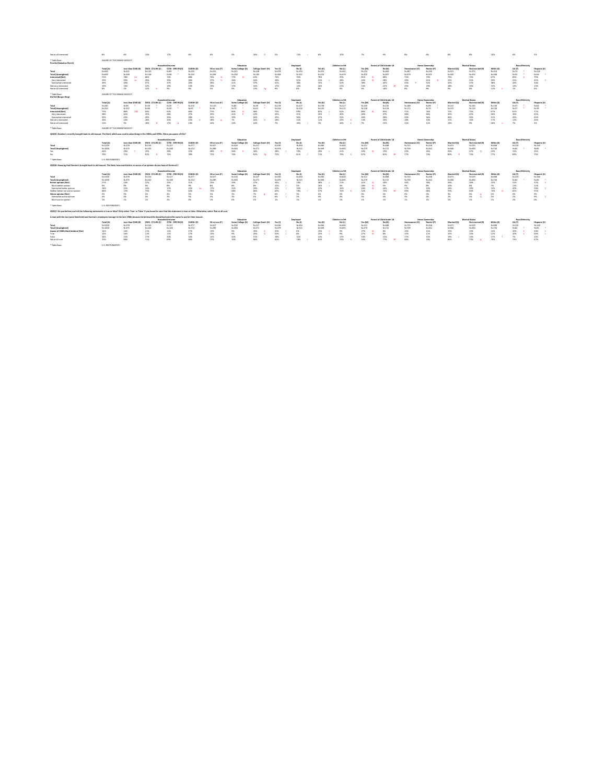\* Table Base: U.S. RESPONDENTS

| Not at all interested                           | -8%       | -6%                        | 13%                 | 17%                        | 6%         | -6%                   | 3%                    | 16%               | 5%        | 13%       | 6%        | 109                   | $1\%$     | 9%                              | 8%        |               | 6%                    | 8%          | 8%                    | 10%       | 0%             | 5%           |
|-------------------------------------------------|-----------|----------------------------|---------------------|----------------------------|------------|-----------------------|-----------------------|-------------------|-----------|-----------|-----------|-----------------------|-----------|---------------------------------|-----------|---------------|-----------------------|-------------|-----------------------|-----------|----------------|--------------|
| * Table Base:<br><b>Punchy (Hawaiian Punch)</b> |           | AWARE OF THIS BRAND MASCOT |                     |                            |            |                       |                       |                   |           |           |           |                       |           |                                 |           |               |                       |             |                       |           |                |              |
|                                                 |           |                            |                     | <b>Household Income</b>    |            |                       | Education             |                   |           | Employed  |           | <b>Children in HH</b> |           | <b>Parent of Child Under 18</b> |           |               | <b>Home Ownership</b> |             | <b>Marital Status</b> |           | Race/Ethnicity |              |
|                                                 | Total (A) | Less than \$50K (B)        | \$50K - \$74.9K (C) | <b>\$75K - \$99.9K (D)</b> | \$100K+(E) | HS or Less (F)        | <b>Some College (</b> | College Grad+ (H) | Yes (I)   | No(J)     | Yes (K)   | No (L)                | Yes (M)   | No(N)                           |           | Homeowner (O) | Renter (P)            | Married (Q) | Not married (R        | White (S  | <b>AA (T)</b>  | Hispanic (U) |
| Total                                           | $N = 694$ | $N = 201$                  | $N = 120$           | $N = 83$                   | $N = 245$  | $N = 232$             | $N = 241$             | N=148             | $N = 378$ | $N = 316$ | $N = 253$ | $N = 441$             | $N = 224$ | $N = 469$                       | $N = 487$ |               | $N = 190$             | $N = 321$   | $N = 373$             | $N = 410$ | $N=74$         | $N = 126$    |
| <b>Total (Unweighted)</b>                       | N=699     | $N = 269$                  | $N = 148$           | $N=98$                     | $N = 144$  | $N = 209$             | $N = 228$             | $N = 183$         | $N = 358$ | $N = 341$ | $N=220$   | $N = 479$             | $N = 202$ | $N = 497$                       | $N = 479$ |               | $N = 201$             | $N = 345$   | $N = 354$             | $N = 508$ | $N=55$         | $N=66$       |
| <b>Interested (Net)</b>                         | 72%       | 78%                        | 66%                 | 72%                        | 68%        | 76%                   | 77%                   | 63%               | 74%       | 70%       | 76%       | 70%                   | 81%       | 68%                             | 72%       |               | 73%                   | 72%         | 72%                   | 67%       | 85%            | 79%          |
| Very interested                                 | 33%       | 39%                        | 29%                 | 35%                        | 28%        | 37%                   | 36%                   | 26%               | 34%       | 32%       | 41%       | 28%                   | 43%       | 28%                             | 29%       |               | 41%                   | 31%         | 35%                   | 30%       | 41%            | 45%          |
| Somewhat interested                             | 39%       | 40%                        | 37%                 | 37%                        | 40%        | 38%                   | 41%                   | 37%               | 41%       | 38%       | 35%       | 42%                   | 38%       | 40%                             | 43%       |               | 32%                   | 42%         | 37%                   | 38%       | 44%            | 34%          |
| Not very interested                             | 19%       | 16%                        | 22%                 | 19%                        | 23%        | 19%                   | 17%                   | 24%               | 17%       | 22%       | 16%       | 21%                   | 13%       | 22%                             | 19%       |               | 19%                   | 18%         | 209                   | 22%       | 139            | 15%          |
| Not at all interested                           | 8%        | 5%                         | 12%                 | 9%                         | 9%         | 5%                    | 6%                    | 13%               | 9%        | 8%        | 8%        | 9%                    | 6%        | 10%                             | 8%        |               | 8%                    | 9%          | 8%                    | 11%       | 1%             | 6%           |
| * Table Base:<br><b>Kid Vid (Burger King)</b>   |           | AWARE OF THIS BRAND MASCOT |                     |                            |            |                       |                       |                   |           |           |           |                       |           |                                 |           |               |                       |             |                       |           |                |              |
|                                                 |           |                            |                     | <b>Household Income</b>    |            |                       | Education             |                   |           | Employed  |           | Children in HH        |           | <b>Parent of Child Under 18</b> |           |               | <b>Home Ownership</b> |             | <b>Marital Status</b> |           | Race/Ethnicity |              |
|                                                 | Total (A) | Less than \$50K (B)        | \$50K - \$74.9K (C) | \$75K - \$99.9K (D)        | \$100K+(E) | <b>HS or Less (F)</b> | Some College (G)      | College Grad+ (H) | Yes (I)   | No (J)    | Yes (K)   | No (L)                | Yes (M)   | No (N)                          |           | Homeowner (O) | Renter (P)            | Married (Q) | <b>Not married (R</b> | White (S  | AA (T)         | Hispanic (U) |
| Total                                           | $N = 285$ | $N=96$                     | $N=39$              | $N=35$                     | $N = 103$  | $N = 120$             | $N=80$                | $N = 49$          | $N = 178$ | $N = 107$ | $N = 158$ | $N = 127$             | $N = 149$ | $N = 135$                       | $N = 188$ |               | $N=89$                | $N = 141$   | $N = 144$             | $N = 130$ | $N=57$         | $N=66$       |
| <b>Total (Unweighted)</b>                       | $N = 256$ | $N = 107$                  | $N=48$              | $N=30$                     | $N=63$     | $N=96$                | $N=74$                | N=45              | $N = 154$ | $N = 102$ | $N = 135$ | $N = 121$             | $N = 128$ | $N = 128$                       | $N = 171$ |               | $N=79$                | $N = 137$   | $N = 119$             | $N = 150$ | $N=37$         | $N=39$       |
| <b>Interested (Net)</b>                         | 73%       | 86%                        | 63%                 | 63%                        | 66%        | 73%                   | 80%                   | 58%               | 75%       | 69%       | 82%       | 61%                   | 80%       | 65%                             | 71%       |               | 76%                   | 71%         | 75%                   | 67%       | 81%            | 77%          |
| Very interested                                 | 38%       | 42%                        | 35%                 | 28%                        | 37%        | 39%                   | 41%                   | 22%               | 43%       | 31%       | 45%       | 30%                   | 40%       | 37%                             | 38%       |               | 40%                   | 35%         | 42%                   | 36%       | 36%            | 43%          |
| Somewhat interested                             | 35%       | 43%                        | 29%                 | 35%                        | 28%        | 34%                   | 39%                   | 36%               | 33%       | 38%       | 37%       | 319                   | 40%       | 28%                             | 33%       |               | 36%                   | 36%         | 34%                   | 31%       | 45%            | 34%          |
| Not very interested                             | 16%       | 10%                        | 18%                 | 20%                        | 22%        | 18%                   | 7%                    | 26%               | 18%       | 13%       | 11%       | 23%                   | 13%       | 20%                             | 18%       |               | 13%                   | 17%         | 169                   | 17%       | 129            | 20%          |
| Not at all interested                           | 11%       | 5%                         | 18%                 | 17%                        | 13%        | 10%                   | 13%                   | 16%               | 7%        | 18%       | 7%        | 16%                   | 7%        | 15%                             | 11%       |               | 119                   | 13%         | 9%                    | 16%       | 7%             | 3%           |
| * Table Base:                                   |           | AWARE OF THIS BRAND MASCOT |                     |                            |            |                       |                       |                   |           |           |           |                       |           |                                 |           |               |                       |             |                       |           |                |              |

**QS2Q6: Knowing that Domino's brought back its old mascot, The Noid, how much better or worse of an opinion do you have of Domino's?**

|                    |           |           |                                         | <b>Household Income</b> |                    |                       | Education |                 |       |                                                                                                                    |                       | Children in HH |                     | <b>Parent of Child Under 18</b> |                          | <b>Home Ownership</b> |           | <b>Marital Status</b>                 | Race/Ethnicity                                |              |
|--------------------|-----------|-----------|-----------------------------------------|-------------------------|--------------------|-----------------------|-----------|-----------------|-------|--------------------------------------------------------------------------------------------------------------------|-----------------------|----------------|---------------------|---------------------------------|--------------------------|-----------------------|-----------|---------------------------------------|-----------------------------------------------|--------------|
|                    | Total (A) |           | Less than \$50K (B) \$50K - \$74.9K (C) | \$75K - \$99.9K (D)     | <b>\$100K+ (E)</b> | <b>HS or Less (F)</b> |           |                 |       | $N_{\rm O}(J)$                                                                                                     | Yes (K)        No (L) |                | Yes (M)             |                                 | Homeowner (O) Renter (P) |                       |           | Married (Q) Mot married (R) White (S) | AA (T)                                        | Hispanic (U) |
| Total              | N=1000    |           |                                         | N=127                   | $N=377$            | N=327                 | $N = 318$ | $N=227$ $N=536$ |       |                                                                                                                    |                       |                | $N = 312$ $N = 688$ |                                 | $N=725$ $N=248$          |                       | $N = 471$ | $N=529$ $N=608$ $N=120$               |                                               | $N = 160$    |
| Total (Unweighted) | N=1000    | N=375     | $N=202$                                 | N=148                   | $N = 214$          | $N = 289$             | $N=306$   | N=271           | N=479 | N=521 N=309 N=309                                                                                                  |                       |                | $N = 279$           |                                 | N=721 N=709 N=262        |                       | $N = 506$ |                                       | N=494        N=734       N=82   *    N=85   * |              |
| Yes                | 24%       | 29% C 19% |                                         | 28%                     | 22%                |                       |           |                 |       | 28% H 26% h 18%      28% J 19%       29% L 21%       33% N 19%       23%      26%                                  |                       |                |                     |                                 |                          |                       | 20%       | $27\%$ Q 23% 31%                      |                                               | 25%          |
| No l               | 76%       |           | 81% B                                   | 72%                     | 78%                |                       |           |                 |       | 72%      74%      82%  Fg   72%      81%      71%      79%       81%       77%      74%      80%  R   73%      77% |                       |                |                     |                                 |                          |                       |           |                                       | 69%                                           | 75%          |

\* Table Base: U.S. RESPONDENTS

**QS2Q7: Do you believe each of the following statements is true or false? Only select 'True' or 'False' if you know for sure that the statement is true or false. Otherwise, select 'Not at all sure.'**

|                                  |           |                     |                     | <b>Household Income</b> |                    |                | <b>Educatio</b>  |                   |         | <b>Employe</b> |           | Children in HI |           |           |               | <b>Home Ownership</b> |             | <b>Marital Status</b> |           | Race/Ethnicity |              |
|----------------------------------|-----------|---------------------|---------------------|-------------------------|--------------------|----------------|------------------|-------------------|---------|----------------|-----------|----------------|-----------|-----------|---------------|-----------------------|-------------|-----------------------|-----------|----------------|--------------|
|                                  | Total (A) | Less than \$50K (B) | \$50K - \$74.9K (C) | \$75K - \$99.9K (D)     | <b>\$100K+ (E)</b> | HS or Less (F) | Some College (G) | College Grad+ (H) | Yes (l) | No(1)          | Yes (K)   | No (L)         | Yes (M)   | No (N)    | Homeowner (O) | Renter (P)            | Married (Q) | Not married (R)       | White (S) | <b>AA (T)</b>  | Hispanic (U) |
| <b>Total</b>                     | N=1000    | N=278               | $N = 156$           | N=127                   | $N = 377$          | N=327          | $N = 318$        | N=227             | N=536   | $N = 464$      | N=360     | $N = 640$      | $N = 312$ | $N = 688$ | $N = 725$     |                       | N=471       | $N = 529$             | $N = 608$ | N=120          | N=160        |
| Total (Unweighter                | N=1000    | $N = 375$           | $N = 202$           | $N = 148$               |                    | $N = 289$      | N=306            | $N = 271$         | N=479   | $N = 521$      | $N = 309$ | $N = 691$      | N=279     | N=721     | N=709         |                       | N=506       | $N = 494$             | $N = 734$ | $N=82$         | N=85         |
| Better opinion (Net)             |           |                     | 22%                 |                         |                    | 25%            | 29%              |                   |         | 19%            | 38%       | 21%            | 41%       | 20%       |               |                       | 26%         |                       | 22%       |                |              |
| Much better opinion              | 9%        |                     |                     |                         | 9%                 | 8%             |                  | 8%                |         |                | 16%       | 4%             | 18%       |           |               | -8%                   |             |                       |           |                | 11%          |
| Somewhat better opinion          | 18%       |                     | 14%                 |                         |                    | 17%            |                  |                   |         | 14%            |           | 16%            |           | 16%       |               |                       |             |                       | 15%       | 20%            | 26%          |
| Neither better nor worse opinion | 68%       |                     |                     |                         | 64%                | 70%            | 68%              |                   |         |                |           |                |           | 75%       | 69%           |                       |             |                       | 74%       | 65%            |              |
| <b>Worse opinion (Net)</b>       |           |                     |                     |                         |                    |                |                  |                   |         |                |           | 5%             | 6%        | 4%        |               |                       |             |                       |           |                |              |

|                                    |            |                     |                     | <b>Household Income</b> |            |            | Education        |                   |           | <b>Employed</b> |           | <b>Children in HH</b> |           | <b>Parent of Child Under 18</b> |       | <b>Home Ownership</b> |             | <b>Marital Status</b> |           | <b>Race/Ethnicit</b> y |             |
|------------------------------------|------------|---------------------|---------------------|-------------------------|------------|------------|------------------|-------------------|-----------|-----------------|-----------|-----------------------|-----------|---------------------------------|-------|-----------------------|-------------|-----------------------|-----------|------------------------|-------------|
|                                    | Total (A)  | Less than \$50K (B) | \$50K - \$74.9K (C) | \$75K - \$99.9K (D)     | \$100K+ (E | HS or Less | Some College (G) | College Grad+ (H) | Yes (l    | No (J)          | Yes (K)   | No (L)                | Yes (M)   |                                 |       | Renter (              | Married (Q) | Not married (R)       | White (S) | <b>AA</b> (T)          | Hispanic (I |
| <b>Total</b>                       | $N = 1000$ | $N = 278$           | <b>N=13C</b>        | N=127                   | N=377      | N=327      |                  | N=227             | $N = 536$ | $N = 464$       | $N = 360$ | N=640                 | $N = 312$ | N=688                           | N=725 |                       | N=471       | N=529                 |           | N=120                  | $N = 160$   |
| <b>Total (Unweighte</b>            | $N = 1000$ | $N = 375$           | $N = 202$           | $N = 148$               | $N = 214$  | N=289      | N=306            | $N = 271$         | $N = 479$ | $N = 521$       | $N = 309$ | N=691                 | $N = 279$ | $N = 721$                       | N=709 | $N = 262$             | $N = 506$   | $N = 494$             |           | $N=82$                 | $N = 85$    |
| Aware of 1980s Noid Incident (Net) | 14%        |                     |                     |                         | 17%        | 13%        | .9%              | 20%               | 20%       | 8%              | 23%       | 9% .                  | 27%       | -8%                             |       | L L%                  | エコンの        | ⊥3%                   |           | 20%                    |             |
| True                               | 14%        |                     |                     |                         | 17%        | 13%        | 9%               | 20%               | 20%       | 8%              | 23%       |                       | 27%       | 8%                              |       | ⊥⊥%                   |             |                       |           | 20%                    |             |
| False                              | 16%        |                     |                     | 20%                     | 16%        | 14%        | 20%              | 15%               | 18%       | 14%             | 14%       | <b>17%</b>            | 19%       | 15%                             |       | LJ 70                 | 19%         | 14%                   |           |                        |             |
| Not at all sure                    | 70%        | 68%                 |                     | 69%                     | 68%        | 72%        | 70%              | 66%               | 62%       | 78%             |           | 74%                   | 54%       | 77%                             | 68%   | 74%                   | ხხ%         |                       |           |                        |             |

\* Table Base: U.S. RESPONDENTS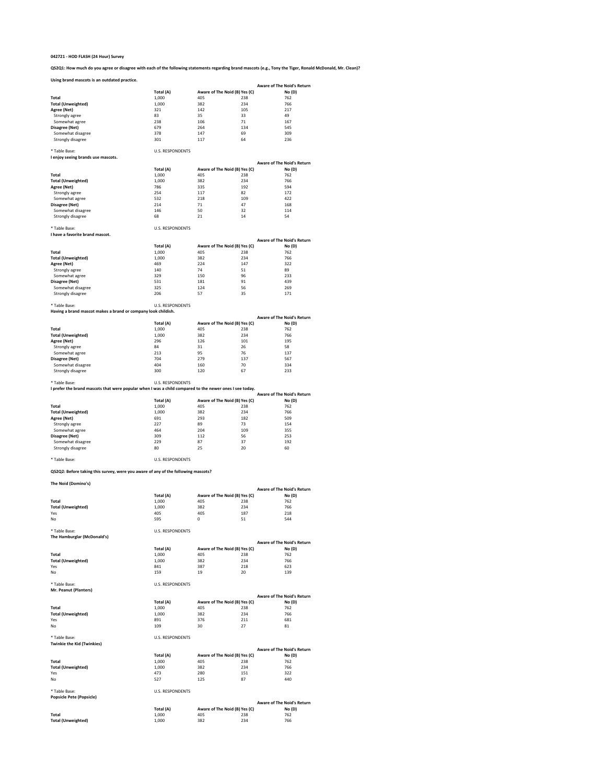**QS2Q1: How much do you agree or disagree with each of the following statements regarding brand mascots (e.g., Tony the Tiger, Ronald McDonald, Mr. Clean)?**

#### **Using brand mascots is an outdated practice.**

\* Table Base: U.S. RESPONDENTS

| I enjoy seeing brands use mascots. |  |  |
|------------------------------------|--|--|
|------------------------------------|--|--|

\* Table Base: U.S. RESPONDENTS

**I have a favorite brand mascot.**

\* Table Base: U.S. RESPONDENTS

**Having a brand mascot makes a brand or company look childish.**

**Total (A) Aware of The Noid (B) Yes (C) No (D)** <br>1,000 **405** 238 762 **Total** 1,000 405 238 762 **Total (Unweighted)** 1,000 382 234 234 766 **Agree (Net) Agree (Net) 147** 322 Strongly agree 140 140 74 51 89 Somewhat agree 329 329 329 350 350 36 329 329 329 329 329 333 **Disagree (Net)** 531 531 181 91 439 Somewhat disagree 325 325 124 56 36 269 Strongly disagree 206 206 57 35 35 171 **Aware of The Noid's Return**

\* Table Base: U.S. RESPONDENTS

| Table Base. | U.S. RESPUNDENTS |
|-------------|------------------|
|             |                  |

| Using brand mascots is an outdated practice. |           |     |                               |                                   |
|----------------------------------------------|-----------|-----|-------------------------------|-----------------------------------|
|                                              |           |     |                               | <b>Aware of The Noid's Return</b> |
|                                              | Total (A) |     | Aware of The Noid (B) Yes (C) | No(D)                             |
| <b>Total</b>                                 | 1,000     | 405 | 238                           | 762                               |
| <b>Total (Unweighted)</b>                    | 1,000     | 382 | 234                           | 766                               |
| Agree (Net)                                  | 321       | 142 | 105                           | 217                               |
| Strongly agree                               | 83        | 35  | 33                            | 49                                |
| Somewhat agree                               | 238       | 106 | 71                            | 167                               |
| Disagree (Net)                               | 679       | 264 | 134                           | 545                               |
| Somewhat disagree                            | 378       | 147 | 69                            | 309                               |
| Strongly disagree                            | 301       | 117 | 64                            | 236                               |
|                                              |           |     |                               |                                   |

**I prefer the brand mascots that were popular when I was a child compared to the newer ones I see today.**

|                    |           |     |                               | <b>Aware of The Noid's Return</b> |
|--------------------|-----------|-----|-------------------------------|-----------------------------------|
|                    | Total (A) |     | Aware of The Noid (B) Yes (C) | No(D)                             |
| Total              | 1,000     | 405 | 238                           | 762                               |
| Total (Unweighted) | 1,000     | 382 | 234                           | 766                               |
| Agree (Net)        | 786       | 335 | 192                           | 594                               |
| Strongly agree     | 254       | 117 | 82                            | 172                               |
| Somewhat agree     | 532       | 218 | 109                           | 422                               |
| Disagree (Net)     | 214       | 71  | 47                            | 168                               |
| Somewhat disagree  | 146       | 50  | 32                            | 114                               |
| Strongly disagree  | 68        | 21  | 14                            | 54                                |
|                    |           |     |                               |                                   |

\* Table Base: U.S. RESPONDENTS

**QS2Q2: Before taking this survey, were you aware of any of the following mascots?**

|                           |           |     |                               | <b>Aware of The Noid's Return</b> |
|---------------------------|-----------|-----|-------------------------------|-----------------------------------|
|                           | Total (A) |     | Aware of The Noid (B) Yes (C) | No(D)                             |
| <b>Total</b>              | 1,000     | 405 | 238                           | 762                               |
| <b>Total (Unweighted)</b> | 1,000     | 382 | 234                           | 766                               |
| Agree (Net)               | 296       | 126 | 101                           | 195                               |
| Strongly agree            | 84        | 31  | 26                            | 58                                |
| Somewhat agree            | 213       | 95  | 76                            | 137                               |
| Disagree (Net)            | 704       | 279 | 137                           | 567                               |
| Somewhat disagree         | 404       | 160 | 70                            | 334                               |
| Strongly disagree         | 300       | 120 | 67                            | 233                               |

|                           |           |     |                               | <b>Aware of The Noid's Return</b> |
|---------------------------|-----------|-----|-------------------------------|-----------------------------------|
|                           | Total (A) |     | Aware of The Noid (B) Yes (C) | No(D)                             |
| <b>Total</b>              | 1,000     | 405 | 238                           | 762                               |
| <b>Total (Unweighted)</b> | 1,000     | 382 | 234                           | 766                               |
| Agree (Net)               | 691       | 293 | 182                           | 509                               |
| Strongly agree            | 227       | 89  | 73                            | 154                               |
| Somewhat agree            | 464       | 204 | 109                           | 355                               |
| Disagree (Net)            | 309       | 112 | 56                            | 253                               |
| Somewhat disagree         | 229       | 87  | 37                            | 192                               |
| Strongly disagree         | 80        | 25  | 20                            | 60                                |

| The Noid (Domino's)               |                         |     |                               |                                   |
|-----------------------------------|-------------------------|-----|-------------------------------|-----------------------------------|
|                                   |                         |     |                               | <b>Aware of The Noid's Return</b> |
|                                   | Total (A)               |     | Aware of The Noid (B) Yes (C) | No(D)                             |
| <b>Total</b>                      | 1,000                   | 405 | 238                           | 762                               |
| <b>Total (Unweighted)</b>         | 1,000                   | 382 | 234                           | 766                               |
| Yes                               | 405                     | 405 | 187                           | 218                               |
| No                                | 595                     | 0   | 51                            | 544                               |
| * Table Base:                     | <b>U.S. RESPONDENTS</b> |     |                               |                                   |
| The Hamburglar (McDonald's)       |                         |     |                               |                                   |
|                                   |                         |     |                               | <b>Aware of The Noid's Return</b> |
|                                   | Total (A)               |     | Aware of The Noid (B) Yes (C) | No(D)                             |
| <b>Total</b>                      | 1,000                   | 405 | 238                           | 762                               |
| <b>Total (Unweighted)</b>         | 1,000                   | 382 | 234                           | 766                               |
| Yes                               | 841                     | 387 | 218                           | 623                               |
| No                                | 159                     | 19  | 20                            | 139                               |
| * Table Base:                     | <b>U.S. RESPONDENTS</b> |     |                               |                                   |
| Mr. Peanut (Planters)             |                         |     |                               |                                   |
|                                   |                         |     |                               | <b>Aware of The Noid's Return</b> |
|                                   | Total (A)               |     | Aware of The Noid (B) Yes (C) | No (D)                            |
| <b>Total</b>                      | 1,000                   | 405 | 238                           | 762                               |
| <b>Total (Unweighted)</b>         | 1,000                   | 382 | 234                           | 766                               |
| Yes                               | 891                     | 376 | 211                           | 681                               |
| No                                | 109                     | 30  | 27                            | 81                                |
| * Table Base:                     | <b>U.S. RESPONDENTS</b> |     |                               |                                   |
| <b>Twinkie the Kid (Twinkies)</b> |                         |     |                               |                                   |
|                                   |                         |     |                               | <b>Aware of The Noid's Return</b> |
|                                   | Total (A)               |     | Aware of The Noid (B) Yes (C) | No(D)                             |
| <b>Total</b>                      | 1,000                   | 405 | 238                           | 762                               |
| <b>Total (Unweighted)</b>         | 1,000                   | 382 | 234                           | 766                               |
| Yes                               | 473                     | 280 | 151                           | 322                               |
| No                                | 527                     | 125 | 87                            | 440                               |
| * Table Base:                     | <b>U.S. RESPONDENTS</b> |     |                               |                                   |
| <b>Popsicle Pete (Popsicle)</b>   |                         |     |                               |                                   |
|                                   |                         |     |                               | <b>Aware of The Noid's Return</b> |

|                           |           |     |                               | <b>Aware of The Noid's Retur</b> |
|---------------------------|-----------|-----|-------------------------------|----------------------------------|
|                           | Total (A) |     | Aware of The Noid (B) Yes (C) | No(D)                            |
| Total                     | 000.ء     | 405 | 238                           | 762                              |
| <b>Total (Unweighted)</b> | 000,⊥     | 382 | 234                           | 766                              |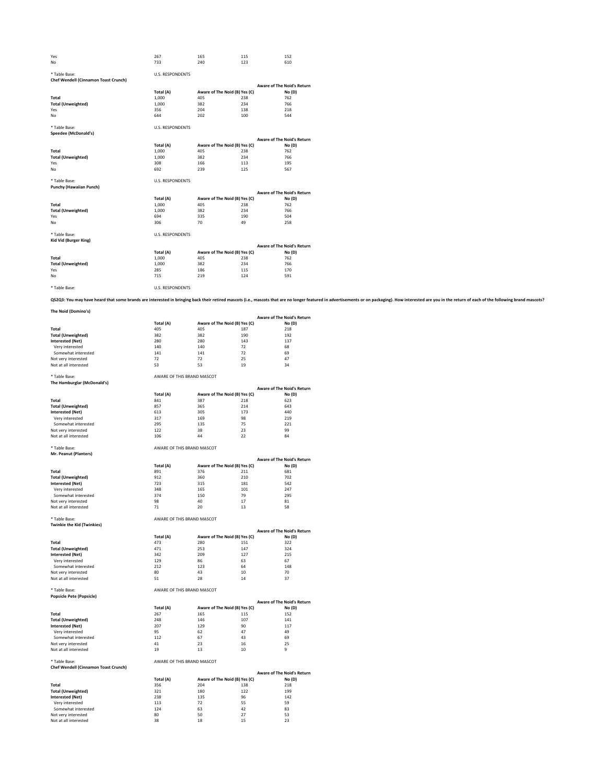## **The Noid (Domino's)**

\* Table Base: AWARE OF THIS BRAND MASCOT **The Hamburglar (McDonald's)**

| Yes<br>No                                   | 267<br>733              | 165<br>240 | 115<br>123                    | 152<br>610                        |
|---------------------------------------------|-------------------------|------------|-------------------------------|-----------------------------------|
|                                             |                         |            |                               |                                   |
| * Table Base:                               | <b>U.S. RESPONDENTS</b> |            |                               |                                   |
| <b>Chef Wendell (Cinnamon Toast Crunch)</b> |                         |            |                               |                                   |
|                                             |                         |            |                               | <b>Aware of The Noid's Return</b> |
|                                             | Total (A)               |            | Aware of The Noid (B) Yes (C) | No (D)                            |
| <b>Total</b>                                | 1,000                   | 405        | 238                           | 762                               |
| <b>Total (Unweighted)</b>                   | 1,000                   | 382        | 234                           | 766                               |
| Yes                                         | 356                     | 204        | 138                           | 218                               |
| No                                          | 644                     | 202        | 100                           | 544                               |
| * Table Base:                               | <b>U.S. RESPONDENTS</b> |            |                               |                                   |
| <b>Speedee (McDonald's)</b>                 |                         |            |                               |                                   |
|                                             |                         |            |                               | <b>Aware of The Noid's Return</b> |
|                                             | Total (A)               |            | Aware of The Noid (B) Yes (C) | No(D)                             |
| <b>Total</b>                                | 1,000                   | 405        | 238                           | 762                               |
| <b>Total (Unweighted)</b>                   | 1,000                   | 382        | 234                           | 766                               |
| Yes                                         | 308                     | 166        | 113                           | 195                               |
| No                                          | 692                     | 239        | 125                           | 567                               |
| * Table Base:                               | <b>U.S. RESPONDENTS</b> |            |                               |                                   |
| <b>Punchy (Hawaiian Punch)</b>              |                         |            |                               |                                   |
|                                             |                         |            |                               | <b>Aware of The Noid's Return</b> |
|                                             | Total (A)               |            | Aware of The Noid (B) Yes (C) | No(D)                             |
| <b>Total</b>                                | 1,000                   | 405        | 238                           | 762                               |
| <b>Total (Unweighted)</b>                   | 1,000                   | 382        | 234                           | 766                               |
| Yes                                         | 694                     | 335        | 190                           | 504                               |
| No                                          | 306                     | 70         | 49                            | 258                               |
| * Table Base:                               | <b>U.S. RESPONDENTS</b> |            |                               |                                   |
| <b>Kid Vid (Burger King)</b>                |                         |            |                               |                                   |
|                                             |                         |            |                               | <b>Aware of The Noid's Return</b> |
|                                             | Total (A)               |            | Aware of The Noid (B) Yes (C) | No(D)                             |
| <b>Total</b>                                | 1,000                   | 405        | 238                           | 762                               |
| <b>Total (Unweighted)</b>                   | 1,000                   | 382        | 234                           | 766                               |
| Yes                                         | 285                     | 186        | 115                           | 170                               |
| No                                          | 715                     | 219        | 124                           | 591                               |
| * Table Base:                               | <b>U.S. RESPONDENTS</b> |            |                               |                                   |
|                                             |                         |            |                               |                                   |

QS2Q3: You may have heard that some brands are interested in bringing back their retired mascots (i.e., mascots that are no longer featured in advertisements or on packaging). How interested are you in the return of each o

## \* Table Base: AWARE OF THIS BRAND MASCOT

## **Mr. Peanut (Planters)**

## \* Table Base: AWARE OF THIS BRAND MASCOT

## **Twinkie the Kid (Twinkies)**

|                           |           |     |                               | <b>Aware of The Noid's Return</b> |
|---------------------------|-----------|-----|-------------------------------|-----------------------------------|
|                           | Total (A) |     | Aware of The Noid (B) Yes (C) | No(D)                             |
| <b>Total</b>              | 405       | 405 | 187                           | 218                               |
| <b>Total (Unweighted)</b> | 382       | 382 | 190                           | 192                               |
| Interested (Net)          | 280       | 280 | 143                           | 137                               |
| Very interested           | 140       | 140 | 72                            | 68                                |
| Somewhat interested       | 141       | 141 | 72                            | 69                                |
| Not very interested       | 72        | 72  | 25                            | 47                                |
| Not at all interested     | 53        | 53  | 19                            | 34                                |

| . .                       | Total (A) |     | Aware of The Noid (B) Yes (C) | <b>Aware of The Noid's Return</b><br>No(D) |
|---------------------------|-----------|-----|-------------------------------|--------------------------------------------|
| <b>Total</b>              | 841       | 387 | 218                           | 623                                        |
| <b>Total (Unweighted)</b> | 857       | 365 | 214                           | 643                                        |
| <b>Interested (Net)</b>   | 613       | 305 | 173                           | 440                                        |
| Very interested           | 317       | 169 | 98                            | 219                                        |
| Somewhat interested       | 295       | 135 | 75                            | 221                                        |
| Not very interested       | 122       | 38  | 23                            | 99                                         |
| Not at all interested     | 106       | 44  | 22                            | 84                                         |

## \* Table Base: AWARE OF THIS BRAND MASCOT

**Popsicle Pete (Popsicle)**

|                           |           |     |                               | <b>Aware of The Noid's Return</b> |
|---------------------------|-----------|-----|-------------------------------|-----------------------------------|
|                           | Total (A) |     | Aware of The Noid (B) Yes (C) | No(D)                             |
| <b>Total</b>              | 891       | 376 | 211                           | 681                               |
| <b>Total (Unweighted)</b> | 912       | 360 | 210                           | 702                               |
| <b>Interested (Net)</b>   | 723       | 315 | 181                           | 542                               |
| Very interested           | 348       | 165 | 101                           | 247                               |
| Somewhat interested       | 374       | 150 | 79                            | 295                               |
| Not very interested       | 98        | 40  | 17                            | 81                                |
| Not at all interested     | 71        | 20  | 13                            | 58                                |
|                           |           |     |                               |                                   |

|                           |           |     |                               | <b>Aware of The Noid's Return</b> |
|---------------------------|-----------|-----|-------------------------------|-----------------------------------|
|                           | Total (A) |     | Aware of The Noid (B) Yes (C) | No(D)                             |
| <b>Total</b>              | 473       | 280 | 151                           | 322                               |
| <b>Total (Unweighted)</b> | 471       | 253 | 147                           | 324                               |
| <b>Interested (Net)</b>   | 342       | 209 | 127                           | 215                               |
| Very interested           | 129       | 86  | 63                            | 67                                |
| Somewhat interested       | 212       | 123 | 64                            | 148                               |
| Not very interested       | 80        | 43  | 10                            | 70                                |
| Not at all interested     | 51        | 28  | 14                            | 37                                |

## \* Table Base: AWARE OF THIS BRAND MASCOT **Chef Wendell (Cinnamon Toast Crunch)**

|                           |           |     |                               | <b>Aware of The Noid's Return</b> |
|---------------------------|-----------|-----|-------------------------------|-----------------------------------|
|                           | Total (A) |     | Aware of The Noid (B) Yes (C) | No(D)                             |
| <b>Total</b>              | 267       | 165 | 115                           | 152                               |
| <b>Total (Unweighted)</b> | 248       | 146 | 107                           | 141                               |
| <b>Interested (Net)</b>   | 207       | 129 | 90                            | 117                               |
| Very interested           | 95        | 62  | 47                            | 49                                |
| Somewhat interested       | 112       | 67  | 43                            | 69                                |
| Not very interested       | 41        | 23  | 16                            | 25                                |
| Not at all interested     | 19        | 13  | 10                            | 9                                 |

|                       |           |     |                               | <b>Aware of The Noid's Return</b> |
|-----------------------|-----------|-----|-------------------------------|-----------------------------------|
|                       | Total (A) |     | Aware of The Noid (B) Yes (C) | No(D)                             |
| <b>Total</b>          | 356       | 204 | 138                           | 218                               |
| Total (Unweighted)    | 321       | 180 | 122                           | 199                               |
| Interested (Net)      | 238       | 135 | 96                            | 142                               |
| Very interested       | 113       | 72  | 55                            | 59                                |
| Somewhat interested   | 124       | 63  | 42                            | 83                                |
| Not very interested   | 80        | 50  | 27                            | 53                                |
| Not at all interested | 38        | 18  | 15                            | 23                                |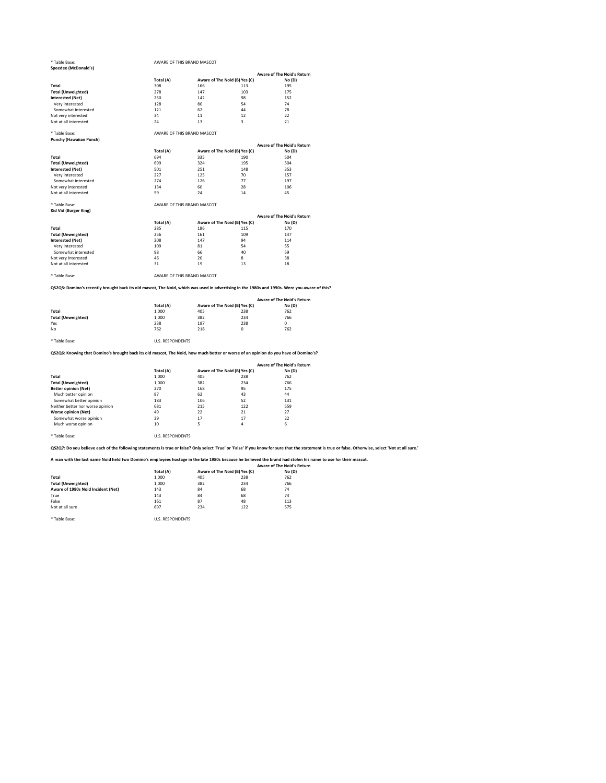\* Table Base: AWARE OF THIS BRAND MASCOT

\* Table Base: AWARE OF THIS BRAND MASCOT

**Punchy (Hawaiian Punch)**

## \* Table Base: AWARE OF THIS BRAND MASCOT

**Kid Vid (Burger King)**

\* Table Base: AWARE OF THIS BRAND MASCOT

**QS2Q5: Domino's recently brought back its old mascot, The Noid, which was used in advertising in the 1980s and 1990s. Were you aware of this?**

\* Table Base: U.S. RESPONDENTS

| Speedee (McDonald's)      |           |     |                               |                                   |
|---------------------------|-----------|-----|-------------------------------|-----------------------------------|
|                           |           |     |                               | <b>Aware of The Noid's Return</b> |
|                           | Total (A) |     | Aware of The Noid (B) Yes (C) | No(D)                             |
| <b>Total</b>              | 308       | 166 | 113                           | 195                               |
| <b>Total (Unweighted)</b> | 278       | 147 | 103                           | 175                               |
| <b>Interested (Net)</b>   | 250       | 142 | 98                            | 152                               |
| Very interested           | 128       | 80  | 54                            | 74                                |
| Somewhat interested       | 121       | 62  | 44                            | 78                                |
| Not very interested       | 34        | 11  | 12                            | 22                                |
| Not at all interested     | 24        | 13  | 3                             | 21                                |

**QS2Q6: Knowing that Domino's brought back its old mascot, The Noid, how much better or worse of an opinion do you have of Domino's?**

|                           |           |     |                               | <b>Aware of The Noid's Return</b> |
|---------------------------|-----------|-----|-------------------------------|-----------------------------------|
|                           | Total (A) |     | Aware of The Noid (B) Yes (C) | No(D)                             |
| <b>Total</b>              | 694       | 335 | 190                           | 504                               |
| <b>Total (Unweighted)</b> | 699       | 324 | 195                           | 504                               |
| <b>Interested (Net)</b>   | 501       | 251 | 148                           | 353                               |
| Very interested           | 227       | 125 | 70                            | 157                               |
| Somewhat interested       | 274       | 126 | 77                            | 197                               |
| Not very interested       | 134       | 60  | 28                            | 106                               |
| Not at all interested     | 59        | 24  | 14                            | 45                                |

|                           | Total (A) |     | Aware of The Noid (B) Yes (C) | <b>Aware of The Noid's Return</b><br>No(D) |
|---------------------------|-----------|-----|-------------------------------|--------------------------------------------|
| <b>Total</b>              | 285       | 186 | 115                           | 170                                        |
| <b>Total (Unweighted)</b> | 256       | 161 | 109                           | 147                                        |
| <b>Interested (Net)</b>   | 208       | 147 | 94                            | 114                                        |
| Very interested           | 109       | 81  | 54                            | 55                                         |
| Somewhat interested       | 98        | 66  | 40                            | 59                                         |
| Not very interested       | 46        | 20  | 8                             | 38                                         |
| Not at all interested     | 31        | 19  | 13                            | 18                                         |

\* Table Base: U.S. RESPONDENTS

|                           |           |     |                               | <b>Aware of The Noid's Return</b> |  |
|---------------------------|-----------|-----|-------------------------------|-----------------------------------|--|
|                           | Total (A) |     | Aware of The Noid (B) Yes (C) | No(D)                             |  |
| <b>Total</b>              | 1,000     | 405 | 238                           | 762                               |  |
| <b>Total (Unweighted)</b> | 1,000     | 382 | 234                           | 766                               |  |
| Yes                       | 238       | 187 | 238                           | 0                                 |  |
| No                        | 762       | 218 |                               | 762                               |  |
|                           |           |     |                               |                                   |  |

**QS2Q7: Do you believe each of the following statements is true or false? Only select 'True' or 'False' if you know for sure that the statement is true or false. Otherwise, select 'Not at all sure.'**

|                                  |           |     |                               | <b>Aware of The Noid's Return</b> |
|----------------------------------|-----------|-----|-------------------------------|-----------------------------------|
|                                  | Total (A) |     | Aware of The Noid (B) Yes (C) | No(D)                             |
| <b>Total</b>                     | 1,000     | 405 | 238                           | 762                               |
| <b>Total (Unweighted)</b>        | 1,000     | 382 | 234                           | 766                               |
| <b>Better opinion (Net)</b>      | 270       | 168 | 95                            | 175                               |
| Much better opinion              | 87        | 62  | 43                            | 44                                |
| Somewhat better opinion          | 183       | 106 | 52                            | 131                               |
| Neither better nor worse opinion | 681       | 215 | 122                           | 559                               |
| <b>Worse opinion (Net)</b>       | 49        | 22  | 21                            | 27                                |
| Somewhat worse opinion           | 39        | 17  | 17                            | 22                                |
| Much worse opinion               | 10        | 5   | 4                             | 6                                 |

**A man with the last name Noid held two Domino's employees hostage in the late 1980s because he believed the brand had stolen his name to use for their mascot.**

|                                    |           |                               |     | <b>Aware of The Noid's Return</b> |
|------------------------------------|-----------|-------------------------------|-----|-----------------------------------|
|                                    | Total (A) | Aware of The Noid (B) Yes (C) |     | No(D)                             |
| <b>Total</b>                       | 1,000     | 405                           | 238 | 762                               |
| <b>Total (Unweighted)</b>          | 1,000     | 382                           | 234 | 766                               |
| Aware of 1980s Noid Incident (Net) | 143       | 84                            | 68  | 74                                |
| True                               | 143       | 84                            | 68  | 74                                |
| False                              | 161       | 87                            | 48  | 113                               |
| Not at all sure                    | 697       | 234                           | 122 | 575                               |

\* Table Base: U.S. RESPONDENTS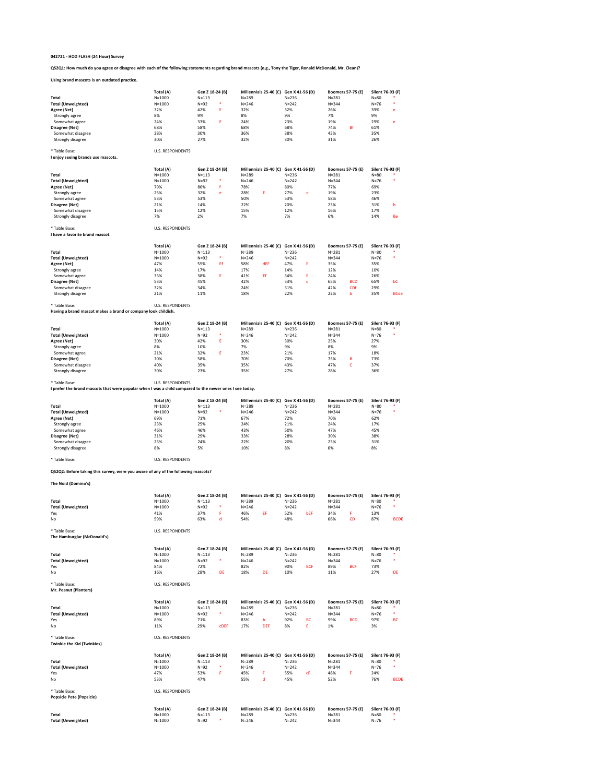**QS2Q1: How much do you agree or disagree with each of the following statements regarding brand mascots (e.g., Tony the Tiger, Ronald McDonald, Mr. Clean)?**

## **Using brand mascots is an outdated practice.**

|                           | Total (A)  | Gen Z 18-24 (B) |   | Millennials 25-40 (C) Gen X 41-56 (D) |           | <b>Boomers 57-75 (E)</b> |    | Silent 76-93 (F) |   |
|---------------------------|------------|-----------------|---|---------------------------------------|-----------|--------------------------|----|------------------|---|
| <b>Total</b>              | $N = 1000$ | $N = 113$       |   | $N = 289$                             | $N = 236$ | $N = 281$                |    | $N = 80$         |   |
| <b>Total (Unweighted)</b> | $N = 1000$ | $N=92$          | ∗ | $N = 246$                             | $N = 242$ | $N = 344$                |    | $N = 76$         |   |
| Agree (Net)               | 32%        | 42%             |   | 32%                                   | 32%       | 26%                      |    | 39%              | e |
| Strongly agree            | 8%         | 9%              |   | 8%                                    | 9%        | 7%                       |    | 9%               |   |
| Somewhat agree            | 24%        | 33%             |   | 24%                                   | 23%       | 19%                      |    | 29%              | e |
| Disagree (Net)            | 68%        | 58%             |   | 68%                                   | 68%       | 74%                      | Βf | 61%              |   |
| Somewhat disagree         | 38%        | 30%             |   | 36%                                   | 38%       | 43%                      |    | 35%              |   |
| Strongly disagree         | 30%        | 27%             |   | 32%                                   | 30%       | 31%                      |    | 26%              |   |

```
* Table Base: U.S. RESPONDENTS
```
**I enjoy seeing brands use mascots.**

|                           | Total (A)  | Gen Z 18-24 (B) |   |           | Millennials 25-40 (C) Gen X 41-56 (D) |           |   | <b>Boomers 57-75 (E)</b> | Silent 76-93 (F) |           |
|---------------------------|------------|-----------------|---|-----------|---------------------------------------|-----------|---|--------------------------|------------------|-----------|
| <b>Total</b>              | $N = 1000$ | $N = 113$       |   | $N = 289$ |                                       | $N = 236$ |   | $N = 281$                | $N = 80$         | $\ast$    |
| <b>Total (Unweighted)</b> | $N = 1000$ | $N=92$          | ∗ | $N = 246$ |                                       | $N = 242$ |   | $N = 344$                | N=76             | ∗         |
| Agree (Net)               | 79%        | 86%             |   | 78%       |                                       | 80%       |   | 77%                      | 69%              |           |
| Strongly agree            | 25%        | 32%             | e | 28%       |                                       | 27%       | e | 19%                      | 23%              |           |
| Somewhat agree            | 53%        | 53%             |   | 50%       |                                       | 53%       |   | 58%                      | 46%              |           |
| Disagree (Net)            | 21%        | 14%             |   | 22%       |                                       | 20%       |   | 23%                      | 31%              | b         |
| Somewhat disagree         | 15%        | 12%             |   | 15%       |                                       | 12%       |   | 16%                      | 17%              |           |
| Strongly disagree         | 7%         | 2%              |   | 7%        |                                       | 7%        |   | 6%                       | 14%              | <b>Be</b> |

\* Table Base: U.S. RESPONDENTS

**I have a favorite brand mascot.**

|                           | Total (A)  | Gen Z 18-24 (B) |    |           | Millennials 25-40 (C) | Gen X 41-56 (D) |             |           | <b>Boomers 57-75 (E)</b> | Silent 76-93 (F) |             |
|---------------------------|------------|-----------------|----|-----------|-----------------------|-----------------|-------------|-----------|--------------------------|------------------|-------------|
| Total                     | $N = 1000$ | $N = 113$       |    | $N = 289$ |                       | $N = 236$       |             | $N = 281$ |                          | $N = 80$         |             |
| <b>Total (Unweighted)</b> | $N = 1000$ | $N = 92$        | ∗  | $N = 246$ |                       | $N = 242$       |             | $N = 344$ |                          | $N = 76$         |             |
| Agree (Net)               | 47%        | 55%             | Ef | 58%       | dEF                   | 47%             |             | 35%       |                          | 35%              |             |
| Strongly agree            | 14%        | 17%             |    | 17%       |                       | 14%             |             | 12%       |                          | 10%              |             |
| Somewhat agree            | 33%        | 38%             |    | 41%       | Ef                    | 34%             |             | 24%       |                          | 26%              |             |
| Disagree (Net)            | 53%        | 45%             |    | 42%       |                       | 53%             | $\sim$<br>U | 65%       | <b>BCD</b>               | 65%              | bC          |
| Somewhat disagree         | 32%        | 34%             |    | 24%       |                       | 31%             |             | 42%       | <b>CDf</b>               | 29%              |             |
| Strongly disagree         | 21%        | 11%             |    | 18%       |                       | 22%             |             | 22%       |                          | 35%              | <b>BCde</b> |

\* Table Base: U.S. RESPONDENTS

**Having a brand mascot makes a brand or company look childish.**

|                           | Total (A)  | Gen Z 18-24 (B) |   | Millennials 25-40 (C) Gen X 41-56 (D) |           | <b>Boomers 57-75 (E)</b> |    | Silent 76-93 (F) |   |
|---------------------------|------------|-----------------|---|---------------------------------------|-----------|--------------------------|----|------------------|---|
| <b>Total</b>              | $N = 1000$ | $N = 113$       |   | $N = 289$                             | $N = 236$ | $N = 281$                |    | $N = 80$         | * |
| <b>Total (Unweighted)</b> | $N = 1000$ | $N=92$          | ∗ | $N = 246$                             | $N = 242$ | $N = 344$                |    | $N=76$           | ∗ |
| Agree (Net)               | 30%        | 42%             |   | 30%                                   | 30%       | 25%                      |    | 27%              |   |
| Strongly agree            | 8%         | 10%             |   | 7%                                    | 9%        | 8%                       |    | 9%               |   |
| Somewhat agree            | 21%        | 32%             |   | 23%                                   | 21%       | 17%                      |    | 18%              |   |
| Disagree (Net)            | 70%        | 58%             |   | 70%                                   | 70%       | 75%                      | в  | 73%              |   |
| Somewhat disagree         | 40%        | 35%             |   | 35%                                   | 43%       | 47%                      | J. | 37%              |   |
| Strongly disagree         | 30%        | 23%             |   | 35%                                   | 27%       | 28%                      |    | 36%              |   |

\* Table Base: U.S. RESPONDENTS

| Table Base. | U.S. RESPUNDENTS |  |
|-------------|------------------|--|
|             |                  |  |

**I prefer the brand mascots that were popular when I was a child compared to the newer ones I see today.**

|                           | Total (A)<br>Gen Z 18-24 (B) |                  | Millennials 25-40 (C) Gen X 41-56 (D) |           | <b>Boomers 57-75 (E)</b> | Silent 76-93 (F)   |  |
|---------------------------|------------------------------|------------------|---------------------------------------|-----------|--------------------------|--------------------|--|
| <b>Total</b>              | $N = 1000$                   | $N = 113$        | $N = 289$                             | $N = 236$ | $N = 281$                | $\ast$<br>$N = 80$ |  |
| <b>Total (Unweighted)</b> | $N = 1000$                   | $\ast$<br>$N=92$ | $N = 246$                             | $N = 242$ | $N = 344$                | ∗<br>$N=76$        |  |
| Agree (Net)               | 69%                          | 71%              | 67%                                   | 72%       | 70%                      | 62%                |  |
| Strongly agree            | 23%                          | 25%              | 24%                                   | 21%       | 24%                      | 17%                |  |
| Somewhat agree            | 46%                          | 46%              | 43%                                   | 50%       | 47%                      | 45%                |  |
| Disagree (Net)            | 31%                          | 29%              | 33%                                   | 28%       | 30%                      | 38%                |  |
| Somewhat disagree         | 23%                          | 24%              | 22%                                   | 20%       | 23%                      | 31%                |  |
| Strongly disagree         | 8%                           | 5%               | 10%                                   | 8%        | 6%                       | 8%                 |  |

\* Table Base: U.S. RESPONDENTS

**QS2Q2: Before taking this survey, were you aware of any of the following mascots?**

**The Noid (Domino's)**

|                                   | Total (A)               |                 | Gen Z 18-24 (B) |           | Millennials 25-40 (C) Gen X 41-56 (D) |                                       |            | <b>Boomers 57-75 (E)</b> |                          | Silent 76-93 (F) |             |
|-----------------------------------|-------------------------|-----------------|-----------------|-----------|---------------------------------------|---------------------------------------|------------|--------------------------|--------------------------|------------------|-------------|
| <b>Total</b>                      | $N = 1000$              | $N = 113$       |                 | $N = 289$ |                                       | $N = 236$                             |            | $N = 281$                |                          | $N=80$           |             |
| <b>Total (Unweighted)</b>         | $N = 1000$              | $N=92$          | $\ast$          | $N = 246$ |                                       | $N = 242$                             |            | $N = 344$                |                          | $N=76$           | $\ast$      |
| Yes                               | 41%                     | 37%             | F               | 46%       | EF.                                   | 52%                                   | bEF        | 34%                      | F.                       | 13%              |             |
| No                                | 59%                     | 63%             | d               | 54%       |                                       | 48%                                   |            | 66%                      | CD                       | 87%              | <b>BCDE</b> |
| * Table Base:                     | <b>U.S. RESPONDENTS</b> |                 |                 |           |                                       |                                       |            |                          |                          |                  |             |
| The Hamburglar (McDonald's)       |                         |                 |                 |           |                                       |                                       |            |                          |                          |                  |             |
|                                   | Total (A)               |                 | Gen Z 18-24 (B) |           | Millennials 25-40 (C) Gen X 41-56 (D) |                                       |            |                          | <b>Boomers 57-75 (E)</b> | Silent 76-93 (F) |             |
| <b>Total</b>                      | $N = 1000$              | $N = 113$       |                 | $N = 289$ |                                       | $N = 236$                             |            | $N = 281$                |                          | $N=80$           |             |
| <b>Total (Unweighted)</b>         | $N = 1000$              | $N=92$          | $\ast$          | $N = 246$ |                                       | $N = 242$                             |            | $N = 344$                |                          | $N=76$           | $\ast$      |
| Yes                               | 84%                     | 72%             |                 | 82%       |                                       | 90%                                   | <b>BCF</b> | 89%                      | <b>BCF</b>               | 73%              |             |
| No                                | 16%                     | 28%             | DE              | 18%       | DE                                    | 10%                                   |            | 11%                      |                          | 27%              | DE          |
| * Table Base:                     | <b>U.S. RESPONDENTS</b> |                 |                 |           |                                       |                                       |            |                          |                          |                  |             |
| Mr. Peanut (Planters)             |                         |                 |                 |           |                                       |                                       |            |                          |                          |                  |             |
|                                   | Total (A)               | Gen Z 18-24 (B) |                 |           | Millennials 25-40 (C)                 | Gen X 41-56 (D)                       |            |                          | <b>Boomers 57-75 (E)</b> | Silent 76-93 (F) |             |
| <b>Total</b>                      | $N = 1000$              | $N = 113$       |                 | $N = 289$ |                                       | $N = 236$                             |            | $N = 281$                |                          | $N=80$           |             |
| <b>Total (Unweighted)</b>         | $N = 1000$              | $N=92$          | $\ast$          | $N = 246$ |                                       | $N = 242$                             |            | $N = 344$                |                          | $N=76$           | $\ast$      |
| Yes                               | 89%                     | 71%             |                 | 83%       | b                                     | 92%                                   | BC         | 99%                      | <b>BCD</b>               | 97%              | <b>BC</b>   |
| No                                | 11%                     | 29%             | <b>CDEF</b>     | 17%       | <b>DEF</b>                            | 8%                                    | Ε.         | 1%                       |                          | 3%               |             |
| * Table Base:                     | <b>U.S. RESPONDENTS</b> |                 |                 |           |                                       |                                       |            |                          |                          |                  |             |
| <b>Twinkie the Kid (Twinkies)</b> |                         |                 |                 |           |                                       |                                       |            |                          |                          |                  |             |
|                                   | Total (A)               | Gen Z 18-24 (B) |                 |           |                                       | Millennials 25-40 (C) Gen X 41-56 (D) |            |                          | <b>Boomers 57-75 (E)</b> | Silent 76-93 (F) |             |
| <b>Total</b>                      | $N = 1000$              | $N = 113$       |                 | $N = 289$ |                                       | $N = 236$                             |            | $N = 281$                |                          | $N = 80$         |             |
| <b>Total (Unweighted)</b>         | $N = 1000$              | $N=92$          | $\ast$          | $N = 246$ |                                       | $N = 242$                             |            | $N = 344$                |                          | $N=76$           | $\ast$      |
| Yes                               | 47%                     | 53%             | F               | 45%       | F.                                    | 55%                                   | сF         | 48%                      | F.                       | 24%              |             |
| No                                | 53%                     | 47%             |                 | 55%       | d                                     | 45%                                   |            | 52%                      |                          | 76%              | <b>BCDE</b> |
| * Table Base:                     | <b>U.S. RESPONDENTS</b> |                 |                 |           |                                       |                                       |            |                          |                          |                  |             |
| <b>Popsicle Pete (Popsicle)</b>   |                         |                 |                 |           |                                       |                                       |            |                          |                          |                  |             |
|                                   | Total (A)               | Gen Z 18-24 (B) |                 |           |                                       | Millennials 25-40 (C) Gen X 41-56 (D) |            |                          | <b>Boomers 57-75 (E)</b> | Silent 76-93 (F) |             |
| <b>Total</b>                      | $N = 1000$              | $N = 113$       |                 | $N = 289$ |                                       | $N = 236$                             |            | $N = 281$                |                          | $N = 80$         |             |
| <b>Total (Unweighted)</b>         | $N = 1000$              | $N=92$          | ∗               | $N = 246$ |                                       | $N = 242$                             |            | $N = 344$                |                          | $N=76$           |             |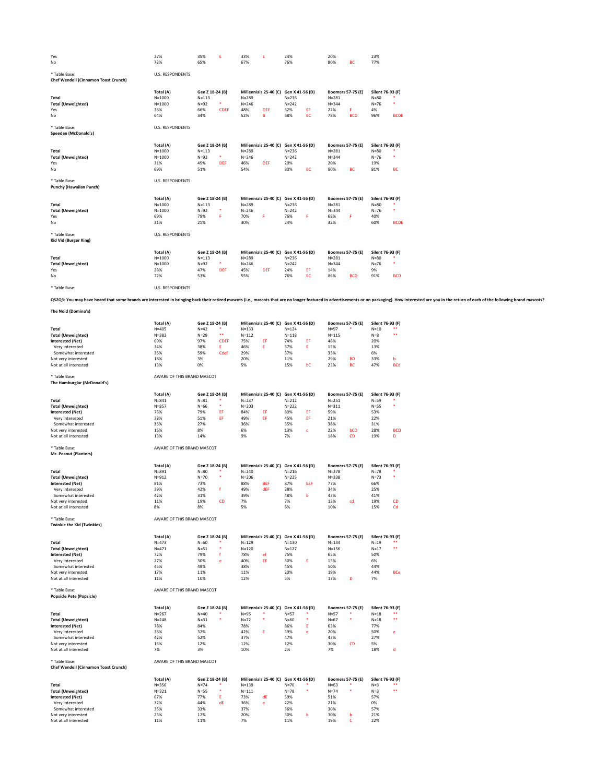| Yes                                         | 27%                     | 35%             | E.          | 33%                   | E.                           | 24%             |                                       | 20%                      |                          | 23%              |             |
|---------------------------------------------|-------------------------|-----------------|-------------|-----------------------|------------------------------|-----------------|---------------------------------------|--------------------------|--------------------------|------------------|-------------|
| No                                          | 73%                     | 65%             |             | 67%                   |                              | 76%             |                                       | 80%                      | <b>BC</b>                | 77%              |             |
| * Table Base:                               | <b>U.S. RESPONDENTS</b> |                 |             |                       |                              |                 |                                       |                          |                          |                  |             |
| <b>Chef Wendell (Cinnamon Toast Crunch)</b> |                         |                 |             |                       |                              |                 |                                       |                          |                          |                  |             |
|                                             |                         |                 |             |                       |                              |                 |                                       |                          |                          |                  |             |
|                                             | Total (A)               | Gen Z 18-24 (B) |             |                       | Millennials 25-40 (C)        | Gen X 41-56 (D) |                                       |                          | <b>Boomers 57-75 (E)</b> | Silent 76-93 (F) |             |
| <b>Total</b>                                | $N = 1000$              | $N = 113$       |             | $N = 289$             |                              | $N = 236$       |                                       | $N = 281$                |                          | $N=80$           |             |
| <b>Total (Unweighted)</b>                   | $N = 1000$              | $N=92$          | $\ast$      | $N = 246$             |                              | $N = 242$       |                                       | $N = 344$                |                          | $N=76$           | $\ast$      |
| Yes                                         | 36%                     | 66%             | <b>CDEF</b> | 48%                   | <b>DEF</b>                   | 32%             | EF                                    | 22%                      | F.                       | 4%               |             |
| No                                          | 64%                     | 34%             |             | 52%                   | B                            | 68%             | <b>BC</b>                             | 78%                      | <b>BCD</b>               | 96%              | <b>BCDE</b> |
| * Table Base:                               | <b>U.S. RESPONDENTS</b> |                 |             |                       |                              |                 |                                       |                          |                          |                  |             |
| <b>Speedee (McDonald's)</b>                 |                         |                 |             |                       |                              |                 |                                       |                          |                          |                  |             |
|                                             | Total (A)               | Gen Z 18-24 (B) |             |                       | Millennials 25-40 (C)        |                 |                                       |                          |                          | Silent 76-93 (F) |             |
| <b>Total</b>                                | $N = 1000$              | $N = 113$       |             | $N = 289$             | Gen X 41-56 (D)<br>$N = 236$ |                 | <b>Boomers 57-75 (E)</b><br>$N = 281$ |                          | $N=80$                   |                  |             |
| <b>Total (Unweighted)</b>                   | $N = 1000$              | $N=92$          | $\ast$      | $N = 246$             |                              | $N = 242$       |                                       | $N = 344$                |                          | $N=76$           | ∗           |
| Yes                                         | 31%                     | 49%             | <b>DEF</b>  | 46%                   | <b>DEF</b>                   | 20%             |                                       | 20%                      |                          | 19%              |             |
| No                                          | 69%                     | 51%             |             | 54%                   |                              | 80%             | <b>BC</b>                             | 80%                      | <b>BC</b>                | 81%              | <b>BC</b>   |
| * Table Base:                               | <b>U.S. RESPONDENTS</b> |                 |             |                       |                              |                 |                                       |                          |                          |                  |             |
| <b>Punchy (Hawaiian Punch)</b>              |                         |                 |             |                       |                              |                 |                                       |                          |                          |                  |             |
|                                             | Total (A)               | Gen Z 18-24 (B) |             | Millennials 25-40 (C) |                              | Gen X 41-56 (D) |                                       | <b>Boomers 57-75 (E)</b> |                          | Silent 76-93 (F) |             |
| <b>Total</b>                                | $N = 1000$              | $N = 113$       |             | $N = 289$             |                              | $N = 236$       |                                       | $N = 281$                |                          | $N=80$           |             |
| <b>Total (Unweighted)</b>                   | $N = 1000$              | $N=92$          | $\ast$      | $N = 246$             |                              | $N = 242$       |                                       | $N = 344$                |                          | $N=76$           | ∗           |
| Yes                                         | 69%                     | 79%             | F.          | 70%                   | F.                           | 76%             | F                                     | 68%                      | F.                       | 40%              |             |
| No                                          | 31%                     | 21%             |             | 30%                   |                              | 24%             |                                       | 32%                      |                          | 60%              | <b>BCDE</b> |
| * Table Base:                               | U.S. RESPONDENTS        |                 |             |                       |                              |                 |                                       |                          |                          |                  |             |
| <b>Kid Vid (Burger King)</b>                |                         |                 |             |                       |                              |                 |                                       |                          |                          |                  |             |
|                                             | Total (A)               | Gen Z 18-24 (B) |             |                       | Millennials 25-40 (C)        | Gen X 41-56 (D) |                                       |                          | <b>Boomers 57-75 (E)</b> | Silent 76-93 (F) |             |
| <b>Total</b>                                | $N = 1000$              | $N = 113$       |             | $N = 289$             |                              | $N = 236$       |                                       | $N = 281$                |                          | $N=80$           |             |
| <b>Total (Unweighted)</b>                   | $N = 1000$              | $N=92$          | $\ast$      | $N = 246$             |                              | $N = 242$       |                                       | $N = 344$                |                          | $N=76$           | *           |
| Yes                                         | 28%                     | 47%             | <b>DEF</b>  | 45%                   | <b>DEF</b>                   | 24%             | EF                                    | 14%                      |                          | 9%               |             |
| No                                          | 72%                     | 53%             |             | 55%                   |                              | 76%             | <b>BC</b>                             | 86%                      | <b>BCD</b>               | 91%              | <b>BCD</b>  |
| * Table Base:                               | U.S. RESPONDENTS        |                 |             |                       |                              |                 |                                       |                          |                          |                  |             |
|                                             |                         |                 |             |                       |                              |                 |                                       |                          |                          |                  |             |

QS2Q3: You may have heard that some brands are interested in bringing back their retired mascots (i.e., mascots that are no longer featured in advertisements or on packaging). How interested are you in the return of each o

## **The Noid (Domino's)**

|                           | Total (A) | Gen Z 18-24 (B) |       | Millennials 25-40 (C) Gen X 41-56 (D) |     |           |    | <b>Boomers 57-75 (E)</b> |           | Silent 76-93 (F) |            |
|---------------------------|-----------|-----------------|-------|---------------------------------------|-----|-----------|----|--------------------------|-----------|------------------|------------|
| <b>Total</b>              | $N = 405$ | $N = 42$        |       | $N = 133$                             |     | $N = 124$ |    | $N = 97$                 |           | $N = 10$         | **         |
| <b>Total (Unweighted)</b> | $N = 382$ | $N=29$          | $***$ | $N = 112$                             |     | $N = 118$ |    | $N = 115$                |           | $N=8$            | **         |
| <b>Interested (Net)</b>   | 69%       | 97%             | CDEF  | 75%                                   | EF. | 74%       | EF | 48%                      |           | 20%              |            |
| Very interested           | 34%       | 38%             |       | 46%                                   |     | 37%       |    | 15%                      |           | 13%              |            |
| Somewhat interested       | 35%       | 59%             | Cdef  | 29%                                   |     | 37%       |    | 33%                      |           | 6%               |            |
| Not very interested       | 18%       | 3%              |       | 20%                                   |     | 11%       |    | 29%                      | <b>BD</b> | 33%              | b          |
| Not at all interested     | 13%       | 0%              |       | 5%                                    |     | 15%       | bC | 23%                      | <b>BC</b> | 47%              | <b>BCd</b> |

\* Table Base: AWARE OF THIS BRAND MASCOT **The Hamburglar (McDonald's)**

|                                              | Total (A)<br>Gen Z 18-24 (B) |                 |             | Millennials 25-40 (C) |                       | Gen X 41-56 (D) |              | <b>Boomers 57-75 (E)</b> |                          | Silent 76-93 (F) |                |
|----------------------------------------------|------------------------------|-----------------|-------------|-----------------------|-----------------------|-----------------|--------------|--------------------------|--------------------------|------------------|----------------|
| <b>Total</b>                                 | $N = 841$                    | $N = 81$        |             | $N = 237$             |                       | $N = 212$       |              | $N = 251$                |                          | $N = 59$         |                |
| <b>Total (Unweighted)</b>                    | $N = 857$                    | $N=66$          | $\ast$      | $N = 203$             |                       | $N = 222$       |              | $N = 311$                |                          | $N = 55$         |                |
| <b>Interested (Net)</b>                      | 73%                          | 79%             | EF          | 84%                   | EF.                   | 80%             | EF           | 59%                      |                          | 53%              |                |
| Very interested                              | 38%                          | 51%             | EF          | 49%                   | EF                    | 45%             | EF           | 21%                      |                          | 22%              |                |
| Somewhat interested                          | 35%                          | 27%             |             | 36%                   |                       | 35%             |              | 38%                      |                          | 31%              |                |
| Not very interested                          | 15%                          | 8%              |             | 6%                    |                       | 13%             | $\mathsf{C}$ | 22%                      | bCD                      | 28%              | <b>BCD</b>     |
| Not at all interested                        | 13%                          | 14%             |             | 9%                    |                       | 7%              |              | 18%                      | CD                       | 19%              | D              |
| * Table Base:                                | AWARE OF THIS BRAND MASCOT   |                 |             |                       |                       |                 |              |                          |                          |                  |                |
| Mr. Peanut (Planters)                        |                              |                 |             |                       |                       |                 |              |                          |                          |                  |                |
|                                              | Total (A)                    | Gen Z 18-24 (B) |             | Millennials 25-40 (C) |                       | Gen X 41-56 (D) |              | <b>Boomers 57-75 (E)</b> |                          | Silent 76-93 (F) |                |
| <b>Total</b>                                 | $N = 891$                    | $N=80$          |             | $N = 240$             |                       | $N = 216$       |              | $N = 278$                |                          | $N=78$           |                |
| <b>Total (Unweighted)</b>                    | $N = 912$                    | $N=70$          | ∗           | $N = 206$             |                       | $N = 225$       |              | $N = 338$                |                          | $N=73$           |                |
| <b>Interested (Net)</b>                      | 81%                          | 73%             |             | 88%                   | <b>BEF</b>            | 87%             | bEF          | 77%                      |                          | 66%              |                |
| Very interested                              | 39%                          | 42%             | f           | 49%                   | dEF                   | 38%             |              | 34%                      |                          | 25%              |                |
| Somewhat interested                          | 42%                          | 31%             |             | 39%                   |                       | 48%             | b            | 43%                      |                          | 41%              |                |
| Not very interested                          | 11%                          | 19%             | CD          | 7%                    |                       | 7%              |              | 13%                      | cd                       | 19%              | CD             |
| Not at all interested                        | 8%                           | 8%              |             | 5%                    |                       | 6%              |              | 10%                      |                          | 15%              | Cd             |
| * Table Base:                                | AWARE OF THIS BRAND MASCOT   |                 |             |                       |                       |                 |              |                          |                          |                  |                |
| <b>Twinkie the Kid (Twinkies)</b>            |                              |                 |             |                       |                       |                 |              |                          |                          |                  |                |
|                                              | Total (A)                    | Gen Z 18-24 (B) |             | Millennials 25-40 (C) |                       | Gen X 41-56 (D) |              |                          | <b>Boomers 57-75 (E)</b> | Silent 76-93 (F) |                |
| <b>Total</b>                                 | $N = 473$                    | $N=60$          |             | $N = 129$             |                       | $N = 130$       |              | $N = 134$                |                          | $N=19$           | **             |
| <b>Total (Unweighted)</b>                    | $N = 471$                    | $N = 51$        | *           | $N = 120$             |                       | $N = 127$       |              | $N = 156$                |                          | $N=17$           | $***$          |
| <b>Interested (Net)</b>                      | 72%                          | 79%             | $\mathbf f$ | 78%                   | ef                    | 75%             |              | 65%                      |                          | 50%              |                |
| Very interested                              | 27%                          | 30%             | e           | 40%                   | EF                    | 30%             | E.           | 15%                      |                          | 6%               |                |
| Somewhat interested                          | 45%                          | 49%             |             | 38%                   |                       | 45%             |              | 50%                      |                          | 44%              |                |
| Not very interested                          | 17%                          | 11%             |             | 11%                   |                       | 20%             |              | 19%                      |                          | 44%              | <b>BCe</b>     |
| Not at all interested                        | 11%                          | 10%             |             | 12%                   |                       | 5%              |              | 17%                      | D                        | 7%               |                |
| * Table Base:                                | AWARE OF THIS BRAND MASCOT   |                 |             |                       |                       |                 |              |                          |                          |                  |                |
| <b>Popsicle Pete (Popsicle)</b>              |                              |                 |             |                       |                       |                 |              |                          |                          |                  |                |
|                                              | Total (A)                    | Gen Z 18-24 (B) |             | Millennials 25-40 (C) |                       | Gen X 41-56 (D) |              |                          | <b>Boomers 57-75 (E)</b> | Silent 76-93 (F) |                |
| <b>Total</b>                                 | $N = 267$                    | $N=40$          |             | $N = 95$              | *                     | $N=57$          |              | $N=57$                   | $\ast$                   | $N=18$           | $***$<br>$***$ |
| <b>Total (Unweighted)</b>                    | $N = 248$                    | $N = 31$        | $\ast$      | $N=72$                |                       | $N=60$          |              | $N=67$                   |                          | $N=18$           |                |
| <b>Interested (Net)</b>                      | 78%                          | 84%             |             | 78%                   |                       | 86%             | Ε.           | 63%                      |                          | 77%              |                |
| Very interested                              | 36%                          | 32%             |             | 42%                   | E.                    | 39%             | e            | 20%                      |                          | 50%              | e              |
| Somewhat interested                          | 42%                          | 52%             |             | 37%                   |                       | 47%             |              | 43%                      |                          | 27%              |                |
| Not very interested<br>Not at all interested | 15%<br>7%                    | 12%<br>3%       |             | 12%<br>10%            |                       | 12%<br>2%       |              | 30%<br>7%                | <b>CD</b>                | 5%<br>18%        | d              |
| * Table Base:                                | AWARE OF THIS BRAND MASCOT   |                 |             |                       |                       |                 |              |                          |                          |                  |                |
| <b>Chef Wendell (Cinnamon Toast Crunch)</b>  |                              |                 |             |                       |                       |                 |              |                          |                          |                  |                |
|                                              | Total (A)                    | Gen Z 18-24 (B) |             |                       | Millennials 25-40 (C) | Gen X 41-56 (D) |              |                          | <b>Boomers 57-75 (E)</b> | Silent 76-93 (F) |                |
| <b>Total</b>                                 | $N = 356$                    | $N=74$          | ∗           | $N = 139$             |                       | $N=76$          |              | $N=63$                   |                          | $N=3$            | $***$          |
| <b>Total (Unweighted)</b>                    | $N = 321$                    | $N = 55$        | ∗           | $N = 111$             |                       | $N=78$          |              | $N=74$                   | ∗                        | $N=3$            | $***$          |
| <b>Interested (Net)</b>                      | 67%                          | 77%             | Ε           | 73%                   | dE                    | 59%             |              | 51%                      |                          | 57%              |                |
| Very interested                              | 32%                          | 44%             | dE          | 36%                   | e                     | 22%             |              | 21%                      |                          | 0%               |                |
| Somewhat interested                          | 35%                          | 33%             |             | 37%                   |                       | 36%             |              | 30%                      |                          | 57%              |                |
| Not very interested                          | 23%                          | 12%             |             | 20%                   |                       | 30%             | b            | 30%                      | b                        | 21%              |                |
| Not at all interested                        | 11%                          | 11%             |             | 7%                    |                       | 11%             |              | 19%                      | C                        | 22%              |                |